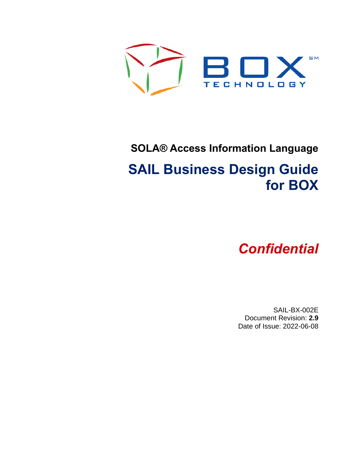

# **SOLA® Access Information Language**

# **SAIL Business Design Guide for BOX**

# *Confidential*

SAIL-BX-002E Document Revision: **2.9** Date of Issue: 2022-06-08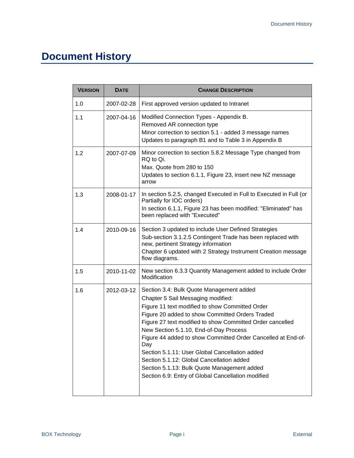# **Document History**

| <b>VERSION</b> | <b>DATE</b> | <b>CHANGE DESCRIPTION</b>                                                                                                                                                                                                                                                                                                                                                                                                                                                                                                                                              |
|----------------|-------------|------------------------------------------------------------------------------------------------------------------------------------------------------------------------------------------------------------------------------------------------------------------------------------------------------------------------------------------------------------------------------------------------------------------------------------------------------------------------------------------------------------------------------------------------------------------------|
| 1.0            | 2007-02-28  | First approved version updated to Intranet                                                                                                                                                                                                                                                                                                                                                                                                                                                                                                                             |
| 1.1            | 2007-04-16  | Modified Connection Types - Appendix B.<br>Removed AR connection type<br>Minor correction to section 5.1 - added 3 message names<br>Updates to paragraph B1 and to Table 3 in Appendix B                                                                                                                                                                                                                                                                                                                                                                               |
| 1.2            | 2007-07-09  | Minor correction to section 5.8.2 Message Type changed from<br>RQ to Qi.<br>Max. Quote from 280 to 150<br>Updates to section 6.1.1, Figure 23, insert new NZ message<br>arrow                                                                                                                                                                                                                                                                                                                                                                                          |
| 1.3            | 2008-01-17  | In section 5.2.5, changed Executed in Full to Executed in Full (or<br>Partially for IOC orders)<br>In section 6.1.1, Figure 23 has been modified: "Eliminated" has<br>been replaced with "Executed"                                                                                                                                                                                                                                                                                                                                                                    |
| 1.4            | 2010-09-16  | Section 3 updated to include User Defined Strategies<br>Sub-section 3.1.2.5 Contingent Trade has been replaced with<br>new, pertinent Strategy information<br>Chapter 6 updated with 2 Strategy Instrument Creation message<br>flow diagrams.                                                                                                                                                                                                                                                                                                                          |
| 1.5            | 2010-11-02  | New section 6.3.3 Quantity Management added to include Order<br>Modification                                                                                                                                                                                                                                                                                                                                                                                                                                                                                           |
| 1.6            | 2012-03-12  | Section 3.4: Bulk Quote Management added<br>Chapter 5 Sail Messaging modified:<br>Figure 11 text modified to show Committed Order<br>Figure 20 added to show Committed Orders Traded<br>Figure 27 text modified to show Committed Order cancelled<br>New Section 5.1.10, End-of-Day Process<br>Figure 44 added to show Committed Order Cancelled at End-of-<br>עaγ<br>Section 5.1.11: User Global Cancellation added<br>Section 5.1.12: Global Cancellation added<br>Section 5.1.13: Bulk Quote Management added<br>Section 6.9: Entry of Global Cancellation modified |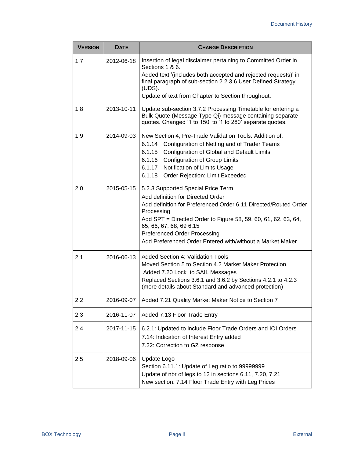| <b>VERSION</b> | <b>DATE</b> | <b>CHANGE DESCRIPTION</b>                                                                                                                                                                                                                                                                                                                                 |  |  |  |  |
|----------------|-------------|-----------------------------------------------------------------------------------------------------------------------------------------------------------------------------------------------------------------------------------------------------------------------------------------------------------------------------------------------------------|--|--|--|--|
| 1.7            | 2012-06-18  | Insertion of legal disclaimer pertaining to Committed Order in<br>Sections 1 & 6.<br>Added text '(includes both accepted and rejected requests)' in<br>final paragraph of sub-section 2.2.3.6 User Defined Strategy<br>(UDS).<br>Update of text from Chapter to Section throughout.                                                                       |  |  |  |  |
| 1.8            | 2013-10-11  | Update sub-section 3.7.2 Processing Timetable for entering a<br>Bulk Quote (Message Type Qi) message containing separate<br>quotes. Changed '1 to 150' to '1 to 280' separate quotes.                                                                                                                                                                     |  |  |  |  |
| 1.9            | 2014-09-03  | New Section 4, Pre-Trade Validation Tools. Addition of:<br>6.1.14 Configuration of Netting and of Trader Teams<br>6.1.15 Configuration of Global and Default Limits<br>6.1.16 Configuration of Group Limits<br>6.1.17<br>Notification of Limits Usage<br>6.1.18<br>Order Rejection: Limit Exceeded                                                        |  |  |  |  |
| 2.0            | 2015-05-15  | 5.2.3 Supported Special Price Term<br>Add definition for Directed Order<br>Add definition for Preferenced Order 6.11 Directed/Routed Order<br>Processing<br>Add SPT = Directed Order to Figure 58, 59, 60, 61, 62, 63, 64,<br>65, 66, 67, 68, 69 6.15<br><b>Preferenced Order Processing</b><br>Add Preferenced Order Entered with/without a Market Maker |  |  |  |  |
| 2.1            | 2016-06-13  | <b>Added Section 4: Validation Tools</b><br>Moved Section 5 to Section 4.2 Market Maker Protection.<br>Added 7.20 Lock to SAIL Messages<br>Replaced Sections 3.6.1 and 3.6.2 by Sections 4.2.1 to 4.2.3<br>(more details about Standard and advanced protection)                                                                                          |  |  |  |  |
| 2.2            | 2016-09-07  | Added 7.21 Quality Market Maker Notice to Section 7                                                                                                                                                                                                                                                                                                       |  |  |  |  |
| 2.3            | 2016-11-07  | Added 7.13 Floor Trade Entry                                                                                                                                                                                                                                                                                                                              |  |  |  |  |
| 2.4            | 2017-11-15  | 6.2.1: Updated to include Floor Trade Orders and IOI Orders<br>7.14: Indication of Interest Entry added<br>7.22: Correction to GZ response                                                                                                                                                                                                                |  |  |  |  |
| 2.5            | 2018-09-06  | Update Logo<br>Section 6.11.1: Update of Leg ratio to 99999999<br>Update of nbr of legs to 12 in sections 6.11, 7.20, 7.21<br>New section: 7.14 Floor Trade Entry with Leg Prices                                                                                                                                                                         |  |  |  |  |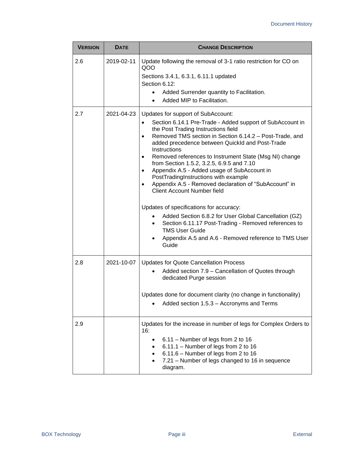| <b>VERSION</b> | <b>DATE</b> | <b>CHANGE DESCRIPTION</b>                                                                                                                                                                                                                                                                                                                                                                                                                                                                                                                                                                                                                                                                                                                                                                                                                                       |  |  |  |  |  |
|----------------|-------------|-----------------------------------------------------------------------------------------------------------------------------------------------------------------------------------------------------------------------------------------------------------------------------------------------------------------------------------------------------------------------------------------------------------------------------------------------------------------------------------------------------------------------------------------------------------------------------------------------------------------------------------------------------------------------------------------------------------------------------------------------------------------------------------------------------------------------------------------------------------------|--|--|--|--|--|
| 2.6            | 2019-02-11  | Update following the removal of 3-1 ratio restriction for CO on<br>QOO<br>Sections 3.4.1, 6.3.1, 6.11.1 updated<br>Section 6.12:<br>Added Surrender quantity to Facilitation.<br>Added MIP to Facilitation.<br>Updates for support of SubAccount:                                                                                                                                                                                                                                                                                                                                                                                                                                                                                                                                                                                                               |  |  |  |  |  |
| 2.7            | 2021-04-23  | Section 6.14.1 Pre-Trade - Added support of SubAccount in<br>$\bullet$<br>the Post Trading Instructions field<br>Removed TMS section in Section 6.14.2 - Post-Trade, and<br>$\bullet$<br>added precedence between QuickId and Post-Trade<br>Instructions<br>Removed references to Instrument State (Msg NI) change<br>$\bullet$<br>from Section 1.5.2, 3.2.5, 6.9.5 and 7.10<br>Appendix A.5 - Added usage of SubAccount in<br>$\bullet$<br>PostTradingInstructions with example<br>Appendix A.5 - Removed declaration of "SubAccount" in<br><b>Client Account Number field</b><br>Updates of specifications for accuracy:<br>Added Section 6.8.2 for User Global Cancellation (GZ)<br>$\bullet$<br>Section 6.11.17 Post-Trading - Removed references to<br>$\bullet$<br><b>TMS User Guide</b><br>Appendix A.5 and A.6 - Removed reference to TMS User<br>Guide |  |  |  |  |  |
| 2.8            | 2021-10-07  | <b>Updates for Quote Cancellation Process</b><br>Added section 7.9 – Cancellation of Quotes through<br>dedicated Purge session<br>Updates done for document clarity (no change in functionality)<br>Added section 1.5.3 - Accronyms and Terms                                                                                                                                                                                                                                                                                                                                                                                                                                                                                                                                                                                                                   |  |  |  |  |  |
| 2.9            |             | Updates for the increase in number of legs for Complex Orders to<br>16:<br>6.11 - Number of legs from 2 to 16<br>6.11.1 - Number of legs from 2 to 16<br>6.11.6 - Number of legs from 2 to 16<br>7.21 – Number of legs changed to 16 in sequence<br>diagram.                                                                                                                                                                                                                                                                                                                                                                                                                                                                                                                                                                                                    |  |  |  |  |  |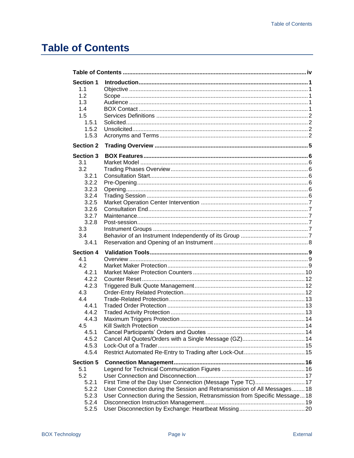# <span id="page-5-0"></span>**Table of Contents**

| <b>Section 1</b><br>1.1<br>1.2<br>1.3<br>1.4<br>1.5<br>1.5.1<br>1.5.2<br>1.5.3                                                               |                                                                                                                                                                                                                     |  |
|----------------------------------------------------------------------------------------------------------------------------------------------|---------------------------------------------------------------------------------------------------------------------------------------------------------------------------------------------------------------------|--|
| <b>Section 2</b>                                                                                                                             |                                                                                                                                                                                                                     |  |
| <b>Section 3</b><br>3.1<br>3.2<br>3.2.1<br>3.2.2<br>3.2.3<br>3.2.4<br>3.2.5<br>3.2.6<br>3.2.7<br>3.2.8<br>3.3<br>3.4<br>3.4.1                |                                                                                                                                                                                                                     |  |
| <b>Section 4</b><br>41<br>4.2<br>4.2.1<br>4.2.2<br>4.2.3<br>4.3<br>4.4<br>4.4.1<br>4.4.2<br>4.4.3<br>4.5<br>4.5.1<br>4.5.2<br>4.5.3<br>4.5.4 | <b>Kill Switch Protection</b><br>$\sim$ 14                                                                                                                                                                          |  |
| <b>Section 5</b><br>5.1<br>5.2<br>5.2.1<br>5.2.2<br>5.2.3<br>5.2.4<br>5.2.5                                                                  | First Time of the Day User Connection (Message Type TC) 17<br>User Connection during the Session and Retransmission of All Messages18<br>User Connection during the Session, Retransmission from Specific Message18 |  |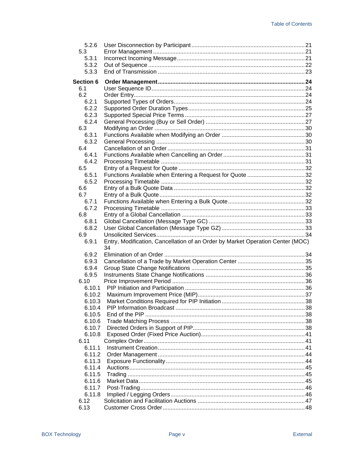| 5.2.6        |                                                                                |  |
|--------------|--------------------------------------------------------------------------------|--|
| 5.3          |                                                                                |  |
| 5.3.1        |                                                                                |  |
| 5.3.2        |                                                                                |  |
| 5.3.3        |                                                                                |  |
| Section 6    |                                                                                |  |
| 6.1          |                                                                                |  |
| 6.2          |                                                                                |  |
| 6.2.1        |                                                                                |  |
| 6.2.2        |                                                                                |  |
| 6.2.3        |                                                                                |  |
| 6.2.4        |                                                                                |  |
| 6.3          |                                                                                |  |
| 6.3.1        |                                                                                |  |
| 6.3.2        |                                                                                |  |
| 6.4          |                                                                                |  |
| 6.4.1        |                                                                                |  |
| 6.4.2        |                                                                                |  |
| 6.5          |                                                                                |  |
| 6.5.1        |                                                                                |  |
| 6.5.2        |                                                                                |  |
| 6.6          |                                                                                |  |
| 6.7          |                                                                                |  |
| 6.7.1        |                                                                                |  |
| 6.7.2        |                                                                                |  |
| 6.8          |                                                                                |  |
| 6.8.1        |                                                                                |  |
| 6.8.2        |                                                                                |  |
| 6.9          |                                                                                |  |
| 6.9.1        | Entry, Modification, Cancellation of an Order by Market Operation Center (MOC) |  |
|              | 34                                                                             |  |
| 6.9.2        |                                                                                |  |
| 6.9.3        |                                                                                |  |
| 6.9.4        |                                                                                |  |
| 6.9.5        |                                                                                |  |
| 6.10         |                                                                                |  |
| 6.10.1       |                                                                                |  |
| 6.10.2       |                                                                                |  |
| 6.10.3       |                                                                                |  |
| 6.10.4       |                                                                                |  |
| 6.10.5       |                                                                                |  |
| 6.10.6       |                                                                                |  |
| 6.10.7       |                                                                                |  |
| 6.10.8       |                                                                                |  |
| 6.11         |                                                                                |  |
| 6.11.1       |                                                                                |  |
| 6.11.2       |                                                                                |  |
| 6.11.3       |                                                                                |  |
| 6.11.4       |                                                                                |  |
| 6.11.5       |                                                                                |  |
| 6.11.6       |                                                                                |  |
| 6.11.7       |                                                                                |  |
| 6.11.8       |                                                                                |  |
| 6.12<br>6.13 |                                                                                |  |
|              |                                                                                |  |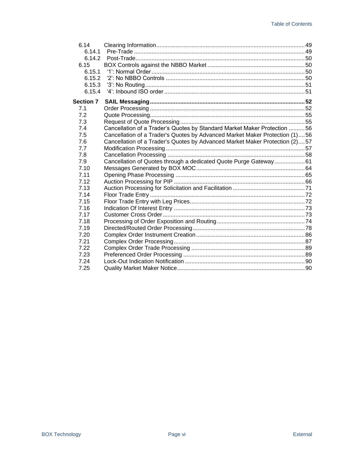| 6.14             |                                                                             |  |
|------------------|-----------------------------------------------------------------------------|--|
| 6.14.1           |                                                                             |  |
| 6.14.2           |                                                                             |  |
| 6.15             |                                                                             |  |
| 6.15.1           |                                                                             |  |
| 6.15.2           |                                                                             |  |
| 6.15.3           | '3': No Routing……………………………………………………………………………………51                           |  |
| 6.15.4           |                                                                             |  |
| <b>Section 7</b> |                                                                             |  |
| 7.1              |                                                                             |  |
| 7.2              |                                                                             |  |
| 7.3              |                                                                             |  |
| 7.4              | Cancellation of a Trader's Quotes by Standard Market Maker Protection 56    |  |
| 7.5              | Cancellation of a Trader's Quotes by Advanced Market Maker Protection (1)56 |  |
| 7.6              | Cancellation of a Trader's Quotes by Advanced Market Maker Protection (2)57 |  |
| 7.7              |                                                                             |  |
| 7.8              |                                                                             |  |
| 7.9              | Cancellation of Quotes through a dedicated Quote Purge Gateway61            |  |
| 7.10             |                                                                             |  |
| 7.11             |                                                                             |  |
| 7.12             |                                                                             |  |
| 7.13             |                                                                             |  |
| 7.14             |                                                                             |  |
| 7.15             |                                                                             |  |
| 7.16             |                                                                             |  |
| 7.17             |                                                                             |  |
| 7.18             |                                                                             |  |
| 7.19             |                                                                             |  |
| 7.20             |                                                                             |  |
| 7.21             |                                                                             |  |
| 7.22             |                                                                             |  |
| 7.23             |                                                                             |  |
| 7.24             |                                                                             |  |
| 7.25             |                                                                             |  |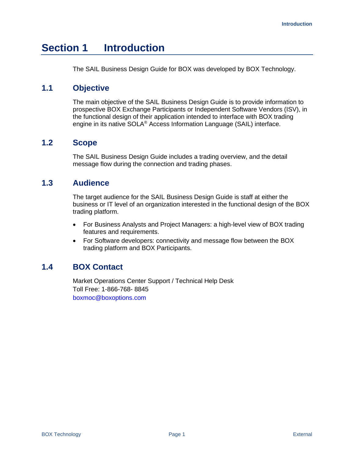# <span id="page-8-0"></span>**Section 1 Introduction**

The SAIL Business Design Guide for BOX was developed by BOX Technology.

# <span id="page-8-1"></span>**1.1 Objective**

The main objective of the SAIL Business Design Guide is to provide information to prospective BOX Exchange Participants or Independent Software Vendors (ISV), in the functional design of their application intended to interface with BOX trading engine in its native SOLA® Access Information Language (SAIL) interface.

# <span id="page-8-2"></span>**1.2 Scope**

The SAIL Business Design Guide includes a trading overview, and the detail message flow during the connection and trading phases.

# <span id="page-8-3"></span>**1.3 Audience**

The target audience for the SAIL Business Design Guide is staff at either the business or IT level of an organization interested in the functional design of the BOX trading platform.

- For Business Analysts and Project Managers: a high-level view of BOX trading features and requirements.
- For Software developers: connectivity and message flow between the BOX trading platform and BOX Participants.

# <span id="page-8-4"></span>**1.4 BOX Contact**

Market Operations Center Support / Technical Help Desk Toll Free: 1-866-768- 8845 boxmoc@boxoptions.com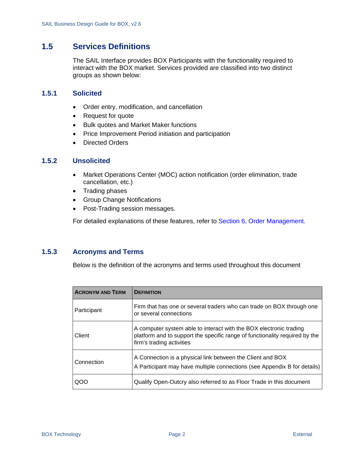# <span id="page-9-0"></span>**1.5 Services Definitions**

The SAIL Interface provides BOX Participants with the functionality required to interact with the BOX market. Services provided are classified into two distinct groups as shown below:

## <span id="page-9-1"></span>**1.5.1 Solicited**

- Order entry, modification, and cancellation
- Request for quote
- Bulk quotes and Market Maker functions
- Price Improvement Period initiation and participation
- Directed Orders

### <span id="page-9-2"></span>**1.5.2 Unsolicited**

- Market Operations Center (MOC) action notification (order elimination, trade cancellation, etc.)
- Trading phases
- Group Change Notifications
- Post-Trading session messages.

For detailed explanations of these features, refer to [Section 6, Order Management.](#page-31-0)

## <span id="page-9-3"></span>**1.5.3 Acronyms and Terms**

Below is the definition of the acronyms and terms used throughout this document

| <b>ACRONYM AND TERM</b> | <b>DEFINITION</b>                                                                                                                                                              |  |  |  |
|-------------------------|--------------------------------------------------------------------------------------------------------------------------------------------------------------------------------|--|--|--|
| Participant             | Firm that has one or several traders who can trade on BOX through one<br>or several connections                                                                                |  |  |  |
| Client                  | A computer system able to interact with the BOX electronic trading<br>platform and to support the specific range of functionality required by the<br>firm's trading activities |  |  |  |
| Connection              | A Connection is a physical link between the Client and BOX<br>A Participant may have multiple connections (see Appendix B for details)                                         |  |  |  |
| OOC                     | Qualify Open-Outcry also referred to as Floor Trade in this document                                                                                                           |  |  |  |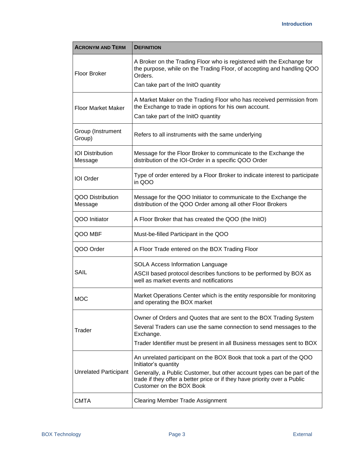| <b>ACRONYM AND TERM</b>                                                                                   | <b>DEFINITION</b>                                                                                                                                                                 |
|-----------------------------------------------------------------------------------------------------------|-----------------------------------------------------------------------------------------------------------------------------------------------------------------------------------|
| <b>Floor Broker</b>                                                                                       | A Broker on the Trading Floor who is registered with the Exchange for<br>the purpose, while on the Trading Floor, of accepting and handling QOO<br>Orders.                        |
|                                                                                                           | Can take part of the InitO quantity                                                                                                                                               |
| <b>Floor Market Maker</b>                                                                                 | A Market Maker on the Trading Floor who has received permission from<br>the Exchange to trade in options for his own account.<br>Can take part of the InitO quantity              |
| Group (Instrument<br>Group)                                                                               | Refers to all instruments with the same underlying                                                                                                                                |
| <b>IOI</b> Distribution<br>Message                                                                        | Message for the Floor Broker to communicate to the Exchange the<br>distribution of the IOI-Order in a specific QOO Order                                                          |
| Type of order entered by a Floor Broker to indicate interest to participate<br><b>IOI</b> Order<br>in QOO |                                                                                                                                                                                   |
| QOO Distribution<br>Message                                                                               | Message for the QOO Initiator to communicate to the Exchange the<br>distribution of the QOO Order among all other Floor Brokers                                                   |
| QOO Initiator                                                                                             | A Floor Broker that has created the QOO (the InitO)                                                                                                                               |
| QOO MBF                                                                                                   | Must-be-filled Participant in the QOO                                                                                                                                             |
| QOO Order                                                                                                 | A Floor Trade entered on the BOX Trading Floor                                                                                                                                    |
|                                                                                                           | <b>SOLA Access Information Language</b>                                                                                                                                           |
| SAIL                                                                                                      | ASCII based protocol describes functions to be performed by BOX as<br>well as market events and notifications                                                                     |
| <b>MOC</b>                                                                                                | Market Operations Center which is the entity responsible for monitoring<br>and operating the BOX market                                                                           |
|                                                                                                           | Owner of Orders and Quotes that are sent to the BOX Trading System                                                                                                                |
| Trader                                                                                                    | Several Traders can use the same connection to send messages to the<br>Exchange.                                                                                                  |
|                                                                                                           | Trader Identifier must be present in all Business messages sent to BOX                                                                                                            |
|                                                                                                           | An unrelated participant on the BOX Book that took a part of the QOO<br>Initiator's quantity                                                                                      |
| <b>Unrelated Participant</b>                                                                              | Generally, a Public Customer, but other account types can be part of the<br>trade if they offer a better price or if they have priority over a Public<br>Customer on the BOX Book |
| <b>CMTA</b>                                                                                               | <b>Clearing Member Trade Assignment</b>                                                                                                                                           |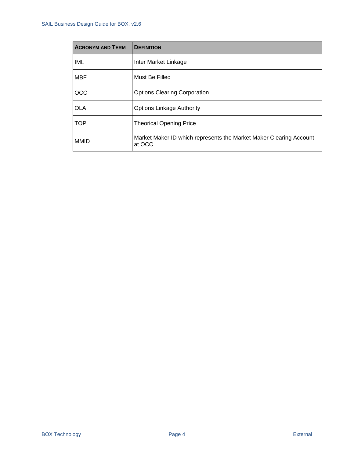| <b>ACRONYM AND TERM</b> | <b>DEFINITION</b>                                                            |
|-------------------------|------------------------------------------------------------------------------|
| IML                     | Inter Market Linkage                                                         |
| <b>MBF</b>              | Must Be Filled                                                               |
| <b>OCC</b>              | <b>Options Clearing Corporation</b>                                          |
| <b>OLA</b>              | <b>Options Linkage Authority</b>                                             |
| <b>TOP</b>              | <b>Theorical Opening Price</b>                                               |
| <b>MMID</b>             | Market Maker ID which represents the Market Maker Clearing Account<br>at OCC |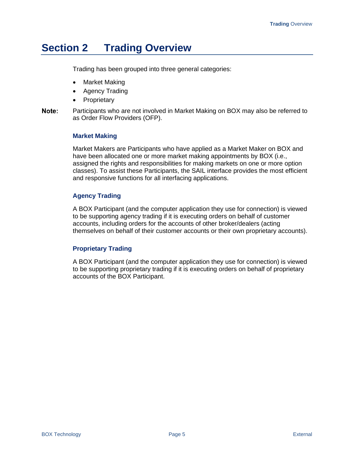# <span id="page-12-0"></span>**Section 2 Trading Overview**

Trading has been grouped into three general categories:

- Market Making
- Agency Trading
- Proprietary
- Note: Participants who are not involved in Market Making on BOX may also be referred to as Order Flow Providers (OFP).

#### **Market Making**

Market Makers are Participants who have applied as a Market Maker on BOX and have been allocated one or more market making appointments by BOX (i.e., assigned the rights and responsibilities for making markets on one or more option classes). To assist these Participants, the SAIL interface provides the most efficient and responsive functions for all interfacing applications.

#### **Agency Trading**

A BOX Participant (and the computer application they use for connection) is viewed to be supporting agency trading if it is executing orders on behalf of customer accounts, including orders for the accounts of other broker/dealers (acting themselves on behalf of their customer accounts or their own proprietary accounts).

#### **Proprietary Trading**

A BOX Participant (and the computer application they use for connection) is viewed to be supporting proprietary trading if it is executing orders on behalf of proprietary accounts of the BOX Participant.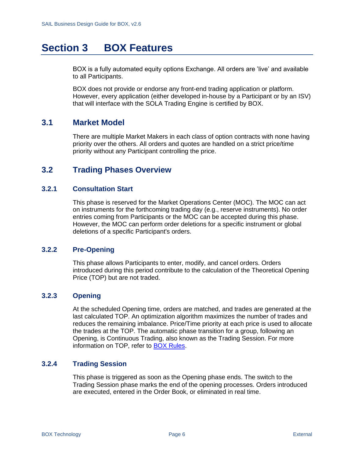# <span id="page-13-0"></span>**Section 3 BOX Features**

BOX is a fully automated equity options Exchange. All orders are 'live' and available to all Participants.

BOX does not provide or endorse any front-end trading application or platform. However, every application (either developed in-house by a Participant or by an ISV) that will interface with the SOLA Trading Engine is certified by BOX.

## <span id="page-13-1"></span>**3.1 Market Model**

There are multiple Market Makers in each class of option contracts with none having priority over the others. All orders and quotes are handled on a strict price/time priority without any Participant controlling the price.

# <span id="page-13-2"></span>**3.2 Trading Phases Overview**

#### <span id="page-13-3"></span>**3.2.1 Consultation Start**

This phase is reserved for the Market Operations Center (MOC). The MOC can act on instruments for the forthcoming trading day (e.g., reserve instruments). No order entries coming from Participants or the MOC can be accepted during this phase. However, the MOC can perform order deletions for a specific instrument or global deletions of a specific Participant's orders.

#### <span id="page-13-4"></span>**3.2.2 Pre-Opening**

This phase allows Participants to enter, modify, and cancel orders. Orders introduced during this period contribute to the calculation of the Theoretical Opening Price (TOP) but are not traded.

## <span id="page-13-5"></span>**3.2.3 Opening**

At the scheduled Opening time, orders are matched, and trades are generated at the last calculated TOP. An optimization algorithm maximizes the number of trades and reduces the remaining imbalance. Price/Time priority at each price is used to allocate the trades at the TOP. The automatic phase transition for a group, following an Opening, is Continuous Trading, also known as the Trading Session. For more information on TOP, refer to [BOX Rules.](https://rules.boxoptions.com/browse)

### <span id="page-13-6"></span>**3.2.4 Trading Session**

This phase is triggered as soon as the Opening phase ends. The switch to the Trading Session phase marks the end of the opening processes. Orders introduced are executed, entered in the Order Book, or eliminated in real time.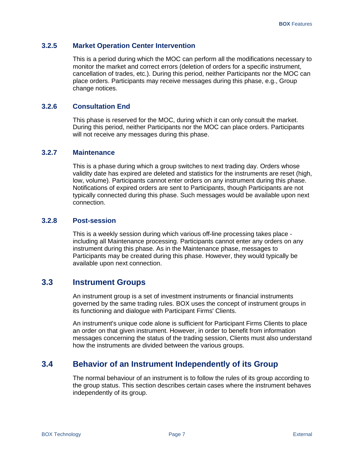#### <span id="page-14-0"></span>**3.2.5 Market Operation Center Intervention**

This is a period during which the MOC can perform all the modifications necessary to monitor the market and correct errors (deletion of orders for a specific instrument, cancellation of trades, etc.). During this period, neither Participants nor the MOC can place orders. Participants may receive messages during this phase, e.g., Group change notices.

### <span id="page-14-1"></span>**3.2.6 Consultation End**

This phase is reserved for the MOC, during which it can only consult the market. During this period, neither Participants nor the MOC can place orders. Participants will not receive any messages during this phase.

## <span id="page-14-2"></span>**3.2.7 Maintenance**

This is a phase during which a group switches to next trading day. Orders whose validity date has expired are deleted and statistics for the instruments are reset (high, low, volume). Participants cannot enter orders on any instrument during this phase. Notifications of expired orders are sent to Participants, though Participants are not typically connected during this phase. Such messages would be available upon next connection.

#### <span id="page-14-3"></span>**3.2.8 Post-session**

This is a weekly session during which various off-line processing takes place including all Maintenance processing. Participants cannot enter any orders on any instrument during this phase. As in the Maintenance phase, messages to Participants may be created during this phase. However, they would typically be available upon next connection.

## <span id="page-14-4"></span>**3.3 Instrument Groups**

An instrument group is a set of investment instruments or financial instruments governed by the same trading rules. BOX uses the concept of instrument groups in its functioning and dialogue with Participant Firms' Clients.

An instrument's unique code alone is sufficient for Participant Firms Clients to place an order on that given instrument. However, in order to benefit from information messages concerning the status of the trading session, Clients must also understand how the instruments are divided between the various groups.

# <span id="page-14-5"></span>**3.4 Behavior of an Instrument Independently of its Group**

The normal behaviour of an instrument is to follow the rules of its group according to the group status. This section describes certain cases where the instrument behaves independently of its group.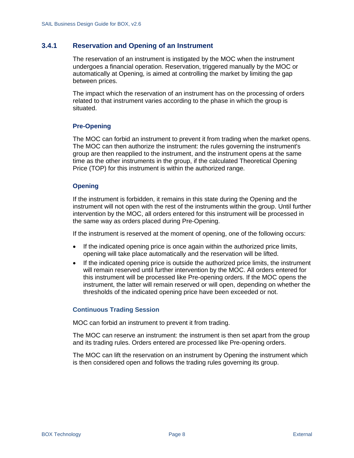## <span id="page-15-0"></span>**3.4.1 Reservation and Opening of an Instrument**

The reservation of an instrument is instigated by the MOC when the instrument undergoes a financial operation. Reservation, triggered manually by the MOC or automatically at Opening, is aimed at controlling the market by limiting the gap between prices.

The impact which the reservation of an instrument has on the processing of orders related to that instrument varies according to the phase in which the group is situated.

#### **Pre-Opening**

The MOC can forbid an instrument to prevent it from trading when the market opens. The MOC can then authorize the instrument: the rules governing the instrument's group are then reapplied to the instrument, and the instrument opens at the same time as the other instruments in the group, if the calculated Theoretical Opening Price (TOP) for this instrument is within the authorized range.

#### **Opening**

If the instrument is forbidden, it remains in this state during the Opening and the instrument will not open with the rest of the instruments within the group. Until further intervention by the MOC, all orders entered for this instrument will be processed in the same way as orders placed during Pre-Opening.

If the instrument is reserved at the moment of opening, one of the following occurs:

- If the indicated opening price is once again within the authorized price limits, opening will take place automatically and the reservation will be lifted.
- If the indicated opening price is outside the authorized price limits, the instrument will remain reserved until further intervention by the MOC. All orders entered for this instrument will be processed like Pre-opening orders. If the MOC opens the instrument, the latter will remain reserved or will open, depending on whether the thresholds of the indicated opening price have been exceeded or not.

#### **Continuous Trading Session**

MOC can forbid an instrument to prevent it from trading.

The MOC can reserve an instrument: the instrument is then set apart from the group and its trading rules. Orders entered are processed like Pre-opening orders.

The MOC can lift the reservation on an instrument by Opening the instrument which is then considered open and follows the trading rules governing its group.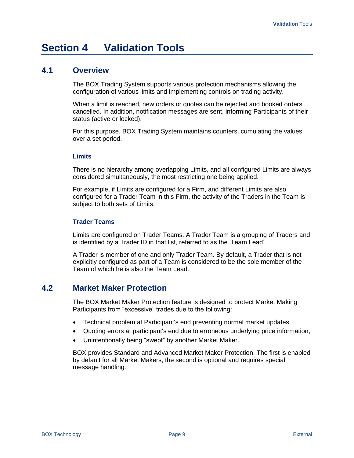# <span id="page-16-0"></span>**Section 4 Validation Tools**

# <span id="page-16-1"></span>**4.1 Overview**

The BOX Trading System supports various protection mechanisms allowing the configuration of various limits and implementing controls on trading activity.

When a limit is reached, new orders or quotes can be rejected and booked orders cancelled. In addition, notification messages are sent, informing Participants of their status (active or locked).

For this purpose, BOX Trading System maintains counters, cumulating the values over a set period.

#### **Limits**

There is no hierarchy among overlapping Limits, and all configured Limits are always considered simultaneously, the most restricting one being applied.

For example, if Limits are configured for a Firm, and different Limits are also configured for a Trader Team in this Firm, the activity of the Traders in the Team is subject to both sets of Limits.

#### **Trader Teams**

Limits are configured on Trader Teams. A Trader Team is a grouping of Traders and is identified by a Trader ID in that list, referred to as the 'Team Lead'.

A Trader is member of one and only Trader Team. By default, a Trader that is not explicitly configured as part of a Team is considered to be the sole member of the Team of which he is also the Team Lead.

# <span id="page-16-2"></span>**4.2 Market Maker Protection**

The BOX Market Maker Protection feature is designed to protect Market Making Participants from "excessive" trades due to the following:

- Technical problem at Participant's end preventing normal market updates,
- Quoting errors at participant's end due to erroneous underlying price information,
- Unintentionally being "swept" by another Market Maker.

BOX provides Standard and Advanced Market Maker Protection. The first is enabled by default for all Market Makers, the second is optional and requires special message handling.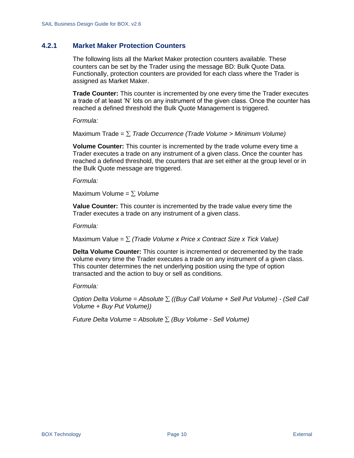## <span id="page-17-0"></span>**4.2.1 Market Maker Protection Counters**

The following lists all the Market Maker protection counters available. These counters can be set by the Trader using the message BD: Bulk Quote Data. Functionally, protection counters are provided for each class where the Trader is assigned as Market Maker.

**Trade Counter:** This counter is incremented by one every time the Trader executes a trade of at least 'N' lots on any instrument of the given class. Once the counter has reached a defined threshold the Bulk Quote Management is triggered.

#### *Formula:*

Maximum Trade = *Trade Occurrence (Trade Volume > Minimum Volume)*

**Volume Counter:** This counter is incremented by the trade volume every time a Trader executes a trade on any instrument of a given class. Once the counter has reached a defined threshold, the counters that are set either at the group level or in the Bulk Quote message are triggered.

#### *Formula:*

Maximum Volume =  $\Sigma$  *Volume* 

**Value Counter:** This counter is incremented by the trade value every time the Trader executes a trade on any instrument of a given class.

*Formula:*

Maximum Value = *(Trade Volume x Price x Contract Size x Tick Value)*

**Delta Volume Counter:** This counter is incremented or decremented by the trade volume every time the Trader executes a trade on any instrument of a given class. This counter determines the net underlying position using the type of option transacted and the action to buy or sell as conditions.

#### *Formula:*

*Option Delta Volume = Absolute ((Buy Call Volume + Sell Put Volume) - (Sell Call Volume + Buy Put Volume))*

*Future Delta Volume = Absolute (Buy Volume - Sell Volume)*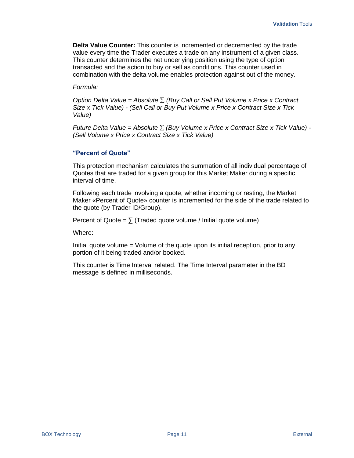**Delta Value Counter:** This counter is incremented or decremented by the trade value every time the Trader executes a trade on any instrument of a given class. This counter determines the net underlying position using the type of option transacted and the action to buy or sell as conditions. This counter used in combination with the delta volume enables protection against out of the money.

#### *Formula:*

*Option Delta Value = Absolute (Buy Call or Sell Put Volume x Price x Contract Size x Tick Value) - (Sell Call or Buy Put Volume x Price x Contract Size x Tick Value)*

*Future Delta Value = Absolute (Buy Volume x Price x Contract Size x Tick Value) - (Sell Volume x Price x Contract Size x Tick Value)*

#### **"Percent of Quote"**

This protection mechanism calculates the summation of all individual percentage of Quotes that are traded for a given group for this Market Maker during a specific interval of time.

Following each trade involving a quote, whether incoming or resting, the Market Maker «Percent of Quote» counter is incremented for the side of the trade related to the quote (by Trader ID/Group).

Percent of Quote =  $\sum$  (Traded quote volume / Initial quote volume)

Where:

Initial quote volume = Volume of the quote upon its initial reception, prior to any portion of it being traded and/or booked.

This counter is Time Interval related. The Time Interval parameter in the BD message is defined in milliseconds.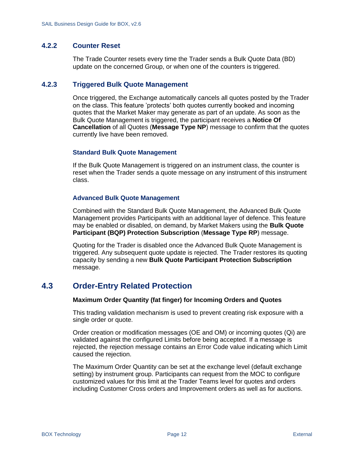## <span id="page-19-0"></span>**4.2.2 Counter Reset**

The Trade Counter resets every time the Trader sends a Bulk Quote Data (BD) update on the concerned Group, or when one of the counters is triggered.

#### <span id="page-19-1"></span>**4.2.3 Triggered Bulk Quote Management**

Once triggered, the Exchange automatically cancels all quotes posted by the Trader on the class. This feature 'protects' both quotes currently booked and incoming quotes that the Market Maker may generate as part of an update. As soon as the Bulk Quote Management is triggered, the participant receives a **Notice Of Cancellation** of all Quotes (**Message Type NP**) message to confirm that the quotes currently live have been removed.

#### **Standard Bulk Quote Management**

If the Bulk Quote Management is triggered on an instrument class, the counter is reset when the Trader sends a quote message on any instrument of this instrument class.

#### **Advanced Bulk Quote Management**

Combined with the Standard Bulk Quote Management, the Advanced Bulk Quote Management provides Participants with an additional layer of defence. This feature may be enabled or disabled, on demand, by Market Makers using the **Bulk Quote Participant (BQP) Protection Subscription** (**Message Type RP**) message.

Quoting for the Trader is disabled once the Advanced Bulk Quote Management is triggered. Any subsequent quote update is rejected. The Trader restores its quoting capacity by sending a new **Bulk Quote Participant Protection Subscription** message.

# <span id="page-19-2"></span>**4.3 Order-Entry Related Protection**

#### **Maximum Order Quantity (fat finger) for Incoming Orders and Quotes**

This trading validation mechanism is used to prevent creating risk exposure with a single order or quote.

Order creation or modification messages (OE and OM) or incoming quotes (Qi) are validated against the configured Limits before being accepted. If a message is rejected, the rejection message contains an Error Code value indicating which Limit caused the rejection.

The Maximum Order Quantity can be set at the exchange level (default exchange setting) by instrument group. Participants can request from the MOC to configure customized values for this limit at the Trader Teams level for quotes and orders including Customer Cross orders and Improvement orders as well as for auctions.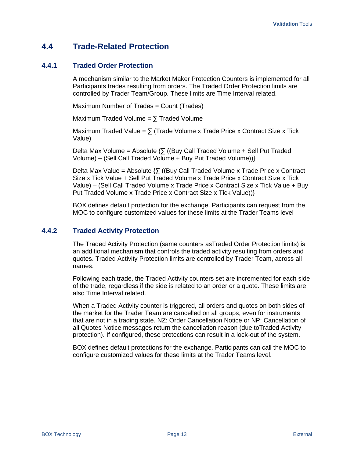# <span id="page-20-0"></span>**4.4 Trade-Related Protection**

### <span id="page-20-1"></span>**4.4.1 Traded Order Protection**

A mechanism similar to the Market Maker Protection Counters is implemented for all Participants trades resulting from orders. The Traded Order Protection limits are controlled by Trader Team/Group. These limits are Time Interval related.

Maximum Number of Trades = Count (Trades)

Maximum Traded Volume =  $\sum$  Traded Volume

Maximum Traded Value =  $\sum$  (Trade Volume x Trade Price x Contract Size x Tick Value)

Delta Max Volume = Absolute  $\{5 \}$  ((Buy Call Traded Volume + Sell Put Traded Volume) – (Sell Call Traded Volume + Buy Put Traded Volume))}

Delta Max Value = Absolute  $\{\sum$  ((Buy Call Traded Volume x Trade Price x Contract Size x Tick Value + Sell Put Traded Volume x Trade Price x Contract Size x Tick Value) – (Sell Call Traded Volume x Trade Price x Contract Size x Tick Value + Buy Put Traded Volume x Trade Price x Contract Size x Tick Value))}

BOX defines default protection for the exchange. Participants can request from the MOC to configure customized values for these limits at the Trader Teams level

## <span id="page-20-2"></span>**4.4.2 Traded Activity Protection**

The Traded Activity Protection (same counters asTraded Order Protection limits) is an additional mechanism that controls the traded activity resulting from orders and quotes. Traded Activity Protection limits are controlled by Trader Team, across all names.

Following each trade, the Traded Activity counters set are incremented for each side of the trade, regardless if the side is related to an order or a quote. These limits are also Time Interval related.

When a Traded Activity counter is triggered, all orders and quotes on both sides of the market for the Trader Team are cancelled on all groups, even for instruments that are not in a trading state. NZ: Order Cancellation Notice or NP: Cancellation of all Quotes Notice messages return the cancellation reason (due toTraded Activity protection). If configured, these protections can result in a lock-out of the system.

BOX defines default protections for the exchange. Participants can call the MOC to configure customized values for these limits at the Trader Teams level.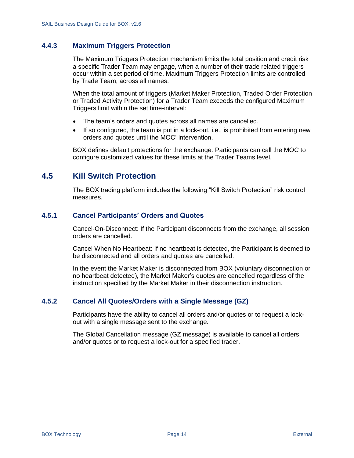## <span id="page-21-0"></span>**4.4.3 Maximum Triggers Protection**

The Maximum Triggers Protection mechanism limits the total position and credit risk a specific Trader Team may engage, when a number of their trade related triggers occur within a set period of time. Maximum Triggers Protection limits are controlled by Trade Team, across all names.

When the total amount of triggers (Market Maker Protection, Traded Order Protection or Traded Activity Protection) for a Trader Team exceeds the configured Maximum Triggers limit within the set time-interval:

- The team's orders and quotes across all names are cancelled.
- If so configured, the team is put in a lock-out, i.e., is prohibited from entering new orders and quotes until the MOC' intervention.

BOX defines default protections for the exchange. Participants can call the MOC to configure customized values for these limits at the Trader Teams level.

# <span id="page-21-1"></span>**4.5 Kill Switch Protection**

The BOX trading platform includes the following "Kill Switch Protection" risk control measures.

#### <span id="page-21-2"></span>**4.5.1 Cancel Participants' Orders and Quotes**

Cancel-On-Disconnect: If the Participant disconnects from the exchange, all session orders are cancelled.

Cancel When No Heartbeat: If no heartbeat is detected, the Participant is deemed to be disconnected and all orders and quotes are cancelled.

In the event the Market Maker is disconnected from BOX (voluntary disconnection or no heartbeat detected), the Market Maker's quotes are cancelled regardless of the instruction specified by the Market Maker in their disconnection instruction.

#### <span id="page-21-3"></span>**4.5.2 Cancel All Quotes/Orders with a Single Message (GZ)**

Participants have the ability to cancel all orders and/or quotes or to request a lockout with a single message sent to the exchange.

The Global Cancellation message (GZ message) is available to cancel all orders and/or quotes or to request a lock-out for a specified trader.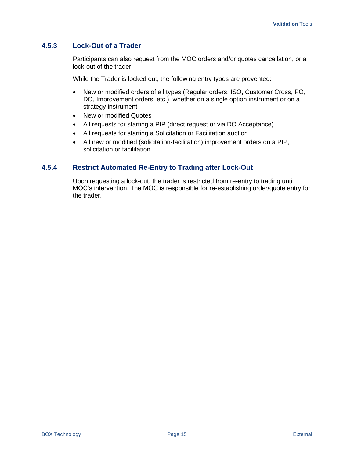## <span id="page-22-0"></span>**4.5.3 Lock-Out of a Trader**

Participants can also request from the MOC orders and/or quotes cancellation, or a lock-out of the trader.

While the Trader is locked out, the following entry types are prevented:

- New or modified orders of all types (Regular orders, ISO, Customer Cross, PO, DO, Improvement orders, etc.), whether on a single option instrument or on a strategy instrument
- New or modified Quotes
- All requests for starting a PIP (direct request or via DO Acceptance)
- All requests for starting a Solicitation or Facilitation auction
- All new or modified (solicitation-facilitation) improvement orders on a PIP, solicitation or facilitation

### <span id="page-22-1"></span>**4.5.4 Restrict Automated Re-Entry to Trading after Lock-Out**

Upon requesting a lock-out, the trader is restricted from re-entry to trading until MOC's intervention. The MOC is responsible for re-establishing order/quote entry for the trader.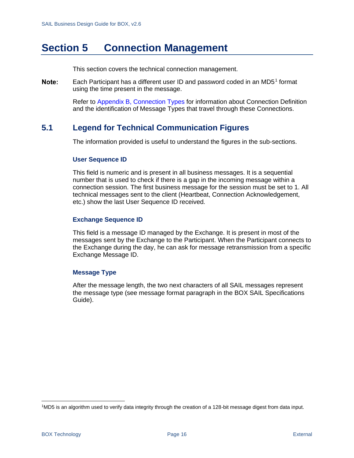# <span id="page-23-0"></span>**Section 5 Connection Management**

This section covers the technical connection management.

Each Participant has a different user ID and password coded in an MD5 $<sup>1</sup>$  format</sup> Note: using the time present in the message.

> Refer to [Appendix B, Connection Types](#page-101-0) for information about Connection Definition and the identification of Message Types that travel through these Connections.

# <span id="page-23-1"></span>**5.1 Legend for Technical Communication Figures**

The information provided is useful to understand the figures in the sub-sections.

#### **User Sequence ID**

This field is numeric and is present in all business messages. It is a sequential number that is used to check if there is a gap in the incoming message within a connection session. The first business message for the session must be set to 1. All technical messages sent to the client (Heartbeat, Connection Acknowledgement, etc.) show the last User Sequence ID received.

#### **Exchange Sequence ID**

This field is a message ID managed by the Exchange. It is present in most of the messages sent by the Exchange to the Participant. When the Participant connects to the Exchange during the day, he can ask for message retransmission from a specific Exchange Message ID.

#### **Message Type**

After the message length, the two next characters of all SAIL messages represent the message type (see message format paragraph in the BOX SAIL Specifications Guide).

<sup>1</sup>MD5 is an algorithm used to verify data integrity through the creation of a 128-bit message digest from data input.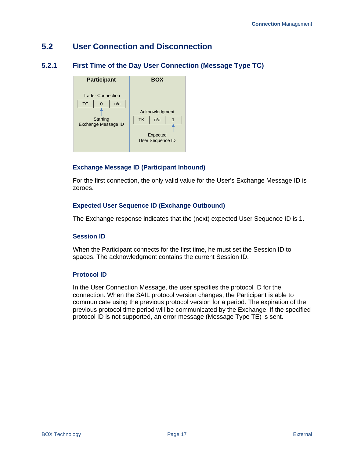# <span id="page-24-0"></span>**5.2 User Connection and Disconnection**

# <span id="page-24-1"></span>**5.2.1 First Time of the Day User Connection (Message Type TC)**



## **Exchange Message ID (Participant Inbound)**

For the first connection, the only valid value for the User's Exchange Message ID is zeroes.

### **Expected User Sequence ID (Exchange Outbound)**

The Exchange response indicates that the (next) expected User Sequence ID is 1.

#### **Session ID**

When the Participant connects for the first time, he must set the Session ID to spaces. The acknowledgment contains the current Session ID.

#### **Protocol ID**

In the User Connection Message, the user specifies the protocol ID for the connection. When the SAIL protocol version changes, the Participant is able to communicate using the previous protocol version for a period. The expiration of the previous protocol time period will be communicated by the Exchange. If the specified protocol ID is not supported, an error message (Message Type TE) is sent.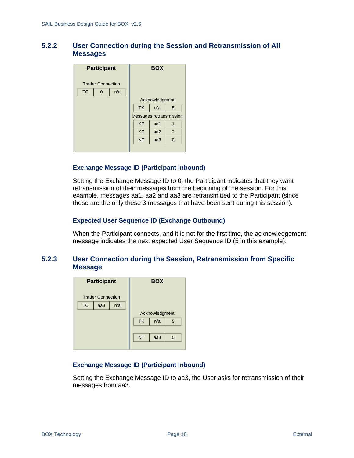## <span id="page-25-0"></span>**5.2.2 User Connection during the Session and Retransmission of All Messages**

| <b>Participant</b> |                          |     |           | <b>BOX</b>     |                         |  |
|--------------------|--------------------------|-----|-----------|----------------|-------------------------|--|
|                    | <b>Trader Connection</b> |     |           |                |                         |  |
| <b>TC</b>          | 0                        | n/a |           |                |                         |  |
|                    |                          |     |           | Acknowledgment |                         |  |
|                    |                          |     | <b>TK</b> | n/a            | 5                       |  |
|                    |                          |     |           |                | Messages retransmission |  |
|                    |                          |     | <b>KE</b> | aa1            | 1                       |  |
|                    |                          |     | <b>KE</b> | aa2            | 2                       |  |
|                    |                          |     | <b>NT</b> | aa3            | $\overline{0}$          |  |
|                    |                          |     |           |                |                         |  |

#### **Exchange Message ID (Participant Inbound)**

Setting the Exchange Message ID to 0, the Participant indicates that they want retransmission of their messages from the beginning of the session. For this example, messages aa1, aa2 and aa3 are retransmitted to the Participant (since these are the only these 3 messages that have been sent during this session).

#### **Expected User Sequence ID (Exchange Outbound)**

When the Participant connects, and it is not for the first time, the acknowledgement message indicates the next expected User Sequence ID (5 in this example).

#### <span id="page-25-1"></span>**5.2.3 User Connection during the Session, Retransmission from Specific Message**

| <b>Participant</b>      |                          |  |           | <b>BOX</b>     |          |
|-------------------------|--------------------------|--|-----------|----------------|----------|
|                         | <b>Trader Connection</b> |  |           |                |          |
| <b>TC</b><br>n/a<br>aa3 |                          |  |           |                |          |
|                         |                          |  |           | Acknowledgment |          |
|                         |                          |  | <b>TK</b> | n/a            | 5        |
|                         |                          |  |           |                |          |
|                         |                          |  | <b>NT</b> | aa3            | $\Omega$ |
|                         |                          |  |           |                |          |

#### **Exchange Message ID (Participant Inbound)**

Setting the Exchange Message ID to aa3, the User asks for retransmission of their messages from aa3.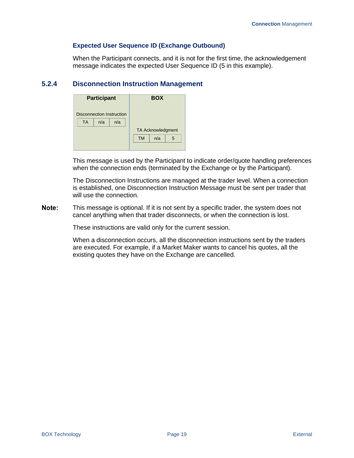#### **Expected User Sequence ID (Exchange Outbound)**

When the Participant connects, and it is not for the first time, the acknowledgement message indicates the expected User Sequence ID (5 in this example).

## <span id="page-26-0"></span>**5.2.4 Disconnection Instruction Management**

| <b>Participant</b>        |  |           | <b>BOX</b> |                          |  |
|---------------------------|--|-----------|------------|--------------------------|--|
| Disconnection Instruction |  |           |            |                          |  |
| <b>TA</b><br>n/a<br>n/a   |  |           |            |                          |  |
|                           |  |           |            | <b>TA Acknowledgment</b> |  |
|                           |  | <b>TM</b> | n/a        | 5                        |  |
|                           |  |           |            |                          |  |

This message is used by the Participant to indicate order/quote handling preferences when the connection ends (terminated by the Exchange or by the Participant).

The Disconnection Instructions are managed at the trader level. When a connection is established, one Disconnection Instruction Message must be sent per trader that will use the connection.

Note: This message is optional. If it is not sent by a specific trader, the system does not cancel anything when that trader disconnects, or when the connection is lost.

These instructions are valid only for the current session.

When a disconnection occurs, all the disconnection instructions sent by the traders are executed. For example, if a Market Maker wants to cancel his quotes, all the existing quotes they have on the Exchange are cancelled.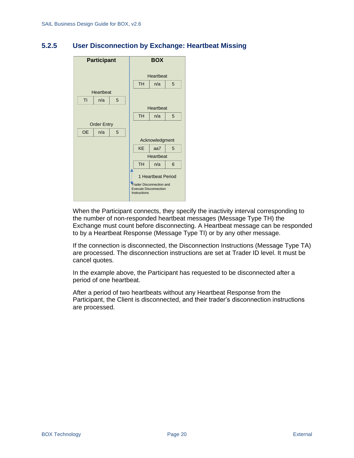## <span id="page-27-0"></span>**5.2.5 User Disconnection by Exchange: Heartbeat Missing**



When the Participant connects, they specify the inactivity interval corresponding to the number of non-responded heartbeat messages (Message Type TH) the Exchange must count before disconnecting. A Heartbeat message can be responded to by a Heartbeat Response (Message Type TI) or by any other message.

If the connection is disconnected, the Disconnection Instructions (Message Type TA) are processed. The disconnection instructions are set at Trader ID level. It must be cancel quotes.

In the example above, the Participant has requested to be disconnected after a period of one heartbeat.

After a period of two heartbeats without any Heartbeat Response from the Participant, the Client is disconnected, and their trader's disconnection instructions are processed.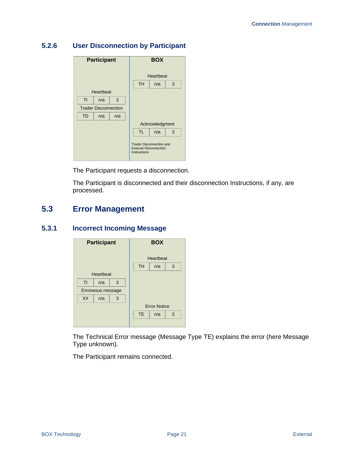# <span id="page-28-0"></span>**5.2.6 User Disconnection by Participant**



The Participant requests a disconnection.

The Participant is disconnected and their disconnection Instructions, if any, are processed.

# <span id="page-28-1"></span>**5.3 Error Management**

## <span id="page-28-2"></span>**5.3.1 Incorrect Incoming Message**



The Technical Error message (Message Type TE) explains the error (here Message Type unknown).

The Participant remains connected.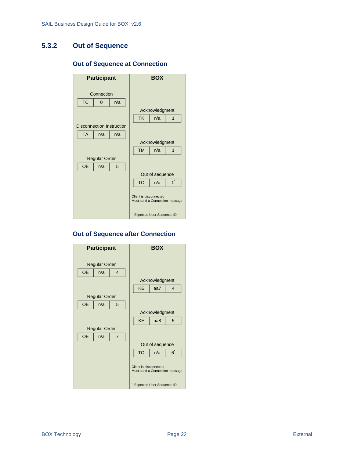# <span id="page-29-0"></span>**5.3.2 Out of Sequence**

## **Out of Sequence at Connection**



#### **Out of Sequence after Connection**

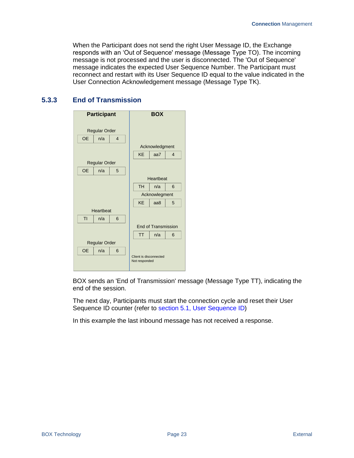When the Participant does not send the right User Message ID, the Exchange responds with an 'Out of Sequence' message (Message Type TO). The incoming message is not processed and the user is disconnected. The 'Out of Sequence' message indicates the expected User Sequence Number. The Participant must reconnect and restart with its User Sequence ID equal to the value indicated in the User Connection Acknowledgement message (Message Type TK).

## <span id="page-30-0"></span>**5.3.3 End of Transmission**

| <b>Participant</b>                                               |     |                | <b>BOX</b>                 |     |                |
|------------------------------------------------------------------|-----|----------------|----------------------------|-----|----------------|
| <b>Regular Order</b>                                             |     |                |                            |     |                |
| <b>OE</b>                                                        | n/a | $\overline{4}$ |                            |     |                |
|                                                                  |     |                | Acknowledgment             |     |                |
|                                                                  |     |                | <b>KE</b>                  | aa7 | $\overline{4}$ |
| <b>Regular Order</b>                                             |     |                |                            |     |                |
| <b>OE</b>                                                        | n/a | 5              |                            |     |                |
|                                                                  |     |                | Heartbeat                  |     |                |
|                                                                  |     |                | <b>TH</b>                  | n/a | 6              |
|                                                                  |     |                | Acknowlegment              |     |                |
|                                                                  |     |                | <b>KE</b>                  | aa8 | 5              |
| Heartbeat                                                        |     |                |                            |     |                |
| TI                                                               | n/a | 6              |                            |     |                |
|                                                                  |     |                | <b>End of Transmission</b> |     |                |
|                                                                  |     |                | <b>TT</b>                  | n/a | 6              |
| <b>Regular Order</b>                                             |     |                |                            |     |                |
| <b>OE</b><br>n/a<br>6<br>Client is disconnected<br>Not responded |     |                |                            |     |                |

BOX sends an 'End of Transmission' message (Message Type TT), indicating the end of the session.

The next day, Participants must start the connection cycle and reset their User Sequence ID counter (refer to section 5.1, User Sequence ID)

In this example the last inbound message has not received a response.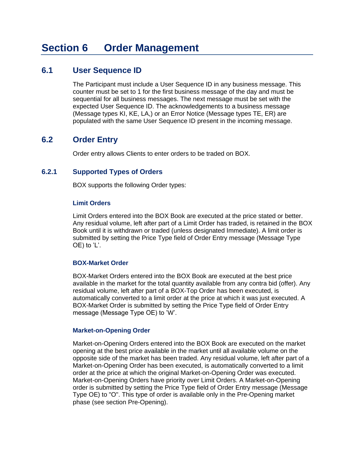# <span id="page-31-1"></span><span id="page-31-0"></span>**6.1 User Sequence ID**

The Participant must include a User Sequence ID in any business message. This counter must be set to 1 for the first business message of the day and must be sequential for all business messages. The next message must be set with the expected User Sequence ID. The acknowledgements to a business message (Message types KI, KE, LA,) or an Error Notice (Message types TE, ER) are populated with the same User Sequence ID present in the incoming message.

# <span id="page-31-2"></span>**6.2 Order Entry**

Order entry allows Clients to enter orders to be traded on BOX.

### <span id="page-31-3"></span>**6.2.1 Supported Types of Orders**

BOX supports the following Order types:

#### **Limit Orders**

Limit Orders entered into the BOX Book are executed at the price stated or better. Any residual volume, left after part of a Limit Order has traded, is retained in the BOX Book until it is withdrawn or traded (unless designated Immediate). A limit order is submitted by setting the Price Type field of Order Entry message (Message Type OE) to 'L'.

#### **BOX-Market Order**

BOX-Market Orders entered into the BOX Book are executed at the best price available in the market for the total quantity available from any contra bid (offer). Any residual volume, left after part of a BOX-Top Order has been executed, is automatically converted to a limit order at the price at which it was just executed. A BOX-Market Order is submitted by setting the Price Type field of Order Entry message (Message Type OE) to 'W'.

#### **Market-on-Opening Order**

Market-on-Opening Orders entered into the BOX Book are executed on the market opening at the best price available in the market until all available volume on the opposite side of the market has been traded. Any residual volume, left after part of a Market-on-Opening Order has been executed, is automatically converted to a limit order at the price at which the original Market-on-Opening Order was executed. Market-on-Opening Orders have priority over Limit Orders. A Market-on-Opening order is submitted by setting the Price Type field of Order Entry message (Message Type OE) to "O". This type of order is available only in the Pre-Opening market phase (see section Pre-Opening).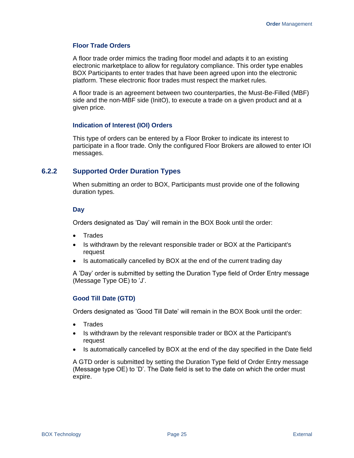#### **Floor Trade Orders**

A floor trade order mimics the trading floor model and adapts it to an existing electronic marketplace to allow for regulatory compliance. This order type enables BOX Participants to enter trades that have been agreed upon into the electronic platform. These electronic floor trades must respect the market rules.

A floor trade is an agreement between two counterparties, the Must-Be-Filled (MBF) side and the non-MBF side (InitO), to execute a trade on a given product and at a given price.

#### **Indication of Interest (IOI) Orders**

This type of orders can be entered by a Floor Broker to indicate its interest to participate in a floor trade. Only the configured Floor Brokers are allowed to enter IOI messages.

#### <span id="page-32-0"></span>**6.2.2 Supported Order Duration Types**

When submitting an order to BOX, Participants must provide one of the following duration types.

#### **Day**

Orders designated as 'Day' will remain in the BOX Book until the order:

- Trades
- Is withdrawn by the relevant responsible trader or BOX at the Participant's request
- Is automatically cancelled by BOX at the end of the current trading day

A 'Day' order is submitted by setting the Duration Type field of Order Entry message (Message Type OE) to 'J'.

#### **Good Till Date (GTD)**

Orders designated as 'Good Till Date' will remain in the BOX Book until the order:

- Trades
- Is withdrawn by the relevant responsible trader or BOX at the Participant's request
- Is automatically cancelled by BOX at the end of the day specified in the Date field

A GTD order is submitted by setting the Duration Type field of Order Entry message (Message type OE) to 'D'. The Date field is set to the date on which the order must expire.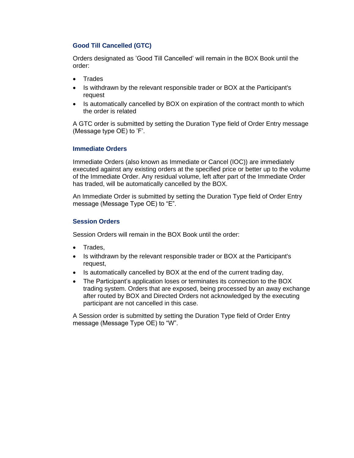### **Good Till Cancelled (GTC)**

Orders designated as 'Good Till Cancelled' will remain in the BOX Book until the order:

- Trades
- Is withdrawn by the relevant responsible trader or BOX at the Participant's request
- Is automatically cancelled by BOX on expiration of the contract month to which the order is related

A GTC order is submitted by setting the Duration Type field of Order Entry message (Message type OE) to 'F'.

#### **Immediate Orders**

Immediate Orders (also known as Immediate or Cancel (IOC)) are immediately executed against any existing orders at the specified price or better up to the volume of the Immediate Order. Any residual volume, left after part of the Immediate Order has traded, will be automatically cancelled by the BOX.

An Immediate Order is submitted by setting the Duration Type field of Order Entry message (Message Type OE) to "E".

#### **Session Orders**

Session Orders will remain in the BOX Book until the order:

- Trades,
- Is withdrawn by the relevant responsible trader or BOX at the Participant's request,
- Is automatically cancelled by BOX at the end of the current trading day,
- The Participant's application loses or terminates its connection to the BOX trading system. Orders that are exposed, being processed by an away exchange after routed by BOX and Directed Orders not acknowledged by the executing participant are not cancelled in this case.

A Session order is submitted by setting the Duration Type field of Order Entry message (Message Type OE) to "W".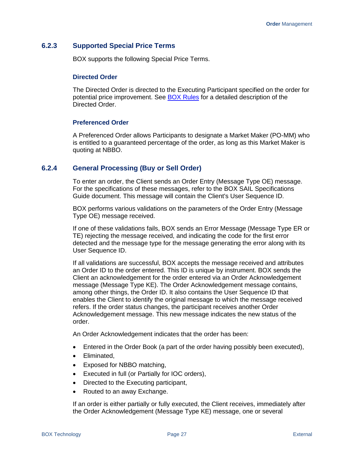#### <span id="page-34-0"></span>**6.2.3 Supported Special Price Terms**

BOX supports the following Special Price Terms.

#### **Directed Order**

The Directed Order is directed to the Executing Participant specified on the order for potential price improvement. See [BOX Rules](https://rules.boxoptions.com/browse) for a detailed description of the Directed Order.

#### **Preferenced Order**

A Preferenced Order allows Participants to designate a Market Maker (PO-MM) who is entitled to a guaranteed percentage of the order, as long as this Market Maker is quoting at NBBO.

#### <span id="page-34-1"></span>**6.2.4 General Processing (Buy or Sell Order)**

To enter an order, the Client sends an Order Entry (Message Type OE) message. For the specifications of these messages, refer to the BOX SAIL Specifications Guide document. This message will contain the Client's User Sequence ID.

BOX performs various validations on the parameters of the Order Entry (Message Type OE) message received.

If one of these validations fails, BOX sends an Error Message (Message Type ER or TE) rejecting the message received, and indicating the code for the first error detected and the message type for the message generating the error along with its User Sequence ID.

If all validations are successful, BOX accepts the message received and attributes an Order ID to the order entered. This ID is unique by instrument. BOX sends the Client an acknowledgement for the order entered via an Order Acknowledgement message (Message Type KE). The Order Acknowledgement message contains, among other things, the Order ID. It also contains the User Sequence ID that enables the Client to identify the original message to which the message received refers. If the order status changes, the participant receives another Order Acknowledgement message. This new message indicates the new status of the order.

An Order Acknowledgement indicates that the order has been:

- Entered in the Order Book (a part of the order having possibly been executed),
- Eliminated,
- Exposed for NBBO matching,
- Executed in full (or Partially for IOC orders),
- Directed to the Executing participant,
- Routed to an away Exchange.

If an order is either partially or fully executed, the Client receives, immediately after the Order Acknowledgement (Message Type KE) message, one or several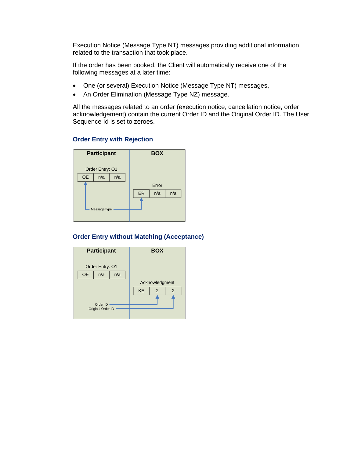Execution Notice (Message Type NT) messages providing additional information related to the transaction that took place.

If the order has been booked, the Client will automatically receive one of the following messages at a later time:

- One (or several) Execution Notice (Message Type NT) messages,
- An Order Elimination (Message Type NZ) message.

All the messages related to an order (execution notice, cancellation notice, order acknowledgement) contain the current Order ID and the Original Order ID. The User Sequence Id is set to zeroes.



# **Order Entry with Rejection**

#### **Order Entry without Matching (Acceptance)**

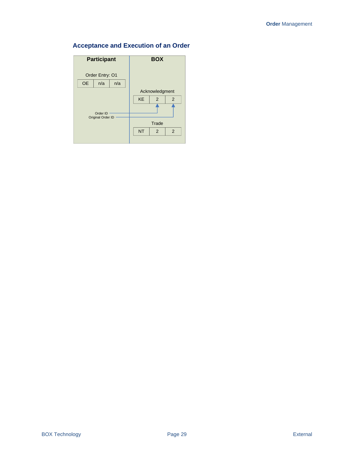## **Acceptance and Execution of an Order**

| <b>Participant</b>      | <b>BOX</b>          |
|-------------------------|---------------------|
| Order Entry: 01         |                     |
| <b>OE</b><br>n/a<br>n/a |                     |
|                         | Acknowledgment      |
|                         | <b>KE</b><br>2<br>2 |
| Order ID                |                     |
| Original Order ID       | Trade               |
|                         | <b>NT</b><br>2<br>2 |
|                         |                     |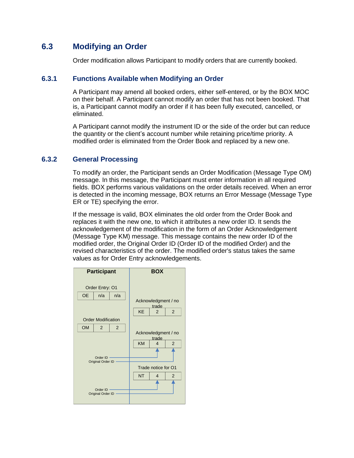## **6.3 Modifying an Order**

Order modification allows Participant to modify orders that are currently booked.

## **6.3.1 Functions Available when Modifying an Order**

A Participant may amend all booked orders, either self-entered, or by the BOX MOC on their behalf. A Participant cannot modify an order that has not been booked. That is, a Participant cannot modify an order if it has been fully executed, cancelled, or eliminated.

A Participant cannot modify the instrument ID or the side of the order but can reduce the quantity or the client's account number while retaining price/time priority. A modified order is eliminated from the Order Book and replaced by a new one.

## **6.3.2 General Processing**

To modify an order, the Participant sends an Order Modification (Message Type OM) message. In this message, the Participant must enter information in all required fields. BOX performs various validations on the order details received. When an error is detected in the incoming message, BOX returns an Error Message (Message Type ER or TE) specifying the error.

If the message is valid, BOX eliminates the old order from the Order Book and replaces it with the new one, to which it attributes a new order ID. It sends the acknowledgement of the modification in the form of an Order Acknowledgement (Message Type KM) message. This message contains the new order ID of the modified order, the Original Order ID (Order ID of the modified Order) and the revised characteristics of the order. The modified order's status takes the same values as for Order Entry acknowledgements.

| <b>Participant</b>                                                        | <b>BOX</b>                                                                              |
|---------------------------------------------------------------------------|-----------------------------------------------------------------------------------------|
| Order Entry: 01<br><b>OE</b><br>n/a<br>n/a                                | Acknowledgment / no<br>trade<br>$\overline{2}$<br><b>KE</b><br>$\overline{2}$           |
| <b>Order Modification</b><br><b>OM</b><br>$\overline{2}$<br>2<br>Order ID | Acknowledgment / no<br>trade<br><b>KM</b><br>$\overline{2}$<br>$\overline{\mathcal{A}}$ |
| Original Order ID<br>Order ID<br>Original Order ID                        | Trade notice for O1<br><b>NT</b><br>$\overline{2}$<br>$\overline{\mathcal{A}}$          |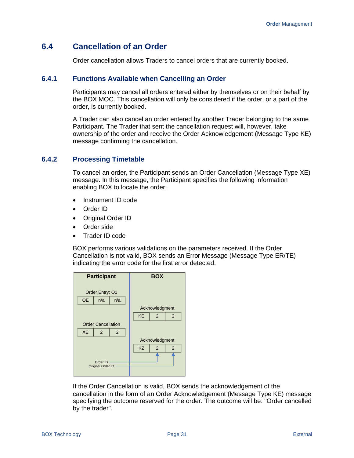## **6.4 Cancellation of an Order**

Order cancellation allows Traders to cancel orders that are currently booked.

## **6.4.1 Functions Available when Cancelling an Order**

Participants may cancel all orders entered either by themselves or on their behalf by the BOX MOC. This cancellation will only be considered if the order, or a part of the order, is currently booked.

A Trader can also cancel an order entered by another Trader belonging to the same Participant. The Trader that sent the cancellation request will, however, take ownership of the order and receive the Order Acknowledgement (Message Type KE) message confirming the cancellation.

## **6.4.2 Processing Timetable**

To cancel an order, the Participant sends an Order Cancellation (Message Type XE) message. In this message, the Participant specifies the following information enabling BOX to locate the order:

- Instrument ID code
- Order ID
- Original Order ID
- Order side
- Trader ID code

BOX performs various validations on the parameters received. If the Order Cancellation is not valid, BOX sends an Error Message (Message Type ER/TE) indicating the error code for the first error detected.



If the Order Cancellation is valid, BOX sends the acknowledgement of the cancellation in the form of an Order Acknowledgement (Message Type KE) message specifying the outcome reserved for the order. The outcome will be: "Order cancelled by the trader".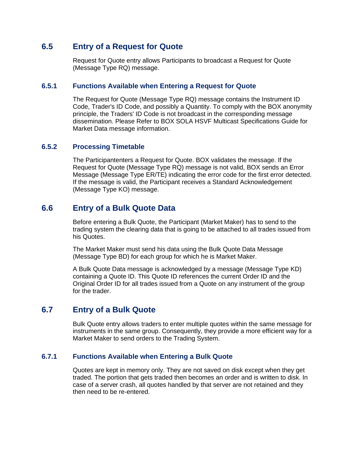## **6.5 Entry of a Request for Quote**

Request for Quote entry allows Participants to broadcast a Request for Quote (Message Type RQ) message.

## **6.5.1 Functions Available when Entering a Request for Quote**

The Request for Quote (Message Type RQ) message contains the Instrument ID Code, Trader's ID Code, and possibly a Quantity. To comply with the BOX anonymity principle, the Traders' ID Code is not broadcast in the corresponding message dissemination. Please Refer to BOX SOLA HSVF Multicast Specifications Guide for Market Data message information.

## **6.5.2 Processing Timetable**

The Participantenters a Request for Quote. BOX validates the message. If the Request for Quote (Message Type RQ) message is not valid, BOX sends an Error Message (Message Type ER/TE) indicating the error code for the first error detected. If the message is valid, the Participant receives a Standard Acknowledgement (Message Type KO) message.

## **6.6 Entry of a Bulk Quote Data**

Before entering a Bulk Quote, the Participant (Market Maker) has to send to the trading system the clearing data that is going to be attached to all trades issued from his Quotes.

The Market Maker must send his data using the Bulk Quote Data Message (Message Type BD) for each group for which he is Market Maker.

A Bulk Quote Data message is acknowledged by a message (Message Type KD) containing a Quote ID. This Quote ID references the current Order ID and the Original Order ID for all trades issued from a Quote on any instrument of the group for the trader.

## **6.7 Entry of a Bulk Quote**

Bulk Quote entry allows traders to enter multiple quotes within the same message for instruments in the same group. Consequently, they provide a more efficient way for a Market Maker to send orders to the Trading System.

## **6.7.1 Functions Available when Entering a Bulk Quote**

Quotes are kept in memory only. They are not saved on disk except when they get traded. The portion that gets traded then becomes an order and is written to disk. In case of a server crash, all quotes handled by that server are not retained and they then need to be re-entered.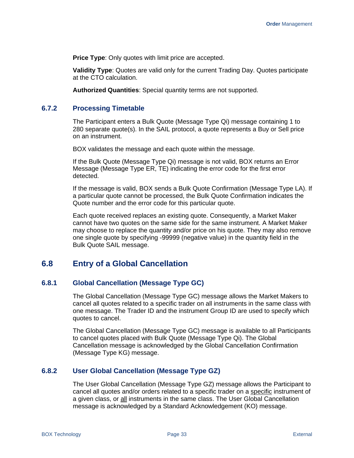**Price Type:** Only quotes with limit price are accepted.

**Validity Type**: Quotes are valid only for the current Trading Day. Quotes participate at the CTO calculation.

**Authorized Quantities**: Special quantity terms are not supported.

#### **6.7.2 Processing Timetable**

The Participant enters a Bulk Quote (Message Type Qi) message containing 1 to 280 separate quote(s). In the SAIL protocol, a quote represents a Buy or Sell price on an instrument.

BOX validates the message and each quote within the message.

If the Bulk Quote (Message Type Qi) message is not valid, BOX returns an Error Message (Message Type ER, TE) indicating the error code for the first error detected.

If the message is valid, BOX sends a Bulk Quote Confirmation (Message Type LA). If a particular quote cannot be processed, the Bulk Quote Confirmation indicates the Quote number and the error code for this particular quote.

Each quote received replaces an existing quote. Consequently, a Market Maker cannot have two quotes on the same side for the same instrument. A Market Maker may choose to replace the quantity and/or price on his quote. They may also remove one single quote by specifying -99999 (negative value) in the quantity field in the Bulk Quote SAIL message.

## **6.8 Entry of a Global Cancellation**

#### **6.8.1 Global Cancellation (Message Type GC)**

The Global Cancellation (Message Type GC) message allows the Market Makers to cancel all quotes related to a specific trader on all instruments in the same class with one message. The Trader ID and the instrument Group ID are used to specify which quotes to cancel.

The Global Cancellation (Message Type GC) message is available to all Participants to cancel quotes placed with Bulk Quote (Message Type Qi). The Global Cancellation message is acknowledged by the Global Cancellation Confirmation (Message Type KG) message.

#### **6.8.2 User Global Cancellation (Message Type GZ)**

The User Global Cancellation (Message Type GZ) message allows the Participant to cancel all quotes and/or orders related to a specific trader on a specific instrument of a given class, or all instruments in the same class. The User Global Cancellation message is acknowledged by a Standard Acknowledgement (KO) message.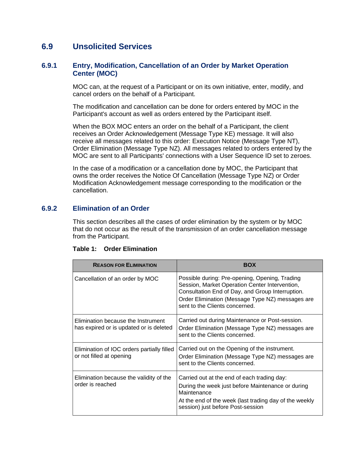## **6.9 Unsolicited Services**

## **6.9.1 Entry, Modification, Cancellation of an Order by Market Operation Center (MOC)**

MOC can, at the request of a Participant or on its own initiative, enter, modify, and cancel orders on the behalf of a Participant.

The modification and cancellation can be done for orders entered by MOC in the Participant's account as well as orders entered by the Participant itself.

When the BOX MOC enters an order on the behalf of a Participant, the client receives an Order Acknowledgement (Message Type KE) message. It will also receive all messages related to this order: Execution Notice (Message Type NT), Order Elimination (Message Type NZ). All messages related to orders entered by the MOC are sent to all Participants' connections with a User Sequence ID set to zeroes.

In the case of a modification or a cancellation done by MOC, the Participant that owns the order receives the Notice Of Cancellation (Message Type NZ) or Order Modification Acknowledgement message corresponding to the modification or the cancellation.

## **6.9.2 Elimination of an Order**

This section describes all the cases of order elimination by the system or by MOC that do not occur as the result of the transmission of an order cancellation message from the Participant.

| <b>REASON FOR ELIMINATION</b>                                                 | <b>BOX</b>                                                                                                                                                                                                                                 |
|-------------------------------------------------------------------------------|--------------------------------------------------------------------------------------------------------------------------------------------------------------------------------------------------------------------------------------------|
| Cancellation of an order by MOC                                               | Possible during: Pre-opening, Opening, Trading<br>Session, Market Operation Center Intervention,<br>Consultation End of Day, and Group Interruption.<br>Order Elimination (Message Type NZ) messages are<br>sent to the Clients concerned. |
| Elimination because the Instrument<br>has expired or is updated or is deleted | Carried out during Maintenance or Post-session.<br>Order Elimination (Message Type NZ) messages are<br>sent to the Clients concerned.                                                                                                      |
| Elimination of IOC orders partially filled<br>or not filled at opening        | Carried out on the Opening of the instrument.<br>Order Elimination (Message Type NZ) messages are<br>sent to the Clients concerned.                                                                                                        |
| Elimination because the validity of the<br>order is reached                   | Carried out at the end of each trading day:<br>During the week just before Maintenance or during<br>Maintenance<br>At the end of the week (last trading day of the weekly<br>session) just before Post-session                             |

#### **Table 1: Order Elimination**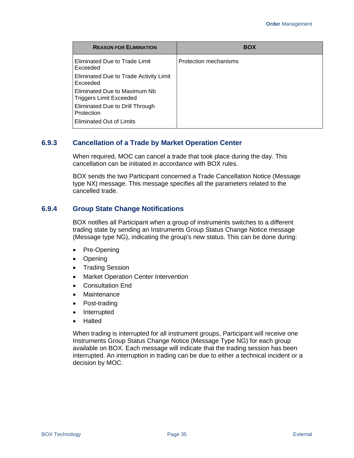| <b>REASON FOR ELIMINATION</b>                           | <b>BOX</b>            |
|---------------------------------------------------------|-----------------------|
| Eliminated Due to Trade Limit<br>Exceeded               | Protection mechanisms |
| Eliminated Due to Trade Activity Limit<br>Exceeded      |                       |
| Eliminated Due to Maximum Nb<br>Triggers Limit Exceeded |                       |
| Eliminated Due to Drill Through<br>Protection           |                       |
| <b>Eliminated Out of Limits</b>                         |                       |

## **6.9.3 Cancellation of a Trade by Market Operation Center**

When required, MOC can cancel a trade that took place during the day. This cancellation can be initiated in accordance with BOX rules.

BOX sends the two Participant concerned a Trade Cancellation Notice (Message type NX) message. This message specifies all the parameters related to the cancelled trade.

## **6.9.4 Group State Change Notifications**

BOX notifies all Participant when a group of instruments switches to a different trading state by sending an Instruments Group Status Change Notice message (Message type NG), indicating the group's new status. This can be done during:

- Pre-Opening
- Opening
- Trading Session
- Market Operation Center Intervention
- Consultation End
- **Maintenance**
- Post-trading
- Interrupted
- Halted

When trading is interrupted for all instrument groups, Participant will receive one Instruments Group Status Change Notice (Message Type NG) for each group available on BOX. Each message will indicate that the trading session has been interrupted. An interruption in trading can be due to either a technical incident or a decision by MOC.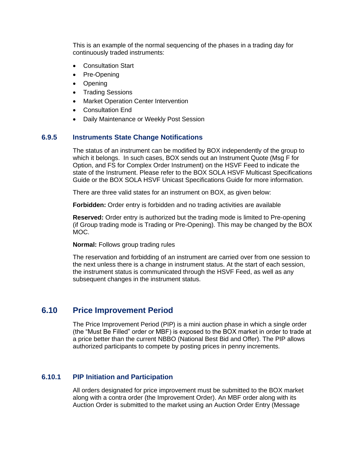This is an example of the normal sequencing of the phases in a trading day for continuously traded instruments:

- Consultation Start
- Pre-Opening
- Opening
- Trading Sessions
- Market Operation Center Intervention
- Consultation End
- Daily Maintenance or Weekly Post Session

#### **6.9.5 Instruments State Change Notifications**

The status of an instrument can be modified by BOX independently of the group to which it belongs. In such cases, BOX sends out an Instrument Quote (Msg F for Option, and FS for Complex Order Instrument) on the HSVF Feed to indicate the state of the Instrument. Please refer to the BOX SOLA HSVF Multicast Specifications Guide or the BOX SOLA HSVF Unicast Specifications Guide for more information.

There are three valid states for an instrument on BOX, as given below:

**Forbidden:** Order entry is forbidden and no trading activities are available

**Reserved:** Order entry is authorized but the trading mode is limited to Pre-opening (if Group trading mode is Trading or Pre-Opening). This may be changed by the BOX MOC.

**Normal:** Follows group trading rules

The reservation and forbidding of an instrument are carried over from one session to the next unless there is a change in instrument status. At the start of each session, the instrument status is communicated through the HSVF Feed, as well as any subsequent changes in the instrument status.

## **6.10 Price Improvement Period**

The Price Improvement Period (PIP) is a mini auction phase in which a single order (the "Must Be Filled" order or MBF) is exposed to the BOX market in order to trade at a price better than the current NBBO (National Best Bid and Offer). The PIP allows authorized participants to compete by posting prices in penny increments.

## **6.10.1 PIP Initiation and Participation**

All orders designated for price improvement must be submitted to the BOX market along with a contra order (the Improvement Order). An MBF order along with its Auction Order is submitted to the market using an Auction Order Entry (Message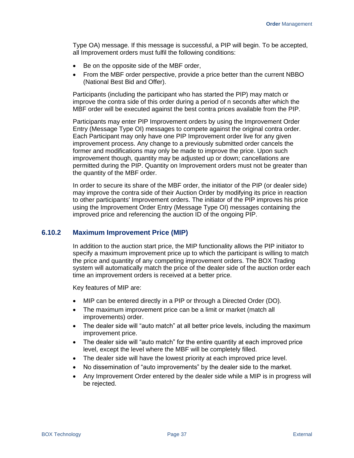Type OA) message. If this message is successful, a PIP will begin. To be accepted, all Improvement orders must fulfil the following conditions:

- Be on the opposite side of the MBF order,
- From the MBF order perspective, provide a price better than the current NBBO (National Best Bid and Offer).

Participants (including the participant who has started the PIP) may match or improve the contra side of this order during a period of n seconds after which the MBF order will be executed against the best contra prices available from the PIP.

Participants may enter PIP Improvement orders by using the Improvement Order Entry (Message Type OI) messages to compete against the original contra order. Each Participant may only have one PIP Improvement order live for any given improvement process. Any change to a previously submitted order cancels the former and modifications may only be made to improve the price. Upon such improvement though, quantity may be adjusted up or down; cancellations are permitted during the PIP. Quantity on Improvement orders must not be greater than the quantity of the MBF order.

In order to secure its share of the MBF order, the initiator of the PIP (or dealer side) may improve the contra side of their Auction Order by modifying its price in reaction to other participants' Improvement orders. The initiator of the PIP improves his price using the Improvement Order Entry (Message Type OI) messages containing the improved price and referencing the auction ID of the ongoing PIP.

#### <span id="page-44-0"></span>**6.10.2 Maximum Improvement Price (MIP)**

In addition to the auction start price, the MIP functionality allows the PIP initiator to specify a maximum improvement price up to which the participant is willing to match the price and quantity of any competing improvement orders. The BOX Trading system will automatically match the price of the dealer side of the auction order each time an improvement orders is received at a better price.

Key features of MIP are:

- MIP can be entered directly in a PIP or through a Directed Order (DO).
- The maximum improvement price can be a limit or market (match all improvements) order.
- The dealer side will "auto match" at all better price levels, including the maximum improvement price.
- The dealer side will "auto match" for the entire quantity at each improved price level, except the level where the MBF will be completely filled.
- The dealer side will have the lowest priority at each improved price level.
- No dissemination of "auto improvements" by the dealer side to the market.
- Any Improvement Order entered by the dealer side while a MIP is in progress will be rejected.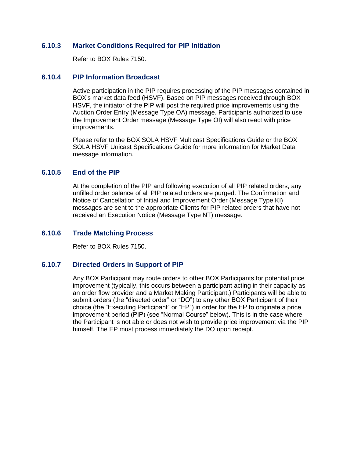## **6.10.3 Market Conditions Required for PIP Initiation**

Refer to BOX Rules 7150.

## **6.10.4 PIP Information Broadcast**

Active participation in the PIP requires processing of the PIP messages contained in BOX's market data feed (HSVF). Based on PIP messages received through BOX HSVF, the initiator of the PIP will post the required price improvements using the Auction Order Entry (Message Type OA) message. Participants authorized to use the Improvement Order message (Message Type OI) will also react with price improvements.

Please refer to the BOX SOLA HSVF Multicast Specifications Guide or the BOX SOLA HSVF Unicast Specifications Guide for more information for Market Data message information.

## **6.10.5 End of the PIP**

At the completion of the PIP and following execution of all PIP related orders, any unfilled order balance of all PIP related orders are purged. The Confirmation and Notice of Cancellation of Initial and Improvement Order (Message Type KI) messages are sent to the appropriate Clients for PIP related orders that have not received an Execution Notice (Message Type NT) message.

## **6.10.6 Trade Matching Process**

Refer to BOX Rules 7150.

## **6.10.7 Directed Orders in Support of PIP**

Any BOX Participant may route orders to other BOX Participants for potential price improvement (typically, this occurs between a participant acting in their capacity as an order flow provider and a Market Making Participant.) Participants will be able to submit orders (the "directed order" or "DO") to any other BOX Participant of their choice (the "Executing Participant" or "EP") in order for the EP to originate a price improvement period (PIP) (see "Normal Course" below). This is in the case where the Participant is not able or does not wish to provide price improvement via the PIP himself. The EP must process immediately the DO upon receipt.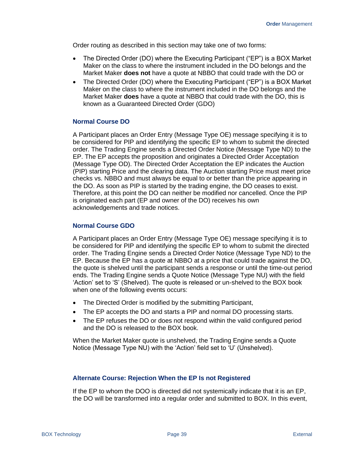Order routing as described in this section may take one of two forms:

- The Directed Order (DO) where the Executing Participant ("EP") is a BOX Market Maker on the class to where the instrument included in the DO belongs and the Market Maker **does not** have a quote at NBBO that could trade with the DO or
- The Directed Order (DO) where the Executing Participant ("EP") is a BOX Market Maker on the class to where the instrument included in the DO belongs and the Market Maker **does** have a quote at NBBO that could trade with the DO, this is known as a Guaranteed Directed Order (GDO)

#### **Normal Course DO**

A Participant places an Order Entry (Message Type OE) message specifying it is to be considered for PIP and identifying the specific EP to whom to submit the directed order. The Trading Engine sends a Directed Order Notice (Message Type ND) to the EP. The EP accepts the proposition and originates a Directed Order Acceptation (Message Type OD). The Directed Order Acceptation the EP indicates the Auction (PIP) starting Price and the clearing data. The Auction starting Price must meet price checks vs. NBBO and must always be equal to or better than the price appearing in the DO. As soon as PIP is started by the trading engine, the DO ceases to exist. Therefore, at this point the DO can neither be modified nor cancelled. Once the PIP is originated each part (EP and owner of the DO) receives his own acknowledgements and trade notices.

#### **Normal Course GDO**

A Participant places an Order Entry (Message Type OE) message specifying it is to be considered for PIP and identifying the specific EP to whom to submit the directed order. The Trading Engine sends a Directed Order Notice (Message Type ND) to the EP. Because the EP has a quote at NBBO at a price that could trade against the DO, the quote is shelved until the participant sends a response or until the time-out period ends. The Trading Engine sends a Quote Notice (Message Type NU) with the field 'Action' set to 'S' (Shelved). The quote is released or un-shelved to the BOX book when one of the following events occurs:

- The Directed Order is modified by the submitting Participant,
- The EP accepts the DO and starts a PIP and normal DO processing starts.
- The EP refuses the DO or does not respond within the valid configured period and the DO is released to the BOX book.

When the Market Maker quote is unshelved, the Trading Engine sends a Quote Notice (Message Type NU) with the 'Action' field set to 'U' (Unshelved).

#### **Alternate Course: Rejection When the EP Is not Registered**

If the EP to whom the DOO is directed did not systemically indicate that it is an EP, the DO will be transformed into a regular order and submitted to BOX. In this event,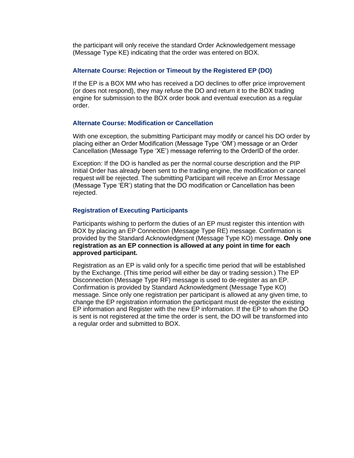the participant will only receive the standard Order Acknowledgement message (Message Type KE) indicating that the order was entered on BOX.

#### **Alternate Course: Rejection or Timeout by the Registered EP (DO)**

If the EP is a BOX MM who has received a DO declines to offer price improvement (or does not respond), they may refuse the DO and return it to the BOX trading engine for submission to the BOX order book and eventual execution as a regular order.

#### **Alternate Course: Modification or Cancellation**

With one exception, the submitting Participant may modify or cancel his DO order by placing either an Order Modification (Message Type 'OM') message or an Order Cancellation (Message Type 'XE') message referring to the OrderID of the order.

Exception: If the DO is handled as per the normal course description and the PIP Initial Order has already been sent to the trading engine, the modification or cancel request will be rejected. The submitting Participant will receive an Error Message (Message Type 'ER') stating that the DO modification or Cancellation has been rejected.

#### **Registration of Executing Participants**

Participants wishing to perform the duties of an EP must register this intention with BOX by placing an EP Connection (Message Type RE) message. Confirmation is provided by the Standard Acknowledgment (Message Type KO) message. **Only one registration as an EP connection is allowed at any point in time for each approved participant.**

Registration as an EP is valid only for a specific time period that will be established by the Exchange. (This time period will either be day or trading session.) The EP Disconnection (Message Type RF) message is used to de-register as an EP. Confirmation is provided by Standard Acknowledgment (Message Type KO) message. Since only one registration per participant is allowed at any given time, to change the EP registration information the participant must de-register the existing EP information and Register with the new EP information. If the EP to whom the DO is sent is not registered at the time the order is sent, the DO will be transformed into a regular order and submitted to BOX.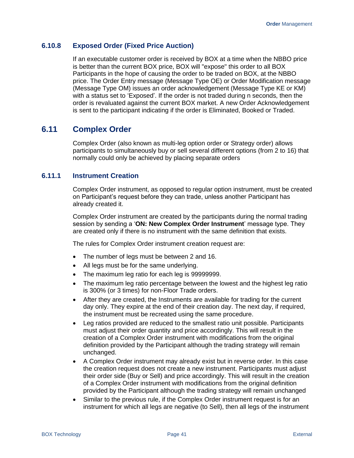## **6.10.8 Exposed Order (Fixed Price Auction)**

If an executable customer order is received by BOX at a time when the NBBO price is better than the current BOX price, BOX will "expose" this order to all BOX Participants in the hope of causing the order to be traded on BOX, at the NBBO price. The Order Entry message (Message Type OE) or Order Modification message (Message Type OM) issues an order acknowledgement (Message Type KE or KM) with a status set to 'Exposed'. If the order is not traded during n seconds, then the order is revaluated against the current BOX market. A new Order Acknowledgement is sent to the participant indicating if the order is Eliminated, Booked or Traded.

## **6.11 Complex Order**

Complex Order (also known as multi-leg option order or Strategy order) allows participants to simultaneously buy or sell several different options (from 2 to 16) that normally could only be achieved by placing separate orders

## **6.11.1 Instrument Creation**

Complex Order instrument, as opposed to regular option instrument, must be created on Participant's request before they can trade, unless another Participant has already created it.

Complex Order instrument are created by the participants during the normal trading session by sending a '**ON: New Complex Order Instrument**' message type. They are created only if there is no instrument with the same definition that exists.

The rules for Complex Order instrument creation request are:

- The number of legs must be between 2 and 16.
- All legs must be for the same underlying.
- The maximum leg ratio for each leg is 99999999.
- The maximum leg ratio percentage between the lowest and the highest leg ratio is 300% (or 3 times) for non-Floor Trade orders.
- After they are created, the Instruments are available for trading for the current day only. They expire at the end of their creation day. The next day, if required, the instrument must be recreated using the same procedure.
- Leg ratios provided are reduced to the smallest ratio unit possible. Participants must adjust their order quantity and price accordingly. This will result in the creation of a Complex Order instrument with modifications from the original definition provided by the Participant although the trading strategy will remain unchanged.
- A Complex Order instrument may already exist but in reverse order. In this case the creation request does not create a new instrument. Participants must adjust their order side (Buy or Sell) and price accordingly. This will result in the creation of a Complex Order instrument with modifications from the original definition provided by the Participant although the trading strategy will remain unchanged
- Similar to the previous rule, if the Complex Order instrument request is for an instrument for which all legs are negative (to Sell), then all legs of the instrument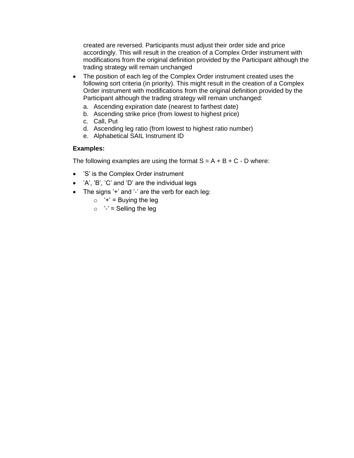created are reversed. Participants must adjust their order side and price accordingly. This will result in the creation of a Complex Order instrument with modifications from the original definition provided by the Participant although the trading strategy will remain unchanged

- The position of each leg of the Complex Order instrument created uses the following sort criteria (in priority). This might result in the creation of a Complex Order instrument with modifications from the original definition provided by the Participant although the trading strategy will remain unchanged:
	- a. Ascending expiration date (nearest to farthest date)
	- b. Ascending strike price (from lowest to highest price)
	- c. Call, Put
	- d. Ascending leg ratio (from lowest to highest ratio number)
	- e. Alphabetical SAIL Instrument ID

#### **Examples:**

The following examples are using the format  $S = A + B + C - D$  where:

- 'S' is the Complex Order instrument
- 'A', 'B', 'C' and 'D' are the individual legs
- The signs '+' and '-' are the verb for each leg:
	- $\circ$  '+' = Buying the leg
	- $\circ$  '-' = Selling the leg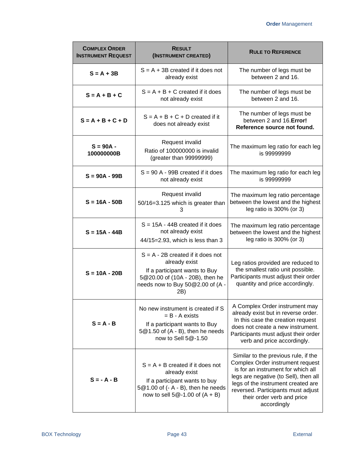| <b>COMPLEX ORDER</b><br><b>INSTRUMENT REQUEST</b> | <b>RESULT</b><br>(INSTRUMENT CREATED)                                                                                                                               | <b>RULE TO REFERENCE</b>                                                                                                                                                                                                                                                         |
|---------------------------------------------------|---------------------------------------------------------------------------------------------------------------------------------------------------------------------|----------------------------------------------------------------------------------------------------------------------------------------------------------------------------------------------------------------------------------------------------------------------------------|
| $S = A + 3B$                                      | $S = A + 3B$ created if it does not<br>already exist                                                                                                                | The number of legs must be<br>between 2 and 16.                                                                                                                                                                                                                                  |
| $S = A + B + C$                                   | $S = A + B + C$ created if it does<br>not already exist                                                                                                             | The number of legs must be<br>between 2 and 16.                                                                                                                                                                                                                                  |
| $S = A + B + C + D$                               | $S = A + B + C + D$ created if it<br>does not already exist                                                                                                         | The number of legs must be<br>between 2 and 16. Error!<br>Reference source not found.                                                                                                                                                                                            |
| $S = 90A -$<br>100000000B                         | Request invalid<br>Ratio of 100000000 is invalid<br>(greater than 99999999)                                                                                         | The maximum leg ratio for each leg<br>is 99999999                                                                                                                                                                                                                                |
| $S = 90A - 99B$                                   | $S = 90 A - 99B$ created if it does<br>not already exist                                                                                                            | The maximum leg ratio for each leg<br>is 99999999                                                                                                                                                                                                                                |
| $S = 16A - 50B$                                   | Request invalid<br>50/16=3.125 which is greater than<br>3                                                                                                           | The maximum leg ratio percentage<br>between the lowest and the highest<br>leg ratio is 300% (or 3)                                                                                                                                                                               |
| $S = 15A - 44B$                                   | $S = 15A - 44B$ created if it does<br>not already exist<br>44/15=2.93, which is less than 3                                                                         | The maximum leg ratio percentage<br>between the lowest and the highest<br>leg ratio is 300% (or 3)                                                                                                                                                                               |
| $S = 10A - 20B$                                   | $S = A - 2B$ created if it does not<br>already exist<br>If a participant wants to Buy<br>5@20.00 of (10A - 20B), then he<br>needs now to Buy 50@2.00 of (A -<br>2B) | Leg ratios provided are reduced to<br>the smallest ratio unit possible.<br>Participants must adjust their order<br>quantity and price accordingly.                                                                                                                               |
| $S = A - B$                                       | No new instrument is created if S<br>$= B - A$ exists<br>If a participant wants to Buy<br>5@1.50 of (A - B), then he needs<br>now to Sell 5@-1.50                   | A Complex Order instrument may<br>already exist but in reverse order.<br>In this case the creation request<br>does not create a new instrument.<br>Participants must adjust their order<br>verb and price accordingly.                                                           |
| $S = -A - B$                                      | $S = A + B$ created if it does not<br>already exist<br>If a participant wants to buy<br>5@1.00 of (- A - B), then he needs<br>now to sell $5@-1.00$ of $(A + B)$    | Similar to the previous rule, if the<br>Complex Order instrument request<br>is for an instrument for which all<br>legs are negative (to Sell), then all<br>legs of the instrument created are<br>reversed. Participants must adjust<br>their order verb and price<br>accordingly |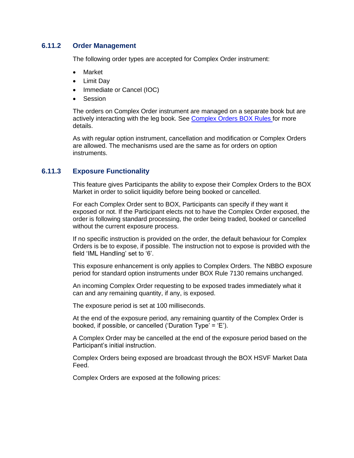## **6.11.2 Order Management**

The following order types are accepted for Complex Order instrument:

- Market
- Limit Day
- Immediate or Cancel (IOC)
- Session

The orders on Complex Order instrument are managed on a separate book but are actively interacting with the leg book. See [Complex Orders BOX Rules](https://rules.boxoptions.com/browse/966253cc7b431000b38d001b7840a5b2032?searchid=2110070238407293bb6782bc11472395f9a80bccf29de1!0000000000!966253cc7b431000b38d001b7840a5b2032) for more details.

As with regular option instrument, cancellation and modification or Complex Orders are allowed. The mechanisms used are the same as for orders on option instruments.

## **6.11.3 Exposure Functionality**

This feature gives Participants the ability to expose their Complex Orders to the BOX Market in order to solicit liquidity before being booked or cancelled.

For each Complex Order sent to BOX, Participants can specify if they want it exposed or not. If the Participant elects not to have the Complex Order exposed, the order is following standard processing, the order being traded, booked or cancelled without the current exposure process.

If no specific instruction is provided on the order, the default behaviour for Complex Orders is be to expose, if possible. The instruction not to expose is provided with the field 'IML Handling' set to '6'.

This exposure enhancement is only applies to Complex Orders. The NBBO exposure period for standard option instruments under BOX Rule 7130 remains unchanged.

An incoming Complex Order requesting to be exposed trades immediately what it can and any remaining quantity, if any, is exposed.

The exposure period is set at 100 milliseconds.

At the end of the exposure period, any remaining quantity of the Complex Order is booked, if possible, or cancelled ('Duration Type' = 'E').

A Complex Order may be cancelled at the end of the exposure period based on the Participant's initial instruction.

Complex Orders being exposed are broadcast through the BOX HSVF Market Data Feed.

Complex Orders are exposed at the following prices: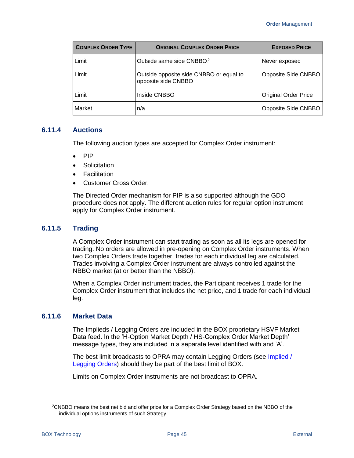| <b>COMPLEX ORDER TYPE</b> | <b>ORIGINAL COMPLEX ORDER PRICE</b>                            | <b>EXPOSED PRICE</b>        |
|---------------------------|----------------------------------------------------------------|-----------------------------|
| Limit                     | Outside same side CNBBO. <sup>2</sup>                          | Never exposed               |
| Limit                     | Outside opposite side CNBBO or equal to<br>opposite side CNBBO | Opposite Side CNBBO         |
| Limit                     | Inside CNBBO                                                   | <b>Original Order Price</b> |
| Market                    | n/a                                                            | Opposite Side CNBBO         |

#### **6.11.4 Auctions**

The following auction types are accepted for Complex Order instrument:

- PIP
- Solicitation
- Facilitation
- Customer Cross Order.

The Directed Order mechanism for PIP is also supported although the GDO procedure does not apply. The different auction rules for regular option instrument apply for Complex Order instrument.

#### **6.11.5 Trading**

A Complex Order instrument can start trading as soon as all its legs are opened for trading. No orders are allowed in pre-opening on Complex Order instruments. When two Complex Orders trade together, trades for each individual leg are calculated. Trades involving a Complex Order instrument are always controlled against the NBBO market (at or better than the NBBO).

When a Complex Order instrument trades, the Participant receives 1 trade for the Complex Order instrument that includes the net price, and 1 trade for each individual leg.

## **6.11.6 Market Data**

The Implieds / Legging Orders are included in the BOX proprietary HSVF Market Data feed. In the 'H-Option Market Depth / HS-Complex Order Market Depth' message types, they are included in a separate level identified with and 'A'.

The best limit broadcasts to OPRA may contain Legging Orders (see [Implied /](#page-53-0)  [Legging Orders\)](#page-53-0) should they be part of the best limit of BOX.

Limits on Complex Order instruments are not broadcast to OPRA.

<sup>2</sup>CNBBO means the best net bid and offer price for a Complex Order Strategy based on the NBBO of the individual options instruments of such Strategy.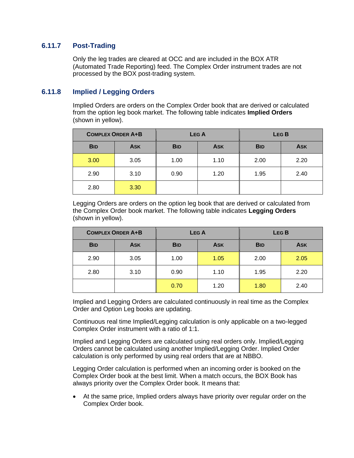## **6.11.7 Post-Trading**

Only the leg trades are cleared at OCC and are included in the BOX ATR (Automated Trade Reporting) feed. The Complex Order instrument trades are not processed by the BOX post-trading system.

## <span id="page-53-0"></span>**6.11.8 Implied / Legging Orders**

Implied Orders are orders on the Complex Order book that are derived or calculated from the option leg book market. The following table indicates **Implied Orders** (shown in yellow).

|            | <b>COMPLEX ORDER A+B</b> |            | <b>LEGA</b> |            | LEG <sub>B</sub> |
|------------|--------------------------|------------|-------------|------------|------------------|
| <b>BID</b> | <b>ASK</b>               | <b>BID</b> | <b>ASK</b>  | <b>BID</b> | <b>ASK</b>       |
| 3.00       | 3.05                     | 1.00       | 1.10        | 2.00       | 2.20             |
| 2.90       | 3.10                     | 0.90       | 1.20        | 1.95       | 2.40             |
| 2.80       | 3.30                     |            |             |            |                  |

Legging Orders are orders on the option leg book that are derived or calculated from the Complex Order book market. The following table indicates **Legging Orders** (shown in yellow).

|            | <b>COMPLEX ORDER A+B</b> |            | <b>LEGA</b> |            | LEG <sub>B</sub> |
|------------|--------------------------|------------|-------------|------------|------------------|
| <b>BID</b> | <b>ASK</b>               | <b>BID</b> | <b>ASK</b>  | <b>BID</b> | <b>ASK</b>       |
| 2.90       | 3.05                     | 1.00       | 1.05        | 2.00       | 2.05             |
| 2.80       | 3.10                     | 0.90       | 1.10        | 1.95       | 2.20             |
|            |                          | 0.70       | 1.20        | 1.80       | 2.40             |

Implied and Legging Orders are calculated continuously in real time as the Complex Order and Option Leg books are updating.

Continuous real time Implied/Legging calculation is only applicable on a two-legged Complex Order instrument with a ratio of 1:1.

Implied and Legging Orders are calculated using real orders only. Implied/Legging Orders cannot be calculated using another Implied/Legging Order. Implied Order calculation is only performed by using real orders that are at NBBO.

Legging Order calculation is performed when an incoming order is booked on the Complex Order book at the best limit. When a match occurs, the BOX Book has always priority over the Complex Order book. It means that:

• At the same price, Implied orders always have priority over regular order on the Complex Order book.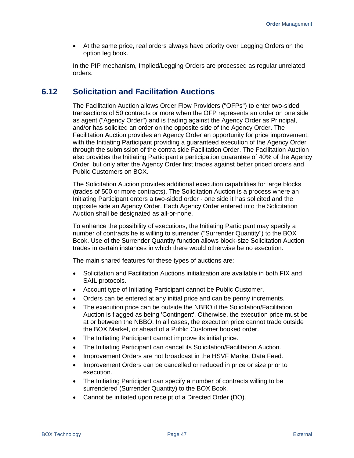• At the same price, real orders always have priority over Legging Orders on the option leg book.

In the PIP mechanism, Implied/Legging Orders are processed as regular unrelated orders.

## **6.12 Solicitation and Facilitation Auctions**

The Facilitation Auction allows Order Flow Providers ("OFPs") to enter two-sided transactions of 50 contracts or more when the OFP represents an order on one side as agent ("Agency Order") and is trading against the Agency Order as Principal, and/or has solicited an order on the opposite side of the Agency Order. The Facilitation Auction provides an Agency Order an opportunity for price improvement, with the Initiating Participant providing a guaranteed execution of the Agency Order through the submission of the contra side Facilitation Order. The Facilitation Auction also provides the Initiating Participant a participation guarantee of 40% of the Agency Order, but only after the Agency Order first trades against better priced orders and Public Customers on BOX.

The Solicitation Auction provides additional execution capabilities for large blocks (trades of 500 or more contracts). The Solicitation Auction is a process where an Initiating Participant enters a two-sided order - one side it has solicited and the opposite side an Agency Order. Each Agency Order entered into the Solicitation Auction shall be designated as all-or-none.

To enhance the possibility of executions, the Initiating Participant may specify a number of contracts he is willing to surrender ("Surrender Quantity") to the BOX Book. Use of the Surrender Quantity function allows block-size Solicitation Auction trades in certain instances in which there would otherwise be no execution.

The main shared features for these types of auctions are:

- Solicitation and Facilitation Auctions initialization are available in both FIX and SAIL protocols.
- Account type of Initiating Participant cannot be Public Customer.
- Orders can be entered at any initial price and can be penny increments.
- The execution price can be outside the NBBO if the Solicitation/Facilitation Auction is flagged as being 'Contingent'. Otherwise, the execution price must be at or between the NBBO. In all cases, the execution price cannot trade outside the BOX Market, or ahead of a Public Customer booked order.
- The Initiating Participant cannot improve its initial price.
- The Initiating Participant can cancel its Solicitation/Facilitation Auction.
- Improvement Orders are not broadcast in the HSVF Market Data Feed.
- Improvement Orders can be cancelled or reduced in price or size prior to execution.
- The Initiating Participant can specify a number of contracts willing to be surrendered (Surrender Quantity) to the BOX Book.
- Cannot be initiated upon receipt of a Directed Order (DO).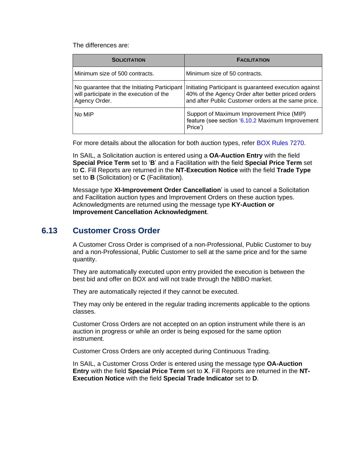The differences are:

| <b>SOLICITATION</b>                                                                                       | <b>FACILITATION</b>                                                                                                                                                 |
|-----------------------------------------------------------------------------------------------------------|---------------------------------------------------------------------------------------------------------------------------------------------------------------------|
| Minimum size of 500 contracts.                                                                            | Minimum size of 50 contracts.                                                                                                                                       |
| No guarantee that the Initiating Participant<br>will participate in the execution of the<br>Agency Order. | Initiating Participant is guaranteed execution against<br>40% of the Agency Order after better priced orders<br>and after Public Customer orders at the same price. |
| No MIP                                                                                                    | Support of Maximum Improvement Price (MIP)<br>feature (see section '6.10.2 Maximum Improvement<br>Price')                                                           |

For more details about the allocation for both auction types, refer BOX Rules 7270.

In SAIL, a Solicitation auction is entered using a **OA-Auction Entry** with the field **Special Price Term** set to '**B**' and a Facilitation with the field **Special Price Term** set to **C**. Fill Reports are returned in the **NT-Execution Notice** with the field **Trade Type** set to **B** (Solicitation) or **C** (Facilitation).

Message type **XI-Improvement Order Cancellation**' is used to cancel a Solicitation and Facilitation auction types and Improvement Orders on these auction types. Acknowledgments are returned using the message type **KY-Auction or Improvement Cancellation Acknowledgment**.

## **6.13 Customer Cross Order**

A Customer Cross Order is comprised of a non-Professional, Public Customer to buy and a non-Professional, Public Customer to sell at the same price and for the same quantity.

They are automatically executed upon entry provided the execution is between the best bid and offer on BOX and will not trade through the NBBO market.

They are automatically rejected if they cannot be executed.

They may only be entered in the regular trading increments applicable to the options classes.

Customer Cross Orders are not accepted on an option instrument while there is an auction in progress or while an order is being exposed for the same option instrument.

Customer Cross Orders are only accepted during Continuous Trading.

In SAIL, a Customer Cross Order is entered using the message type **OA-Auction Entry** with the field **Special Price Term** set to **X**. Fill Reports are returned in the **NT-Execution Notice** with the field **Special Trade Indicator** set to **D**.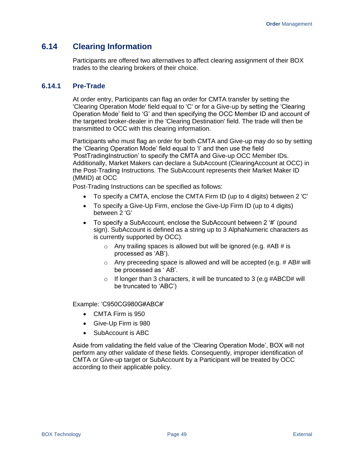## **6.14 Clearing Information**

Participants are offered two alternatives to affect clearing assignment of their BOX trades to the clearing brokers of their choice.

## **6.14.1 Pre-Trade**

At order entry, Participants can flag an order for CMTA transfer by setting the 'Clearing Operation Mode' field equal to 'C' or for a Give-up by setting the 'Clearing Operation Mode' field to 'G' and then specifying the OCC Member ID and account of the targeted broker-dealer in the 'Clearing Destination' field. The trade will then be transmitted to OCC with this clearing information.

Participants who must flag an order for both CMTA and Give-up may do so by setting the 'Clearing Operation Mode' field equal to 'I' and then use the field 'PostTradingInstruction' to specify the CMTA and Give-up OCC Member IDs. Additionally, Market Makers can declare a SubAccount (ClearingAccount at OCC) in the Post-Trading Instructions. The SubAccount represents their Market Maker ID (MMID) at OCC

Post-Trading Instructions can be specified as follows:

- To specify a CMTA, enclose the CMTA Firm ID (up to 4 digits) between 2 'C'
- To specify a Give-Up Firm, enclose the Give-Up Firm ID (up to 4 digits) between 2 'G'
- To specify a SubAccount, enclose the SubAccount between 2 '#' (pound sign). SubAccount is defined as a string up to 3 AlphaNumeric characters as is currently supported by OCC).
	- $\circ$  Any trailing spaces is allowed but will be ignored (e.g. #AB # is processed as 'AB').
	- $\circ$  Any preceeding space is allowed and will be accepted (e.g. # AB# will be processed as ' AB'.
	- $\circ$  If longer than 3 characters, it will be truncated to 3 (e.g #ABCD# will be truncated to 'ABC')

Example: 'C950CG980G#ABC#'

- CMTA Firm is 950
- Give-Up Firm is 980
- SubAccount is ABC

Aside from validating the field value of the 'Clearing Operation Mode', BOX will not perform any other validate of these fields. Consequently, improper identification of CMTA or Give-up target or SubAccount by a Participant will be treated by OCC according to their applicable policy.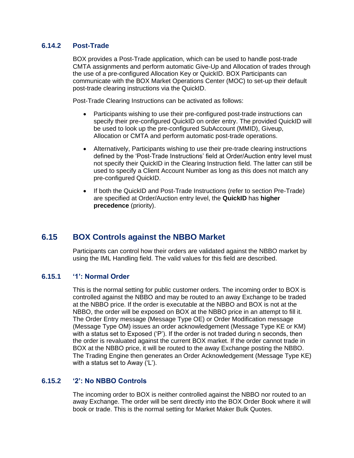## **6.14.2 Post-Trade**

BOX provides a Post-Trade application, which can be used to handle post-trade CMTA assignments and perform automatic Give-Up and Allocation of trades through the use of a pre-configured Allocation Key or QuickID. BOX Participants can communicate with the BOX Market Operations Center (MOC) to set-up their default post-trade clearing instructions via the QuickID.

Post-Trade Clearing Instructions can be activated as follows:

- Participants wishing to use their pre-configured post-trade instructions can specify their pre-configured QuickID on order entry. The provided QuickID will be used to look up the pre-configured SubAccount (MMID), Giveup, Allocation or CMTA and perform automatic post-trade operations.
- Alternatively, Participants wishing to use their pre-trade clearing instructions defined by the 'Post-Trade Instructions' field at Order/Auction entry level must not specify their QuickID in the Clearing Instruction field. The latter can still be used to specify a Client Account Number as long as this does not match any pre-configured QuickID.
- If both the QuickID and Post-Trade Instructions (refer to section Pre-Trade) are specified at Order/Auction entry level, the **QuickID** has **higher precedence** (priority).

## **6.15 BOX Controls against the NBBO Market**

Participants can control how their orders are validated against the NBBO market by using the IML Handling field. The valid values for this field are described.

## **6.15.1 '1': Normal Order**

This is the normal setting for public customer orders. The incoming order to BOX is controlled against the NBBO and may be routed to an away Exchange to be traded at the NBBO price. If the order is executable at the NBBO and BOX is not at the NBBO, the order will be exposed on BOX at the NBBO price in an attempt to fill it. The Order Entry message (Message Type OE) or Order Modification message (Message Type OM) issues an order acknowledgement (Message Type KE or KM) with a status set to Exposed ('P'). If the order is not traded during n seconds, then the order is revaluated against the current BOX market. If the order cannot trade in BOX at the NBBO price, it will be routed to the away Exchange posting the NBBO. The Trading Engine then generates an Order Acknowledgement (Message Type KE) with a status set to Away ('L').

## **6.15.2 '2': No NBBO Controls**

The incoming order to BOX is neither controlled against the NBBO nor routed to an away Exchange. The order will be sent directly into the BOX Order Book where it will book or trade. This is the normal setting for Market Maker Bulk Quotes.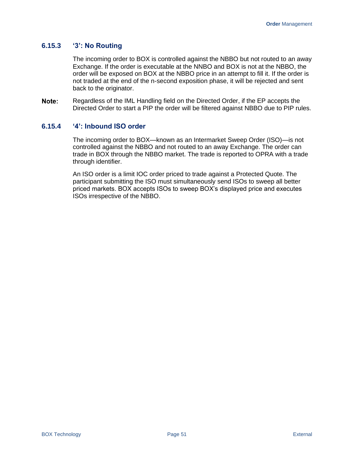## **6.15.3 '3': No Routing**

The incoming order to BOX is controlled against the NBBO but not routed to an away Exchange. If the order is executable at the NNBO and BOX is not at the NBBO, the order will be exposed on BOX at the NBBO price in an attempt to fill it. If the order is not traded at the end of the n-second exposition phase, it will be rejected and sent back to the originator.

Note: Regardless of the IML Handling field on the Directed Order, if the EP accepts the Directed Order to start a PIP the order will be filtered against NBBO due to PIP rules.

## **6.15.4 '4': Inbound ISO order**

The incoming order to BOX—known as an Intermarket Sweep Order (ISO)—is not controlled against the NBBO and not routed to an away Exchange. The order can trade in BOX through the NBBO market. The trade is reported to OPRA with a trade through identifier.

An ISO order is a limit IOC order priced to trade against a Protected Quote. The participant submitting the ISO must simultaneously send ISOs to sweep all better priced markets. BOX accepts ISOs to sweep BOX's displayed price and executes ISOs irrespective of the NBBO.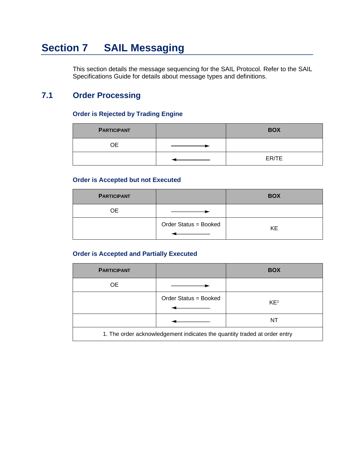# **Section 7 SAIL Messaging**

This section details the message sequencing for the SAIL Protocol. Refer to the SAIL Specifications Guide for details about message types and definitions.

# **7.1 Order Processing**

## **Order is Rejected by Trading Engine**

| <b>PARTICIPANT</b> | <b>BOX</b> |
|--------------------|------------|
| ОE                 |            |
|                    | ER/TE      |

## **Order is Accepted but not Executed**

| <b>PARTICIPANT</b> |                       | <b>BOX</b> |
|--------------------|-----------------------|------------|
| ОE                 |                       |            |
|                    | Order Status = Booked | KE         |

## **Order is Accepted and Partially Executed**

| <b>PARTICIPANT</b>                                                        |                       | <b>BOX</b>      |
|---------------------------------------------------------------------------|-----------------------|-----------------|
| <b>OE</b>                                                                 |                       |                 |
|                                                                           | Order Status = Booked | KE <sup>1</sup> |
|                                                                           |                       | NT              |
| 1. The order acknowledgement indicates the quantity traded at order entry |                       |                 |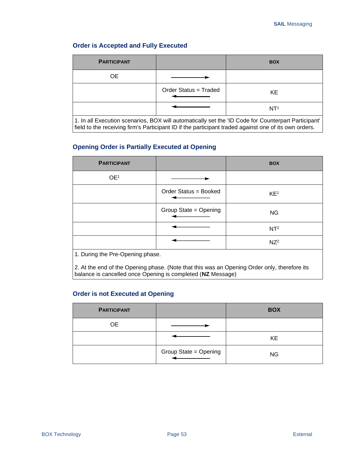## **Order is Accepted and Fully Executed**

| <b>PARTICIPANT</b>                                                                                                                                                                                           |                       | <b>BOX</b>      |
|--------------------------------------------------------------------------------------------------------------------------------------------------------------------------------------------------------------|-----------------------|-----------------|
| <b>OE</b>                                                                                                                                                                                                    |                       |                 |
|                                                                                                                                                                                                              | Order Status = Traded | KE.             |
|                                                                                                                                                                                                              |                       | NT <sup>1</sup> |
| 1. In all Execution scenarios, BOX will automatically set the 'ID Code for Counterpart Participant'<br>field to the receiving firm's Participant ID if the participant traded against one of its own orders. |                       |                 |

## **Opening Order is Partially Executed at Opening**

| <b>PARTICIPANT</b>               |                       | <b>BOX</b>      |
|----------------------------------|-----------------------|-----------------|
| OE <sup>1</sup>                  |                       |                 |
|                                  | Order Status = Booked | KE <sup>1</sup> |
|                                  | Group State = Opening | <b>NG</b>       |
|                                  |                       | NT <sup>2</sup> |
|                                  |                       | $NZ^2$          |
| 1. During the Pre-Opening phase. |                       |                 |

2. At the end of the Opening phase. (Note that this was an Opening Order only, therefore its balance is cancelled once Opening is completed (**NZ** Message)

#### **Order is not Executed at Opening**

| <b>PARTICIPANT</b> |                       | <b>BOX</b> |
|--------------------|-----------------------|------------|
| <b>OE</b>          |                       |            |
|                    |                       | KE         |
|                    | Group State = Opening | <b>NG</b>  |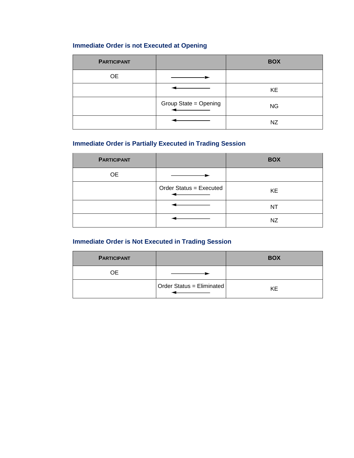## **Immediate Order is not Executed at Opening**

| <b>PARTICIPANT</b> |                       | <b>BOX</b> |
|--------------------|-----------------------|------------|
| OE                 |                       |            |
|                    |                       | KE         |
|                    | Group State = Opening | <b>NG</b>  |
|                    |                       | NZ         |

## **Immediate Order is Partially Executed in Trading Session**

| <b>PARTICIPANT</b> |                         | <b>BOX</b> |
|--------------------|-------------------------|------------|
| <b>OE</b>          |                         |            |
|                    | Order Status = Executed | KE         |
|                    |                         | ΝT         |
|                    |                         | NZ         |

## **Immediate Order is Not Executed in Trading Session**

| <b>PARTICIPANT</b> |                           | <b>BOX</b> |
|--------------------|---------------------------|------------|
| OΕ                 |                           |            |
|                    | Order Status = Eliminated | ΚE         |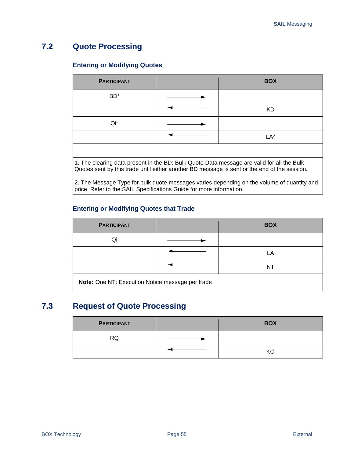# **7.2 Quote Processing**

## **Entering or Modifying Quotes**

| <b>PARTICIPANT</b> | <b>BOX</b>                                                                                |
|--------------------|-------------------------------------------------------------------------------------------|
| BD <sup>1</sup>    |                                                                                           |
|                    | KD                                                                                        |
| Qi <sup>2</sup>    |                                                                                           |
|                    | LA <sup>2</sup>                                                                           |
|                    |                                                                                           |
|                    | 1 The clearing data present in the RD: Rulk Quote Data message are valid for all the Rulk |

1. The clearing data present in the BD: Bulk Quote Data message are valid for all the Bulk Quotes sent by this trade until either another BD message is sent or the end of the session.

2. The Message Type for bulk quote messages varies depending on the volume of quantity and price. Refer to the SAIL Specifications Guide for more information.

## **Entering or Modifying Quotes that Trade**

| <b>PARTICIPANT</b>                               |  | <b>BOX</b> |
|--------------------------------------------------|--|------------|
| Qi                                               |  |            |
|                                                  |  | ΙA         |
|                                                  |  |            |
| Note: One NT: Execution Notice message per trade |  |            |

# **7.3 Request of Quote Processing**

| <b>PARTICIPANT</b> | <b>BOX</b> |
|--------------------|------------|
| RQ                 |            |
|                    | KC         |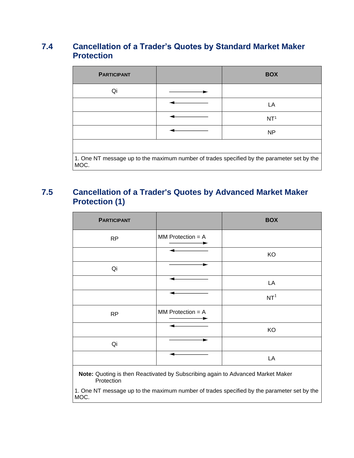# **7.4 Cancellation of a Trader's Quotes by Standard Market Maker Protection**

| <b>PARTICIPANT</b> | <b>BOX</b>                                                                                 |
|--------------------|--------------------------------------------------------------------------------------------|
| Qi                 |                                                                                            |
|                    | LA                                                                                         |
|                    | NT <sup>1</sup>                                                                            |
|                    | <b>NP</b>                                                                                  |
|                    |                                                                                            |
| MOC.               | 1. One NT message up to the maximum number of trades specified by the parameter set by the |

# **7.5 Cancellation of a Trader's Quotes by Advanced Market Maker Protection (1)**

| <b>PARTICIPANT</b>                                                                                     |                     | <b>BOX</b>      |
|--------------------------------------------------------------------------------------------------------|---------------------|-----------------|
| <b>RP</b>                                                                                              | $MM$ Protection = A |                 |
|                                                                                                        |                     | KO              |
| Qi                                                                                                     |                     |                 |
|                                                                                                        |                     | LA              |
|                                                                                                        |                     | NT <sup>1</sup> |
| <b>RP</b>                                                                                              | $MM$ Protection = A |                 |
|                                                                                                        |                     | KO              |
| Qi                                                                                                     |                     |                 |
|                                                                                                        |                     | LA              |
| Note: Quoting is then Reactivated by Subscribing again to Advanced Market Maker<br>$D + 1 - 1 - 1 - 1$ |                     |                 |

Protection 1. One NT message up to the maximum number of trades specified by the parameter set by the MOC.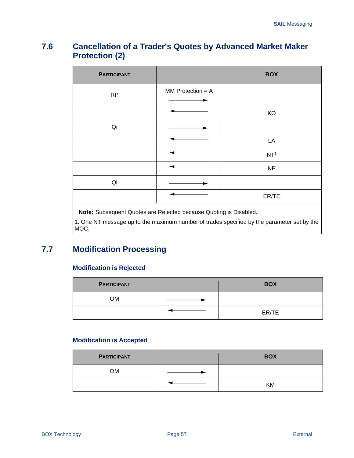# **7.6 Cancellation of a Trader's Quotes by Advanced Market Maker Protection (2)**

| <b>PARTICIPANT</b> |                     | <b>BOX</b>      |
|--------------------|---------------------|-----------------|
| <b>RP</b>          | $MM$ Protection = A |                 |
|                    |                     | KO              |
| Qi                 |                     |                 |
|                    |                     | LA              |
|                    |                     | NT <sup>1</sup> |
|                    |                     | <b>NP</b>       |
| Qi                 |                     |                 |
|                    |                     | ER/TE           |

**Note:** Subsequent Quotes are Rejected because Quoting is Disabled.

1. One NT message up to the maximum number of trades specified by the parameter set by the MOC.

# **7.7 Modification Processing**

## **Modification is Rejected**

| <b>PARTICIPANT</b> | <b>BOX</b> |
|--------------------|------------|
| ОM                 |            |
|                    | ER/TE      |

## **Modification is Accepted**

| <b>PARTICIPANT</b> | <b>BOX</b> |
|--------------------|------------|
| <b>OM</b>          |            |
|                    | <b>KM</b>  |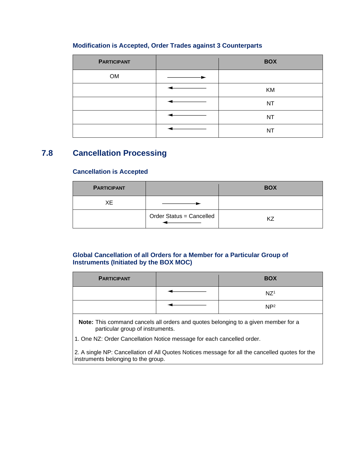## **Modification is Accepted, Order Trades against 3 Counterparts**

| <b>PARTICIPANT</b> | <b>BOX</b> |
|--------------------|------------|
| OM                 |            |
|                    | KM         |
|                    | NT         |
|                    | NT         |
|                    | <b>NT</b>  |

## **7.8 Cancellation Processing**

## **Cancellation is Accepted**

| <b>PARTICIPANT</b> |                          | <b>BOX</b> |
|--------------------|--------------------------|------------|
| XЕ                 |                          |            |
|                    | Order Status = Cancelled |            |

## **Global Cancellation of all Orders for a Member for a Particular Group of Instruments (Initiated by the BOX MOC)**

| <b>PARTICIPANT</b> | <b>BOX</b>      |
|--------------------|-----------------|
|                    | NZ <sup>1</sup> |
|                    | NP <sup>2</sup> |

**Note:** This command cancels all orders and quotes belonging to a given member for a particular group of instruments.

1. One NZ: Order Cancellation Notice message for each cancelled order.

2. A single NP: Cancellation of All Quotes Notices message for all the cancelled quotes for the instruments belonging to the group.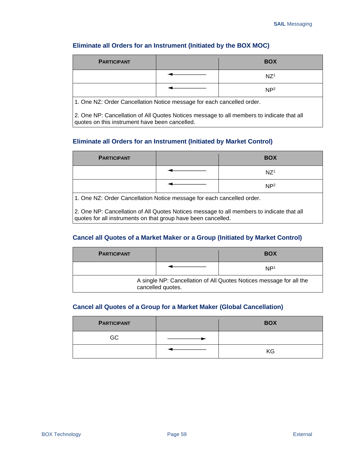## **Eliminate all Orders for an Instrument (Initiated by the BOX MOC)**

| <b>PARTICIPANT</b>                                                                                                                          |  | <b>BOX</b>      |  |
|---------------------------------------------------------------------------------------------------------------------------------------------|--|-----------------|--|
|                                                                                                                                             |  | NZ <sup>1</sup> |  |
|                                                                                                                                             |  | NP <sup>2</sup> |  |
| 1. One NZ: Order Cancellation Notice message for each cancelled order.                                                                      |  |                 |  |
| 2. One NP: Cancellation of All Quotes Notices message to all members to indicate that all<br>quotes on this instrument have been cancelled. |  |                 |  |

## **Eliminate all Orders for an Instrument (Initiated by Market Control)**

| <b>PARTICIPANT</b>                                                     |  | <b>BOX</b>      |  |
|------------------------------------------------------------------------|--|-----------------|--|
|                                                                        |  | NZ <sup>1</sup> |  |
|                                                                        |  | NP <sup>2</sup> |  |
| 1. One NZ: Order Cancellation Notice message for each cancelled order. |  |                 |  |

2. One NP: Cancellation of All Quotes Notices message to all members to indicate that all quotes for all instruments on that group have been cancelled.

## **Cancel all Quotes of a Market Maker or a Group (Initiated by Market Control)**

| <b>PARTICIPANT</b>                                                                       |  | <b>BOX</b>      |  |
|------------------------------------------------------------------------------------------|--|-----------------|--|
|                                                                                          |  | NP <sup>1</sup> |  |
| A single NP: Cancellation of All Quotes Notices message for all the<br>cancelled quotes. |  |                 |  |

## **Cancel all Quotes of a Group for a Market Maker (Global Cancellation)**

| <b>PARTICIPANT</b> | <b>BOX</b> |
|--------------------|------------|
| GC                 |            |
|                    | KG         |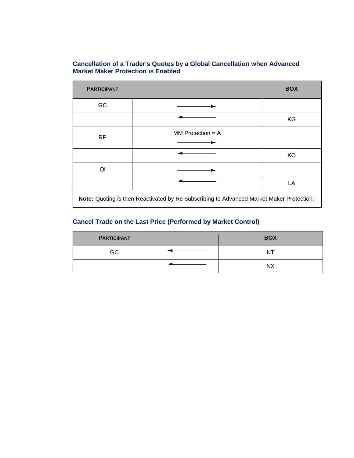#### **Cancellation of a Trader's Quotes by a Global Cancellation when Advanced Market Maker Protection is Enabled**

| <b>PARTICIPANT</b> |                                                                                          | <b>BOX</b> |
|--------------------|------------------------------------------------------------------------------------------|------------|
| GC                 |                                                                                          |            |
|                    |                                                                                          | KG         |
| <b>RP</b>          | MM Protection $= A$                                                                      |            |
|                    |                                                                                          | KO         |
| Qi                 |                                                                                          |            |
|                    |                                                                                          | LA         |
|                    | Note: Quoting is then Reactivated by Re-subscribing to Advanced Market Maker Protection. |            |

## **Cancel Trade on the Last Price (Performed by Market Control)**

| <b>PARTICIPANT</b> | <b>BOX</b> |
|--------------------|------------|
| GC                 | N          |
|                    | NX         |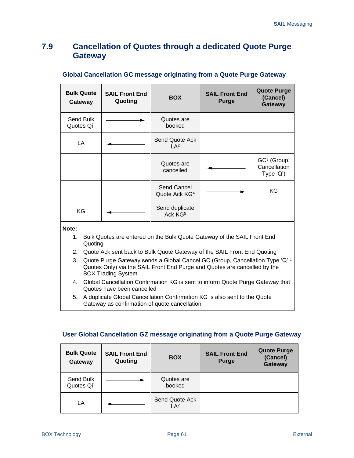# **7.9 Cancellation of Quotes through a dedicated Quote Purge Gateway**

| <b>Bulk Quote</b><br>Gateway        | <b>SAIL Front End</b><br>Quoting | <b>BOX</b>                               | <b>SAIL Front End</b><br><b>Purge</b>                                                                                                              | <b>Quote Purge</b><br>(Cancel)<br>Gateway                            |
|-------------------------------------|----------------------------------|------------------------------------------|----------------------------------------------------------------------------------------------------------------------------------------------------|----------------------------------------------------------------------|
| Send Bulk<br>Quotes Qi <sup>1</sup> |                                  | Quotes are<br>booked                     |                                                                                                                                                    |                                                                      |
| LA                                  |                                  | Send Quote Ack<br>IA <sup>2</sup>        |                                                                                                                                                    |                                                                      |
|                                     |                                  | Quotes are<br>cancelled                  |                                                                                                                                                    | GC <sup>3</sup> (Group,<br>Cancellation<br>Type $\langle Q' \rangle$ |
|                                     |                                  | Send Cancel<br>Quote Ack KG <sup>4</sup> |                                                                                                                                                    | KG                                                                   |
| KG                                  |                                  | Send duplicate<br>Ack KG <sup>5</sup>    |                                                                                                                                                    |                                                                      |
| Note:<br>1.<br>Quoting<br>2.        |                                  |                                          | Bulk Quotes are entered on the Bulk Quote Gateway of the SAIL Front End<br>Quote Ack sent back to Bulk Quote Gateway of the SAIL Front End Quoting |                                                                      |

#### **Global Cancellation GC message originating from a Quote Purge Gateway**

- 3. Quote Purge Gateway sends a Global Cancel GC (Group, Cancellation Type 'Q' Quotes Only) via the SAIL Front End Purge and Quotes are cancelled by the BOX Trading System
- 4. Global Cancellation Confirmation KG is sent to inform Quote Purge Gateway that Quotes have been cancelled
- 5. A duplicate Global Cancellation Confirmation KG is also sent to the Quote Gateway as confirmation of quote cancellation

## **User Global Cancellation GZ message originating from a Quote Purge Gateway**

| <b>Bulk Quote</b><br>Gateway        | <b>SAIL Front End</b><br>Quoting | <b>BOX</b>                        | <b>SAIL Front End</b><br><b>Purge</b> | <b>Quote Purge</b><br>(Cancel)<br>Gateway |
|-------------------------------------|----------------------------------|-----------------------------------|---------------------------------------|-------------------------------------------|
| Send Bulk<br>Quotes Qi <sup>1</sup> |                                  | Quotes are<br>booked              |                                       |                                           |
| LA                                  |                                  | Send Quote Ack<br>LA <sup>2</sup> |                                       |                                           |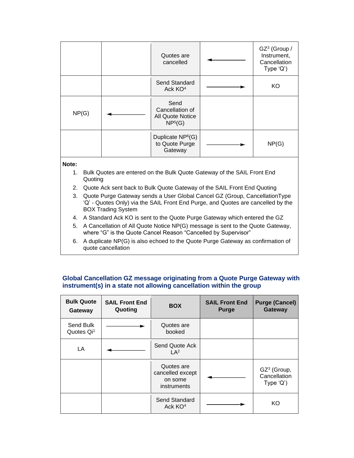|       | Quotes are<br>cancelled                                                   | GZ <sup>3</sup> (Group /<br>Instrument,<br>Cancellation<br>Type $'Q'$ ) |
|-------|---------------------------------------------------------------------------|-------------------------------------------------------------------------|
|       | <b>Send Standard</b><br>Ack KO <sup>4</sup>                               | KO                                                                      |
| NP(G) | Send<br>Cancellation of<br><b>All Quote Notice</b><br>NP <sup>5</sup> (G) |                                                                         |
|       | Duplicate NP <sup>6</sup> (G)<br>to Quote Purge<br>Gateway                | NP(G)                                                                   |

#### **Note:**

- 1. Bulk Quotes are entered on the Bulk Quote Gateway of the SAIL Front End Quoting
- 2. Quote Ack sent back to Bulk Quote Gateway of the SAIL Front End Quoting
- 3. Quote Purge Gateway sends a User Global Cancel GZ (Group, CancellationType 'Q' - Quotes Only) via the SAIL Front End Purge, and Quotes are cancelled by the BOX Trading System
- 4. A Standard Ack KO is sent to the Quote Purge Gateway which entered the GZ
- 5. A Cancellation of All Quote Notice NP(G) message is sent to the Quote Gateway, where "G" is the Quote Cancel Reason "Cancelled by Supervisor"
- 6. A duplicate NP(G) is also echoed to the Quote Purge Gateway as confirmation of quote cancellation

## **Global Cancellation GZ message originating from a Quote Purge Gateway with instrument(s) in a state not allowing cancellation within the group**

| <b>Bulk Quote</b><br>Gateway        | <b>SAIL Front End</b><br>Quoting | <b>BOX</b>                                               | <b>SAIL Front End</b><br><b>Purge</b> | <b>Purge (Cancel)</b><br>Gateway                                     |
|-------------------------------------|----------------------------------|----------------------------------------------------------|---------------------------------------|----------------------------------------------------------------------|
| Send Bulk<br>Quotes Qi <sup>1</sup> |                                  | Quotes are<br>booked                                     |                                       |                                                                      |
| LA                                  |                                  | Send Quote Ack<br>LA <sup>2</sup>                        |                                       |                                                                      |
|                                     |                                  | Quotes are<br>cancelled except<br>on some<br>instruments |                                       | GZ <sup>3</sup> (Group,<br>Cancellation<br>Type $\langle Q' \rangle$ |
|                                     |                                  | Send Standard<br>Ack KO <sup>4</sup>                     |                                       | KΟ                                                                   |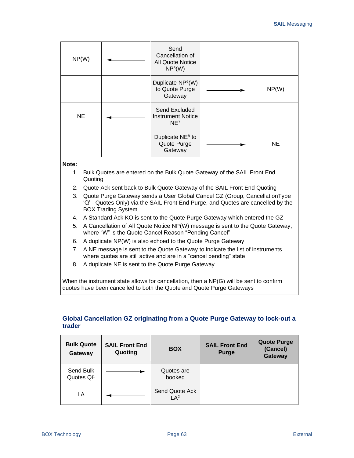| NP(W)     | Send<br>Cancellation of<br><b>All Quote Notice</b><br>NP <sup>5</sup> (W) |           |
|-----------|---------------------------------------------------------------------------|-----------|
|           | Duplicate NP <sup>6</sup> (W)<br>to Quote Purge<br>Gateway                | NP(W)     |
| <b>NE</b> | Send Excluded<br><b>Instrument Notice</b><br>NE <sup>7</sup>              |           |
|           | Duplicate NE <sup>8</sup> to<br>Quote Purge<br>Gateway                    | <b>NE</b> |

#### **Note:**

- 1. Bulk Quotes are entered on the Bulk Quote Gateway of the SAIL Front End Quoting
- 2. Quote Ack sent back to Bulk Quote Gateway of the SAIL Front End Quoting
- 3. Quote Purge Gateway sends a User Global Cancel GZ (Group, CancellationType 'Q' - Quotes Only) via the SAIL Front End Purge, and Quotes are cancelled by the BOX Trading System
- 4. A Standard Ack KO is sent to the Quote Purge Gateway which entered the GZ
- 5. A Cancellation of All Quote Notice NP(W) message is sent to the Quote Gateway, where "W" is the Quote Cancel Reason "Pending Cancel"
- 6. A duplicate NP(W) is also echoed to the Quote Purge Gateway
- 7. A NE message is sent to the Quote Gateway to indicate the list of instruments where quotes are still active and are in a "cancel pending" state
- 8. A duplicate NE is sent to the Quote Purge Gateway

When the instrument state allows for cancellation, then a NP(G) will be sent to confirm quotes have been cancelled to both the Quote and Quote Purge Gateways

## **Global Cancellation GZ originating from a Quote Purge Gateway to lock-out a trader**

| <b>Bulk Quote</b><br>Gateway        | <b>SAIL Front End</b><br>Quoting | <b>BOX</b>                        | <b>SAIL Front End</b><br><b>Purge</b> | <b>Quote Purge</b><br>(Cancel)<br>Gateway |
|-------------------------------------|----------------------------------|-----------------------------------|---------------------------------------|-------------------------------------------|
| Send Bulk<br>Quotes Qi <sup>1</sup> |                                  | Quotes are<br>booked              |                                       |                                           |
| LA                                  |                                  | Send Quote Ack<br>LA <sup>2</sup> |                                       |                                           |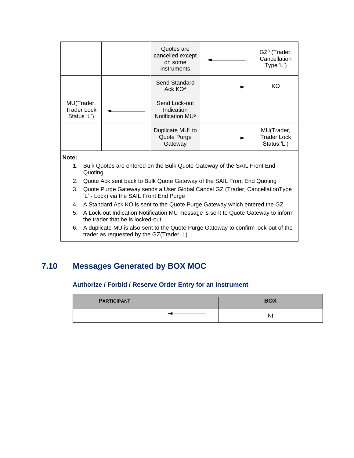|                                                 |  | Quotes are<br>cancelled except<br>on some<br>instruments    | GZ <sup>3</sup> (Trader,<br>Cancellation<br>Type 'L') |
|-------------------------------------------------|--|-------------------------------------------------------------|-------------------------------------------------------|
|                                                 |  | Send Standard<br>Ack KO <sup>4</sup>                        | KO                                                    |
| MU(Trader,<br><b>Trader Lock</b><br>Status 'L') |  | Send Lock-out<br>Indication<br>Notification MU <sup>5</sup> |                                                       |
|                                                 |  | Duplicate MU <sup>6</sup> to<br>Quote Purge<br>Gateway      | MU(Trader,<br><b>Trader Lock</b><br>Status 'L')       |
| Note:<br>.<br>$\cdots$ $\sim$ $\cdots$ $\sim$   |  |                                                             |                                                       |

- 1. Bulk Quotes are entered on the Bulk Quote Gateway of the SAIL Front End Quoting
- 2. Quote Ack sent back to Bulk Quote Gateway of the SAIL Front End Quoting
- 3. Quote Purge Gateway sends a User Global Cancel GZ (Trader, CancellationType 'L' - Lock) via the SAIL Front End Purge
- 4. A Standard Ack KO is sent to the Quote Purge Gateway which entered the GZ
- 5. A Lock-out Indication Notification MU message is sent to Quote Gateway to inform the trader that he is locked-out
- 6. A duplicate MU is also sent to the Quote Purge Gateway to confirm lock-out of the trader as requested by the GZ(Trader, L)

# **7.10 Messages Generated by BOX MOC**

#### **Authorize / Forbid / Reserve Order Entry for an Instrument**

| <b>PARTICIPANT</b> | <b>BOX</b> |
|--------------------|------------|
|                    |            |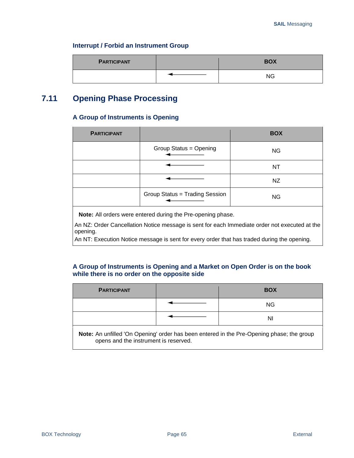#### **Interrupt / Forbid an Instrument Group**

| <b>PARTICIPANT</b> | <b>BOX</b> |
|--------------------|------------|
|                    | ΝG         |

# **7.11 Opening Phase Processing**

#### **A Group of Instruments is Opening**

| <b>PARTICIPANT</b> |                                                                        | <b>BOX</b> |
|--------------------|------------------------------------------------------------------------|------------|
|                    | Group Status = Opening<br>the control of the control of the control of | <b>NG</b>  |
|                    |                                                                        | NT         |
|                    |                                                                        | NZ         |
|                    | Group Status = Trading Session                                         | <b>NG</b>  |

**Note:** All orders were entered during the Pre-opening phase.

An NZ: Order Cancellation Notice message is sent for each Immediate order not executed at the opening.

An NT: Execution Notice message is sent for every order that has traded during the opening.

### **A Group of Instruments is Opening and a Market on Open Order is on the book while there is no order on the opposite side**

| <b>PARTICIPANT</b>                                                                                                                 |  | <b>BOX</b> |
|------------------------------------------------------------------------------------------------------------------------------------|--|------------|
|                                                                                                                                    |  | NG.        |
|                                                                                                                                    |  | ΝI         |
| Note: An unfilled 'On Opening' order has been entered in the Pre-Opening phase; the group<br>opens and the instrument is reserved. |  |            |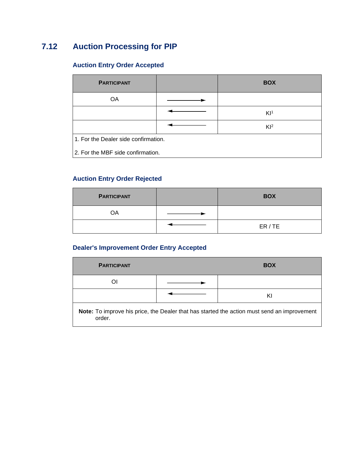# **7.12 Auction Processing for PIP**

## **Auction Entry Order Accepted**

| <b>PARTICIPANT</b>                   |  | <b>BOX</b>      |
|--------------------------------------|--|-----------------|
| <b>OA</b>                            |  |                 |
|                                      |  | K1 <sup>1</sup> |
|                                      |  | Kl <sup>2</sup> |
| 1. For the Dealer side confirmation. |  |                 |
| 2. For the MBF side confirmation.    |  |                 |

### **Auction Entry Order Rejected**

| <b>PARTICIPANT</b> | <b>BOX</b> |
|--------------------|------------|
| OA                 |            |
|                    | ER/TE      |

### **Dealer's Improvement Order Entry Accepted**

| <b>PARTICIPANT</b> | <b>BOX</b> |
|--------------------|------------|
| Э                  |            |
|                    |            |

**Note:** To improve his price, the Dealer that has started the action must send an improvement order.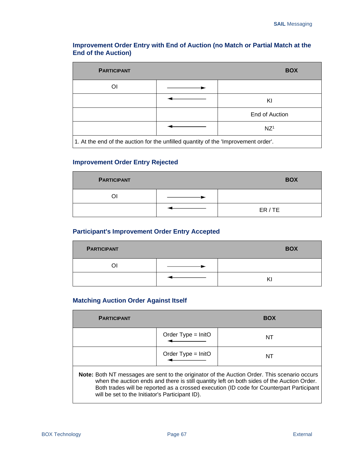### **Improvement Order Entry with End of Auction (no Match or Partial Match at the End of the Auction)**

| <b>PARTICIPANT</b>                                                                 | <b>BOX</b>      |
|------------------------------------------------------------------------------------|-----------------|
| Οl                                                                                 |                 |
|                                                                                    | KI              |
|                                                                                    | End of Auction  |
|                                                                                    | NZ <sup>1</sup> |
| 1. At the end of the auction for the unfilled quantity of the 'Improvement order'. |                 |

### **Improvement Order Entry Rejected**

| <b>PARTICIPANT</b> | <b>BOX</b> |
|--------------------|------------|
| വ                  |            |
|                    | ER/TE      |

### **Participant's Improvement Order Entry Accepted**

| <b>PARTICIPANT</b> | <b>BOX</b> |
|--------------------|------------|
|                    |            |
|                    | r١         |

### **Matching Auction Order Against Itself**

| <b>PARTICIPANT</b>                                                                                                                                                                                                                                                                                                                        |                      | <b>BOX</b> |
|-------------------------------------------------------------------------------------------------------------------------------------------------------------------------------------------------------------------------------------------------------------------------------------------------------------------------------------------|----------------------|------------|
|                                                                                                                                                                                                                                                                                                                                           | Order Type $=$ InitO | NT         |
|                                                                                                                                                                                                                                                                                                                                           | Order Type $=$ InitO | NT         |
| Note: Both NT messages are sent to the originator of the Auction Order. This scenario occurs<br>when the auction ends and there is still quantity left on both sides of the Auction Order.<br>Both trades will be reported as a crossed execution (ID code for Counterpart Participant<br>will be set to the Initiator's Participant ID). |                      |            |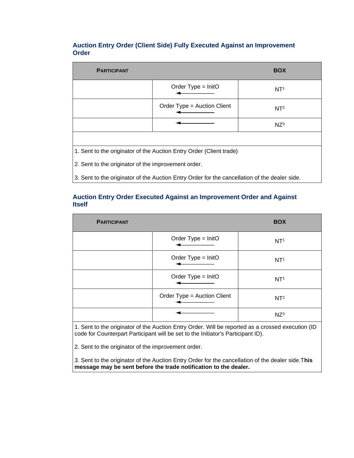### **Auction Entry Order (Client Side) Fully Executed Against an Improvement Order**

| <b>PARTICIPANT</b>                                                                            |                             | <b>BOX</b>      |
|-----------------------------------------------------------------------------------------------|-----------------------------|-----------------|
|                                                                                               | Order Type = $InitO$        | NT <sup>1</sup> |
|                                                                                               | Order Type = Auction Client | NT <sup>2</sup> |
|                                                                                               |                             | $NZ^3$          |
|                                                                                               |                             |                 |
| 1. Sent to the originator of the Auction Entry Order (Client trade)                           |                             |                 |
| 2. Sent to the originator of the improvement order.                                           |                             |                 |
| 3. Sent to the originator of the Auction Entry Order for the cancellation of the dealer side. |                             |                 |

### **Auction Entry Order Executed Against an Improvement Order and Against Itself**

| <b>PARTICIPANT</b> |                                                     | <b>BOX</b>      |
|--------------------|-----------------------------------------------------|-----------------|
|                    | Order Type = InitO                                  | NT <sup>1</sup> |
|                    | Order Type = InitO<br>the control of the control of | NT <sup>1</sup> |
|                    | Order Type = InitO                                  | NT <sup>1</sup> |
|                    | Order Type = Auction Client                         | NT <sup>2</sup> |
|                    |                                                     | $NZ^3$          |

1. Sent to the originator of the Auction Entry Order. Will be reported as a crossed execution (ID code for Counterpart Participant will be set to the Initiator's Participant ID).

2. Sent to the originator of the improvement order.

3. Sent to the originator of the Auction Entry Order for the cancellation of the dealer side.T**his message may be sent before the trade notification to the dealer.**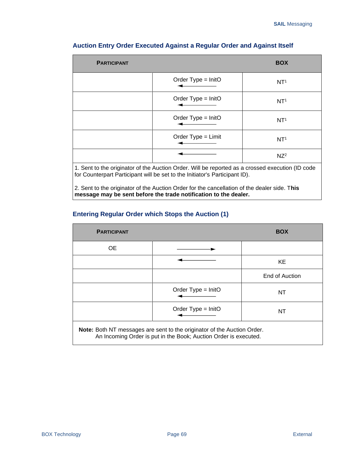| <b>PARTICIPANT</b> |                                                                                                                                                                                 | <b>BOX</b>      |
|--------------------|---------------------------------------------------------------------------------------------------------------------------------------------------------------------------------|-----------------|
|                    | Order $Type = InitO$                                                                                                                                                            | NT <sup>1</sup> |
|                    | Order Type = $InitO$                                                                                                                                                            | NT <sup>1</sup> |
|                    | Order $Type = InitO$                                                                                                                                                            | NT <sup>1</sup> |
|                    | Order Type = Limit                                                                                                                                                              | NT <sup>1</sup> |
|                    |                                                                                                                                                                                 | $NZ^2$          |
|                    | 1. Sent to the originator of the Auction Order. Will be reported as a crossed execution (ID code<br>for Counterpart Participant will be set to the Initiator's Participant ID). |                 |

### **Auction Entry Order Executed Against a Regular Order and Against Itself**

2. Sent to the originator of the Auction Order for the cancellation of the dealer side. T**his message may be sent before the trade notification to the dealer.**

### **Entering Regular Order which Stops the Auction (1)**

| <b>PARTICIPANT</b>                                                                                                                          |                      | <b>BOX</b>     |
|---------------------------------------------------------------------------------------------------------------------------------------------|----------------------|----------------|
| OE.                                                                                                                                         |                      |                |
|                                                                                                                                             |                      | KE             |
|                                                                                                                                             |                      | End of Auction |
|                                                                                                                                             | Order Type = $InitO$ | NT             |
|                                                                                                                                             | Order Type = $InitO$ | NT             |
| Note: Both NT messages are sent to the originator of the Auction Order.<br>An Incoming Order is put in the Book; Auction Order is executed. |                      |                |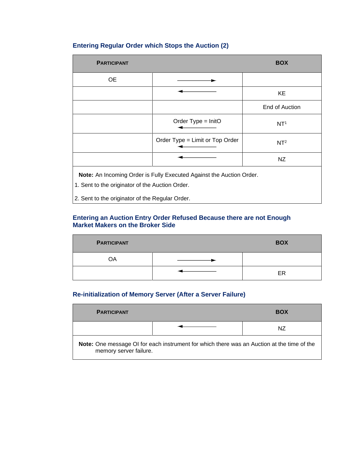## **Entering Regular Order which Stops the Auction (2)**

| <b>PARTICIPANT</b>                                                                                                      |                                 | <b>BOX</b>      |
|-------------------------------------------------------------------------------------------------------------------------|---------------------------------|-----------------|
| <b>OE</b>                                                                                                               |                                 |                 |
|                                                                                                                         |                                 | KE              |
|                                                                                                                         |                                 | End of Auction  |
|                                                                                                                         | Order Type = InitO              | NT <sup>1</sup> |
|                                                                                                                         | Order Type = Limit or Top Order | NT <sup>2</sup> |
|                                                                                                                         |                                 | NZ              |
| Note: An Incoming Order is Fully Executed Against the Auction Order.<br>1. Sent to the originator of the Auction Order. |                                 |                 |
| 2. Sent to the originator of the Regular Order.                                                                         |                                 |                 |

### **Entering an Auction Entry Order Refused Because there are not Enough Market Makers on the Broker Side**

| <b>PARTICIPANT</b> | <b>BOX</b> |
|--------------------|------------|
| OA                 |            |
|                    | ER         |

### **Re-initialization of Memory Server (After a Server Failure)**

 $\overline{a}$ 

| <b>PARTICIPANT</b>     |                                                                                            | <b>BOX</b> |
|------------------------|--------------------------------------------------------------------------------------------|------------|
|                        |                                                                                            | ΝZ         |
| memory server failure. | Note: One message OI for each instrument for which there was an Auction at the time of the |            |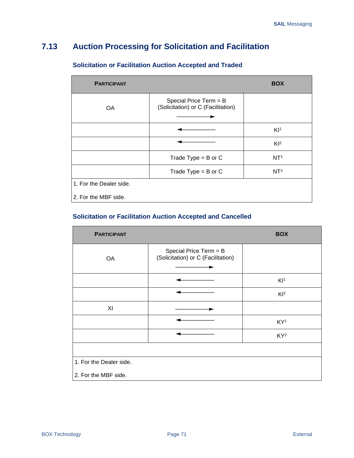# **7.13 Auction Processing for Solicitation and Facilitation**

| <b>PARTICIPANT</b>      |                                                              | <b>BOX</b>      |
|-------------------------|--------------------------------------------------------------|-----------------|
| <b>OA</b>               | Special Price Term = B<br>(Solicitation) or C (Facilitation) |                 |
|                         |                                                              | K1 <sup>1</sup> |
|                         |                                                              | $Kl^2$          |
|                         | Trade Type = $B$ or $C$                                      | NT <sup>1</sup> |
|                         | Trade Type = $B$ or $C$                                      | NT <sup>2</sup> |
| 1. For the Dealer side. |                                                              |                 |
| 2. For the MBF side.    |                                                              |                 |

# **Solicitation or Facilitation Auction Accepted and Traded**

### **Solicitation or Facilitation Auction Accepted and Cancelled**

| <b>PARTICIPANT</b>      |                                                              | <b>BOX</b>      |
|-------------------------|--------------------------------------------------------------|-----------------|
| OA                      | Special Price Term = B<br>(Solicitation) or C (Facilitation) |                 |
|                         |                                                              | K1 <sup>1</sup> |
|                         |                                                              | $Kl^2$          |
| XI                      |                                                              |                 |
|                         |                                                              | KY <sup>1</sup> |
|                         |                                                              | KY <sup>2</sup> |
|                         |                                                              |                 |
| 1. For the Dealer side. |                                                              |                 |
| 2. For the MBF side.    |                                                              |                 |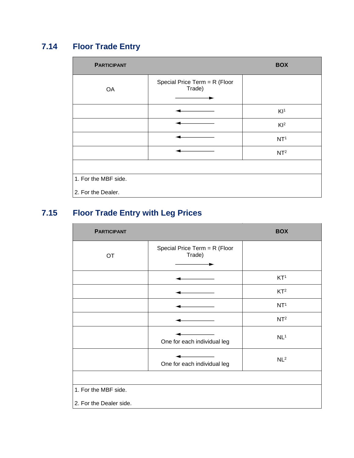# **7.14 Floor Trade Entry**

| <br><b>PARTICIPANT</b> |                                         | <b>BOX</b>      |
|------------------------|-----------------------------------------|-----------------|
| OA                     | Special Price Term = R (Floor<br>Trade) |                 |
|                        |                                         | K1 <sup>1</sup> |
|                        |                                         | Kl <sup>2</sup> |
|                        |                                         | NT <sup>1</sup> |
|                        |                                         | NT <sup>2</sup> |
|                        |                                         |                 |
| 1. For the MBF side.   |                                         |                 |
| 2. For the Dealer.     |                                         |                 |

# **7.15 Floor Trade Entry with Leg Prices**

| <b>PARTICIPANT</b>      |                                         | <b>BOX</b>      |
|-------------------------|-----------------------------------------|-----------------|
| <b>OT</b>               | Special Price Term = R (Floor<br>Trade) |                 |
|                         |                                         | KT <sup>1</sup> |
|                         |                                         | KT <sup>2</sup> |
|                         |                                         | NT <sup>1</sup> |
|                         |                                         | NT <sup>2</sup> |
|                         | One for each individual leg             | NL <sup>1</sup> |
|                         | One for each individual leg             | NL <sup>2</sup> |
|                         |                                         |                 |
| 1. For the MBF side.    |                                         |                 |
| 2. For the Dealer side. |                                         |                 |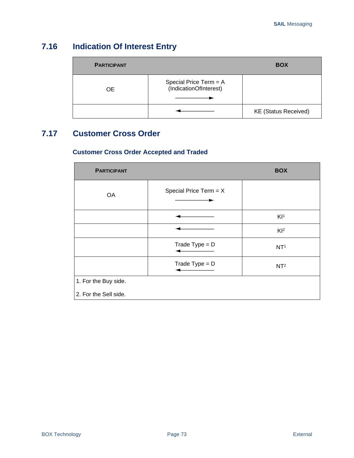# **7.16 Indication Of Interest Entry**

| <b>PARTICIPANT</b> |                                                  | <b>BOX</b>                  |
|--------------------|--------------------------------------------------|-----------------------------|
| OE.                | Special Price Term = A<br>(IndicationOfInterest) |                             |
|                    |                                                  | <b>KE (Status Received)</b> |

# **7.17 Customer Cross Order**

### **Customer Cross Order Accepted and Traded**

| <b>PARTICIPANT</b>    |                          | <b>BOX</b>      |
|-----------------------|--------------------------|-----------------|
| OA                    | Special Price Term = $X$ |                 |
|                       |                          | K1 <sup>1</sup> |
|                       |                          | $Kl^2$          |
|                       | Trade Type = $D$         | NT <sup>1</sup> |
|                       | Trade Type = $D$         | NT <sup>2</sup> |
| 1. For the Buy side.  |                          |                 |
| 2. For the Sell side. |                          |                 |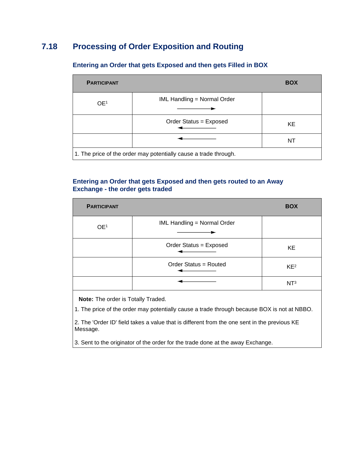# **7.18 Processing of Order Exposition and Routing**

| <b>PARTICIPANT</b> |                                                                  | <b>BOX</b> |
|--------------------|------------------------------------------------------------------|------------|
| OE <sup>1</sup>    | <b>IML Handling = Normal Order</b>                               |            |
|                    | Order Status = Exposed                                           | KE.        |
|                    |                                                                  | NT         |
|                    | 1. The price of the order may potentially cause a trade through. |            |

### **Entering an Order that gets Exposed and then gets Filled in BOX**

### **Entering an Order that gets Exposed and then gets routed to an Away Exchange - the order gets traded**

| <b>PARTICIPANT</b> |                                    | <b>BOX</b>      |
|--------------------|------------------------------------|-----------------|
| OE <sup>1</sup>    | <b>IML Handling = Normal Order</b> |                 |
|                    | Order Status = Exposed             | <b>KE</b>       |
|                    | Order Status = Routed              | KE <sup>2</sup> |
|                    |                                    | NT <sup>3</sup> |

**Note:** The order is Totally Traded.

1. The price of the order may potentially cause a trade through because BOX is not at NBBO.

2. The 'Order ID' field takes a value that is different from the one sent in the previous KE Message.

3. Sent to the originator of the order for the trade done at the away Exchange.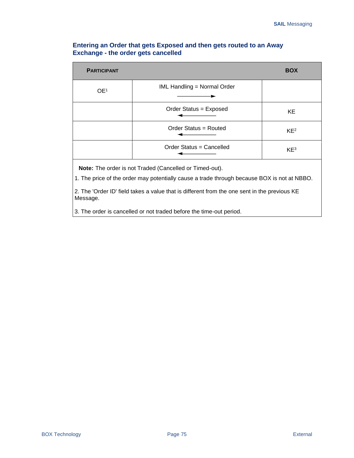### **Entering an Order that gets Exposed and then gets routed to an Away Exchange - the order gets cancelled**

| <b>PARTICIPANT</b> |                                    | <b>BOX</b>      |
|--------------------|------------------------------------|-----------------|
| OE <sup>1</sup>    | <b>IML Handling = Normal Order</b> |                 |
|                    | Order Status = Exposed             | KE              |
|                    | Order Status = Routed              | KE <sup>2</sup> |
|                    | Order Status = Cancelled           | KE <sup>3</sup> |

**Note:** The order is not Traded (Cancelled or Timed-out).

1. The price of the order may potentially cause a trade through because BOX is not at NBBO.

2. The 'Order ID' field takes a value that is different from the one sent in the previous KE Message.

3. The order is cancelled or not traded before the time-out period.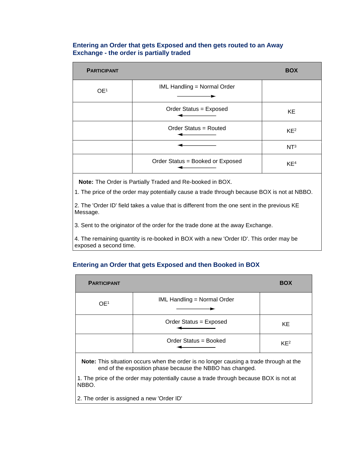### **Entering an Order that gets Exposed and then gets routed to an Away Exchange - the order is partially traded**

| <b>PARTICIPANT</b> |                                    | <b>BOX</b>      |
|--------------------|------------------------------------|-----------------|
| OE <sup>1</sup>    | <b>IML Handling = Normal Order</b> |                 |
|                    | Order Status = Exposed             | KE              |
|                    | Order Status = Routed              | KE <sup>2</sup> |
|                    |                                    | NT <sup>3</sup> |
|                    | Order Status = Booked or Exposed   | KE <sup>4</sup> |

**Note:** The Order is Partially Traded and Re-booked in BOX.

1. The price of the order may potentially cause a trade through because BOX is not at NBBO.

2. The 'Order ID' field takes a value that is different from the one sent in the previous KE Message.

3. Sent to the originator of the order for the trade done at the away Exchange.

4. The remaining quantity is re-booked in BOX with a new 'Order ID'. This order may be exposed a second time.

### **Entering an Order that gets Exposed and then Booked in BOX**

| <b>PARTICIPANT</b> |                                                                                        | <b>BOX</b>      |
|--------------------|----------------------------------------------------------------------------------------|-----------------|
| OE <sup>1</sup>    | <b>IML Handling = Normal Order</b>                                                     |                 |
|                    | Order Status = Exposed                                                                 | <b>KE</b>       |
|                    | Order Status = Booked                                                                  | KE <sup>2</sup> |
|                    | Note: This situation occurs when the order is no longer causing a trade through at the |                 |

der is no longer causing a trade through at the end of the exposition phase because the NBBO has changed.

1. The price of the order may potentially cause a trade through because BOX is not at NBBO.

2. The order is assigned a new 'Order ID'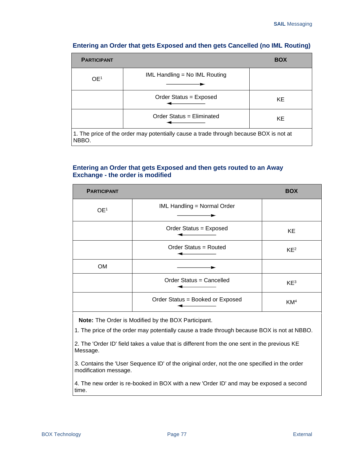| <b>PARTICIPANT</b> |                                                                                       | <b>BOX</b> |
|--------------------|---------------------------------------------------------------------------------------|------------|
| OE <sup>1</sup>    | IML Handling = No IML Routing                                                         |            |
|                    | Order Status = Exposed                                                                | KE.        |
|                    | Order Status = Eliminated                                                             | KE.        |
| NBBO.              | 1. The price of the order may potentially cause a trade through because BOX is not at |            |

### **Entering an Order that gets Exposed and then gets Cancelled (no IML Routing)**

### **Entering an Order that gets Exposed and then gets routed to an Away Exchange - the order is modified**

| <b>PARTICIPANT</b> |                                    | <b>BOX</b>      |
|--------------------|------------------------------------|-----------------|
| OE <sup>1</sup>    | <b>IML Handling = Normal Order</b> |                 |
|                    | Order Status = Exposed             | KE              |
|                    | Order Status = Routed              | KE <sup>2</sup> |
| <b>OM</b>          |                                    |                 |
|                    | Order Status = Cancelled           | KE <sup>3</sup> |
|                    | Order Status = Booked or Exposed   | KM <sup>4</sup> |

**Note:** The Order is Modified by the BOX Participant.

1. The price of the order may potentially cause a trade through because BOX is not at NBBO.

2. The 'Order ID' field takes a value that is different from the one sent in the previous KE Message.

3. Contains the 'User Sequence ID' of the original order, not the one specified in the order modification message.

4. The new order is re-booked in BOX with a new 'Order ID' and may be exposed a second time.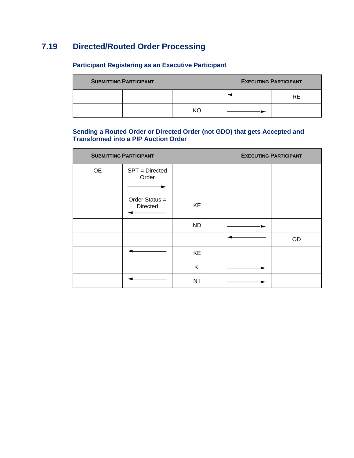# **7.19 Directed/Routed Order Processing**

# **Participant Registering as an Executive Participant**

| <b>SUBMITTING PARTICIPANT</b> |  |  | <b>EXECUTING PARTICIPANT</b> |     |
|-------------------------------|--|--|------------------------------|-----|
|                               |  |  |                              | RF. |
|                               |  |  |                              |     |

### **Sending a Routed Order or Directed Order (not GDO) that gets Accepted and Transformed into a PIP Auction Order**

| <b>SUBMITTING PARTICIPANT</b> |                              | <b>EXECUTING PARTICIPANT</b> |  |           |
|-------------------------------|------------------------------|------------------------------|--|-----------|
| <b>OE</b>                     | SPT = Directed<br>Order      |                              |  |           |
|                               | Order Status $=$<br>Directed | KE                           |  |           |
|                               |                              | <b>ND</b>                    |  |           |
|                               |                              |                              |  | <b>OD</b> |
|                               |                              | KE                           |  |           |
|                               |                              | KI                           |  |           |
|                               |                              | <b>NT</b>                    |  |           |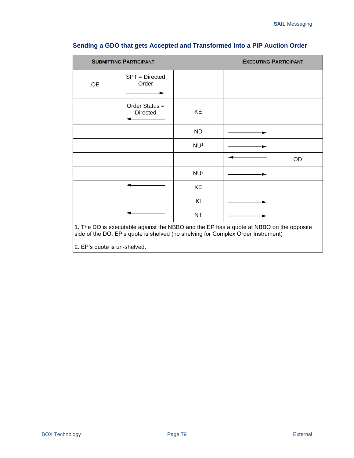| <b>SUBMITTING PARTICIPANT</b> |                                                                                                                                                                             | <b>EXECUTING PARTICIPANT</b> |           |
|-------------------------------|-----------------------------------------------------------------------------------------------------------------------------------------------------------------------------|------------------------------|-----------|
| <b>OE</b>                     | SPT = Directed<br>Order                                                                                                                                                     |                              |           |
|                               | Order Status =<br><b>Directed</b>                                                                                                                                           | KE                           |           |
|                               |                                                                                                                                                                             | ND                           |           |
|                               |                                                                                                                                                                             | NU <sup>1</sup>              |           |
|                               |                                                                                                                                                                             |                              | <b>OD</b> |
|                               |                                                                                                                                                                             | NU <sup>2</sup>              |           |
|                               |                                                                                                                                                                             | KE                           |           |
|                               |                                                                                                                                                                             | KI                           |           |
|                               |                                                                                                                                                                             | <b>NT</b>                    |           |
| 2. EP's quote is un-shelved.  | 1. The DO is executable against the NBBO and the EP has a quote at NBBO on the opposite<br>side of the DO. EP's quote is shelved (no shelving for Complex Order Instrument) |                              |           |

# **Sending a GDO that gets Accepted and Transformed into a PIP Auction Order**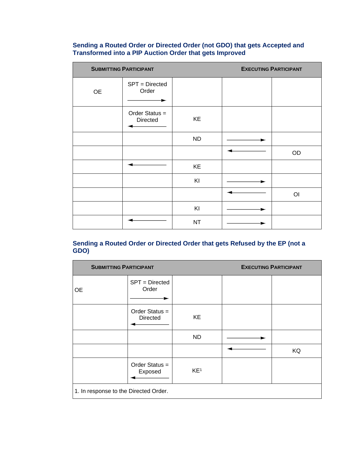#### **Sending a Routed Order or Directed Order (not GDO) that gets Accepted and Transformed into a PIP Auction Order that gets Improved**

| <b>SUBMITTING PARTICIPANT</b> |                                   |           | <b>EXECUTING PARTICIPANT</b> |                |
|-------------------------------|-----------------------------------|-----------|------------------------------|----------------|
| OE                            | SPT = Directed<br>Order           |           |                              |                |
|                               | Order Status =<br><b>Directed</b> | KE        |                              |                |
|                               |                                   | <b>ND</b> |                              |                |
|                               |                                   |           |                              | OD             |
|                               |                                   | KE        |                              |                |
|                               |                                   | KI        |                              |                |
|                               |                                   |           |                              | O <sub>l</sub> |
|                               |                                   | KI        |                              |                |
|                               |                                   | <b>NT</b> |                              |                |

### **Sending a Routed Order or Directed Order that gets Refused by the EP (not a GDO)**

| <b>SUBMITTING PARTICIPANT</b>         |                                   | <b>EXECUTING PARTICIPANT</b> |    |
|---------------------------------------|-----------------------------------|------------------------------|----|
| <b>OE</b>                             | $SPT = Directed$<br>Order         |                              |    |
|                                       | Order Status =<br><b>Directed</b> | KE                           |    |
|                                       |                                   | ND.                          |    |
|                                       |                                   |                              | KQ |
|                                       | Order Status =<br>Exposed         | KE <sup>1</sup>              |    |
| 1. In response to the Directed Order. |                                   |                              |    |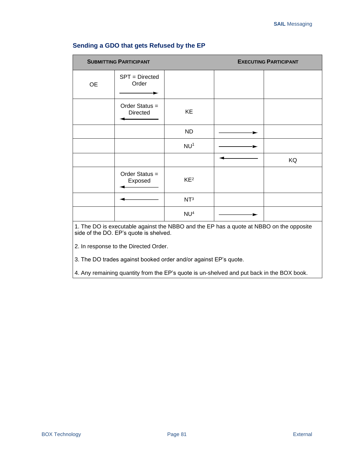| <b>SUBMITTING PARTICIPANT</b>                                                                                                     |                                   |                 |  | <b>EXECUTING PARTICIPANT</b> |
|-----------------------------------------------------------------------------------------------------------------------------------|-----------------------------------|-----------------|--|------------------------------|
| <b>OE</b>                                                                                                                         | SPT = Directed<br>Order           |                 |  |                              |
|                                                                                                                                   | Order Status =<br><b>Directed</b> | KE              |  |                              |
|                                                                                                                                   |                                   | <b>ND</b>       |  |                              |
|                                                                                                                                   |                                   | NU <sup>1</sup> |  |                              |
|                                                                                                                                   |                                   |                 |  | KQ                           |
|                                                                                                                                   | Order Status =<br>Exposed         | KE <sup>2</sup> |  |                              |
|                                                                                                                                   |                                   | NT <sup>3</sup> |  |                              |
|                                                                                                                                   |                                   | NU <sup>4</sup> |  |                              |
| 1. The DO is executable against the NBBO and the EP has a quote at NBBO on the opposite<br>side of the DO. EP's quote is shelved. |                                   |                 |  |                              |

### **Sending a GDO that gets Refused by the EP**

2. In response to the Directed Order.

3. The DO trades against booked order and/or against EP's quote.

4. Any remaining quantity from the EP's quote is un-shelved and put back in the BOX book.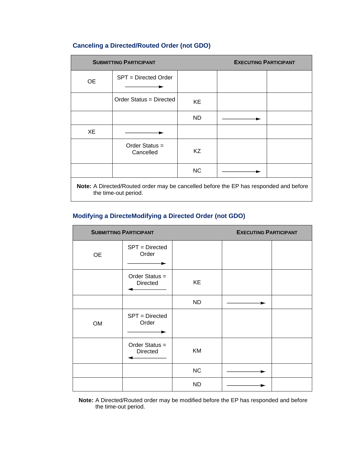### **Canceling a Directed/Routed Order (not GDO)**

| <b>SUBMITTING PARTICIPANT</b>                                                                                 |                             |           | <b>EXECUTING PARTICIPANT</b> |  |
|---------------------------------------------------------------------------------------------------------------|-----------------------------|-----------|------------------------------|--|
| 0E                                                                                                            | SPT = Directed Order        |           |                              |  |
|                                                                                                               | Order Status = Directed     | KE        |                              |  |
|                                                                                                               |                             | ND.       |                              |  |
| XE                                                                                                            |                             |           |                              |  |
|                                                                                                               | Order Status =<br>Cancelled | KZ.       |                              |  |
|                                                                                                               |                             | <b>NC</b> |                              |  |
| Note: A Directed/Routed order may be cancelled before the EP has responded and before<br>the time-out period. |                             |           |                              |  |

### **Modifying a DirecteModifying a Directed Order (not GDO)**

| <b>SUBMITTING PARTICIPANT</b> |                              |           | <b>EXECUTING PARTICIPANT</b> |  |
|-------------------------------|------------------------------|-----------|------------------------------|--|
| <b>OE</b>                     | SPT = Directed<br>Order      |           |                              |  |
|                               | Order Status $=$<br>Directed | KE        |                              |  |
|                               |                              | <b>ND</b> |                              |  |
| <b>OM</b>                     | SPT = Directed<br>Order      |           |                              |  |
|                               | Order Status =<br>Directed   | KM        |                              |  |
|                               |                              | NC        |                              |  |
|                               |                              | <b>ND</b> |                              |  |

**Note:** A Directed/Routed order may be modified before the EP has responded and before the time-out period.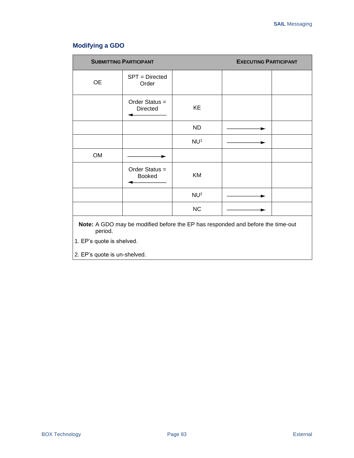# **Modifying a GDO**

| <b>SUBMITTING PARTICIPANT</b> |                                                                                        | <b>EXECUTING PARTICIPANT</b> |  |  |
|-------------------------------|----------------------------------------------------------------------------------------|------------------------------|--|--|
| <b>OE</b>                     | SPT = Directed<br>Order                                                                |                              |  |  |
|                               | Order Status =<br>Directed                                                             | KE                           |  |  |
|                               |                                                                                        | <b>ND</b>                    |  |  |
|                               |                                                                                        | NU <sup>1</sup>              |  |  |
| <b>OM</b>                     |                                                                                        |                              |  |  |
|                               | Order Status =<br><b>Booked</b>                                                        | KM                           |  |  |
|                               |                                                                                        | NU <sup>2</sup>              |  |  |
|                               |                                                                                        | <b>NC</b>                    |  |  |
|                               | <b>Note:</b> A GDO may be modified before the EP has responded and before the time-out |                              |  |  |

**Note:** A GDO may be modified before the EP has responded and before the time-out period.

1. EP's quote is shelved.

2. EP's quote is un-shelved.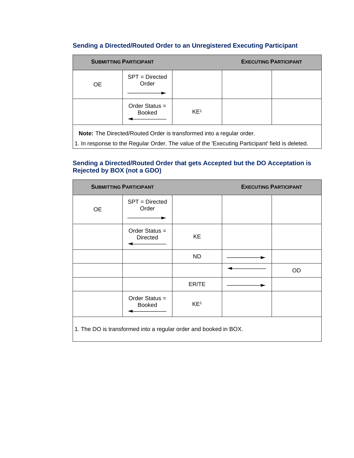### **Sending a Directed/Routed Order to an Unregistered Executing Participant**

| <b>SUBMITTING PARTICIPANT</b>                                        |                                   |                 | <b>EXECUTING PARTICIPANT</b> |  |
|----------------------------------------------------------------------|-----------------------------------|-----------------|------------------------------|--|
| <b>OE</b>                                                            | $SPT = Directed$<br>Order         |                 |                              |  |
|                                                                      | Order Status $=$<br><b>Booked</b> | KE <sup>1</sup> |                              |  |
| Note: The Directed/Routed Order is transformed into a regular order. |                                   |                 |                              |  |

 $\big\lvert$ 1. In response to the Regular Order. The value of the 'Executing Participant' field is deleted.

### **Sending a Directed/Routed Order that gets Accepted but the DO Acceptation is Rejected by BOX (not a GDO)**

| <b>SUBMITTING PARTICIPANT</b>                                    |                                 | <b>EXECUTING PARTICIPANT</b> |  |           |
|------------------------------------------------------------------|---------------------------------|------------------------------|--|-----------|
| <b>OE</b>                                                        | SPT = Directed<br>Order         |                              |  |           |
|                                                                  | Order Status =<br>Directed      | KE                           |  |           |
|                                                                  |                                 | <b>ND</b>                    |  |           |
|                                                                  |                                 |                              |  | <b>OD</b> |
|                                                                  |                                 | ER/TE                        |  |           |
|                                                                  | Order Status =<br><b>Booked</b> | KE <sup>1</sup>              |  |           |
| 1. The DO is transformed into a regular order and booked in BOX. |                                 |                              |  |           |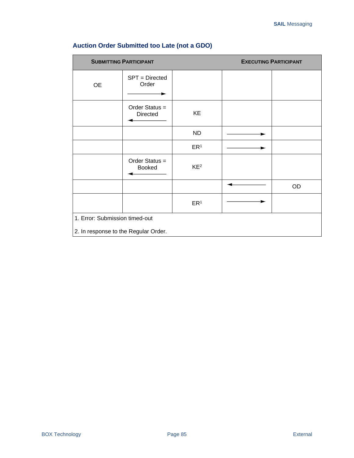|                                      | <b>SUBMITTING PARTICIPANT</b>   |                 | <b>EXECUTING PARTICIPANT</b> |
|--------------------------------------|---------------------------------|-----------------|------------------------------|
| <b>OE</b>                            | SPT = Directed<br>Order         |                 |                              |
|                                      | Order Status $=$<br>Directed    | KE              |                              |
|                                      |                                 | <b>ND</b>       |                              |
|                                      |                                 | ER <sup>1</sup> |                              |
|                                      | Order Status =<br><b>Booked</b> | KE <sup>2</sup> |                              |
|                                      |                                 |                 | OD                           |
|                                      |                                 | ER <sup>1</sup> |                              |
| 1. Error: Submission timed-out       |                                 |                 |                              |
| 2. In response to the Regular Order. |                                 |                 |                              |

# **Auction Order Submitted too Late (not a GDO)**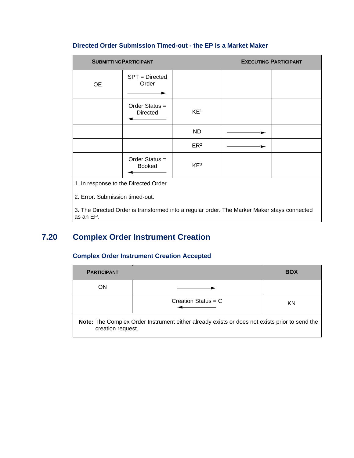### **Directed Order Submission Timed-out - the EP is a Market Maker**

|                                       | <b>SUBMITTINGPARTICIPANT</b>      |                 | <b>EXECUTING PARTICIPANT</b> |  |
|---------------------------------------|-----------------------------------|-----------------|------------------------------|--|
| 0E                                    | SPT = Directed<br>Order           |                 |                              |  |
|                                       | Order Status =<br><b>Directed</b> | KE <sup>1</sup> |                              |  |
|                                       |                                   | ND.             |                              |  |
|                                       |                                   | ER <sup>2</sup> |                              |  |
|                                       | Order Status $=$<br><b>Booked</b> | KE <sup>3</sup> |                              |  |
| 1. In response to the Directed Order. |                                   |                 |                              |  |

2. Error: Submission timed-out.

3. The Directed Order is transformed into a regular order. The Marker Maker stays connected as an EP.

# **7.20 Complex Order Instrument Creation**

### **Complex Order Instrument Creation Accepted**

| <b>PARTICIPANT</b> |                                                                                               | <b>BOX</b> |
|--------------------|-----------------------------------------------------------------------------------------------|------------|
| ON                 |                                                                                               |            |
|                    | Creation Status = $C$                                                                         | KN         |
| creation request.  | Note: The Complex Order Instrument either already exists or does not exists prior to send the |            |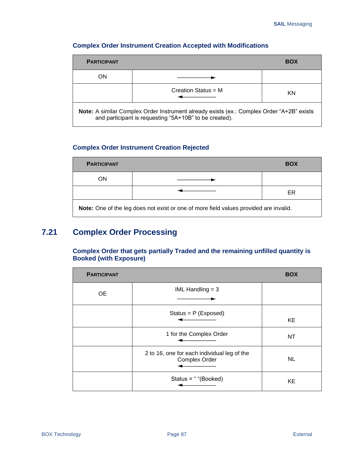| <b>PARTICIPANT</b> |                                                                                                                                                     | <b>BOX</b> |
|--------------------|-----------------------------------------------------------------------------------------------------------------------------------------------------|------------|
| ON                 |                                                                                                                                                     |            |
|                    | Creation Status = $M$                                                                                                                               | KN         |
|                    | Note: A similar Complex Order Instrument already exists (ex.: Complex Order "A+2B" exists<br>and participant is requesting "5A+10B" to be created). |            |

### **Complex Order Instrument Creation Accepted with Modifications**

### **Complex Order Instrument Creation Rejected**

| <b>PARTICIPANT</b>                                                                    |  | <b>BOX</b> |  |
|---------------------------------------------------------------------------------------|--|------------|--|
| ΟN                                                                                    |  |            |  |
|                                                                                       |  | ER         |  |
| Note: One of the leg does not exist or one of more field values provided are invalid. |  |            |  |

# **7.21 Complex Order Processing**

**Complex Order that gets partially Traded and the remaining unfilled quantity is Booked (with Exposure)**

| <b>PARTICIPANT</b> |                                                              | <b>BOX</b> |
|--------------------|--------------------------------------------------------------|------------|
| <b>OE</b>          | IML Handling $=$ 3                                           |            |
|                    | Status = $P$ (Exposed)                                       | KE         |
|                    | 1 for the Complex Order                                      | NT         |
|                    | 2 to 16, one for each individual leg of the<br>Complex Order | <b>NL</b>  |
|                    | Status = " "(Booked)                                         | KE         |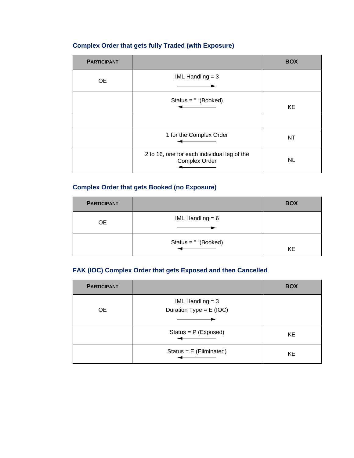# **Complex Order that gets fully Traded (with Exposure)**

| <b>PARTICIPANT</b> |                                                              | <b>BOX</b> |
|--------------------|--------------------------------------------------------------|------------|
| 0E                 | IML Handling $=$ 3                                           |            |
|                    | Status = " "(Booked)                                         | KE         |
|                    |                                                              |            |
|                    | 1 for the Complex Order                                      | NT         |
|                    | 2 to 16, one for each individual leg of the<br>Complex Order | <b>NL</b>  |

### **Complex Order that gets Booked (no Exposure)**

| <b>PARTICIPANT</b> |                      | <b>BOX</b> |
|--------------------|----------------------|------------|
| <b>OE</b>          | IML Handling $= 6$   |            |
|                    | Status = " "(Booked) | KE         |

## **FAK (IOC) Complex Order that gets Exposed and then Cancelled**

| <b>PARTICIPANT</b> |                                                 | <b>BOX</b> |
|--------------------|-------------------------------------------------|------------|
| <b>OE</b>          | IML Handling $=$ 3<br>Duration Type = $E$ (IOC) |            |
|                    | Status = $P$ (Exposed)                          | KE         |
|                    | Status = $E$ (Eliminated)                       | KE         |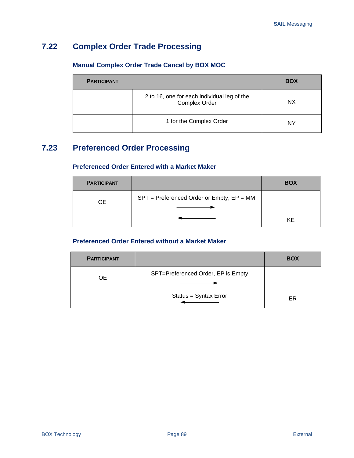# **7.22 Complex Order Trade Processing**

### **Manual Complex Order Trade Cancel by BOX MOC**

| <b>PARTICIPANT</b> |                                                                     | <b>BOX</b> |
|--------------------|---------------------------------------------------------------------|------------|
|                    | 2 to 16, one for each individual leg of the<br><b>Complex Order</b> | NX.        |
|                    | 1 for the Complex Order                                             | ΝY         |

# **7.23 Preferenced Order Processing**

**Preferenced Order Entered with a Market Maker**

| <b>PARTICIPANT</b> |                                               | <b>BOX</b> |
|--------------------|-----------------------------------------------|------------|
| 0F                 | $SPT =$ Preferenced Order or Empty, $EP = MM$ |            |
|                    |                                               | KE         |

### **Preferenced Order Entered without a Market Maker**

| <b>PARTICIPANT</b> |                                    | <b>BOX</b> |
|--------------------|------------------------------------|------------|
| <b>OE</b>          | SPT=Preferenced Order, EP is Empty |            |
|                    | Status = Syntax Error              | ER         |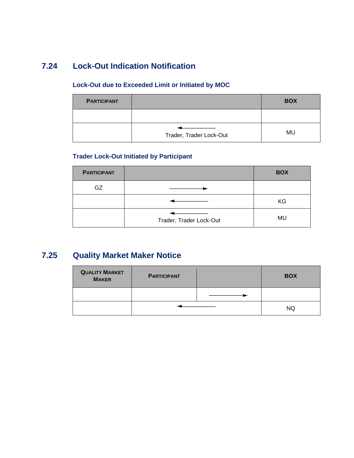# **7.24 Lock-Out Indication Notification**

### **Lock-Out due to Exceeded Limit or Initiated by MOC**

| <b>PARTICIPANT</b> |                         | <b>BOX</b> |
|--------------------|-------------------------|------------|
|                    |                         |            |
|                    | Trader, Trader Lock-Out | MU         |

# **Trader Lock-Out Initiated by Participant**

| <b>PARTICIPANT</b> |                         | <b>BOX</b> |
|--------------------|-------------------------|------------|
| GZ                 |                         |            |
|                    |                         | KG         |
|                    | Trader, Trader Lock-Out | MU         |

# **7.25 Quality Market Maker Notice**

| <b>QUALITY MARKET</b><br><b>MAKER</b> | <b>PARTICIPANT</b> | <b>BOX</b> |
|---------------------------------------|--------------------|------------|
|                                       |                    |            |
|                                       |                    | <b>NQ</b>  |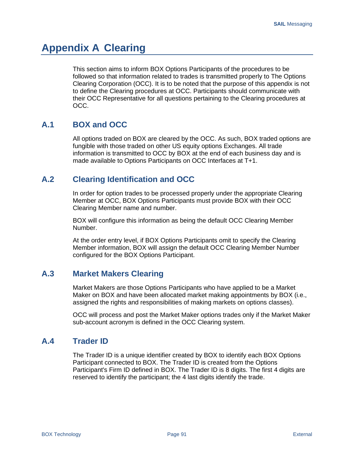# **Appendix A Clearing**

This section aims to inform BOX Options Participants of the procedures to be followed so that information related to trades is transmitted properly to The Options Clearing Corporation (OCC). It is to be noted that the purpose of this appendix is not to define the Clearing procedures at OCC. Participants should communicate with their OCC Representative for all questions pertaining to the Clearing procedures at OCC.

# **A.1 BOX and OCC**

All options traded on BOX are cleared by the OCC. As such, BOX traded options are fungible with those traded on other US equity options Exchanges. All trade information is transmitted to OCC by BOX at the end of each business day and is made available to Options Participants on OCC Interfaces at T+1.

# **A.2 Clearing Identification and OCC**

In order for option trades to be processed properly under the appropriate Clearing Member at OCC, BOX Options Participants must provide BOX with their OCC Clearing Member name and number.

BOX will configure this information as being the default OCC Clearing Member Number.

At the order entry level, if BOX Options Participants omit to specify the Clearing Member information, BOX will assign the default OCC Clearing Member Number configured for the BOX Options Participant.

# **A.3 Market Makers Clearing**

Market Makers are those Options Participants who have applied to be a Market Maker on BOX and have been allocated market making appointments by BOX (i.e., assigned the rights and responsibilities of making markets on options classes).

OCC will process and post the Market Maker options trades only if the Market Maker sub-account acronym is defined in the OCC Clearing system.

# **A.4 Trader ID**

The Trader ID is a unique identifier created by BOX to identify each BOX Options Participant connected to BOX. The Trader ID is created from the Options Participant's Firm ID defined in BOX. The Trader ID is 8 digits. The first 4 digits are reserved to identify the participant; the 4 last digits identify the trade.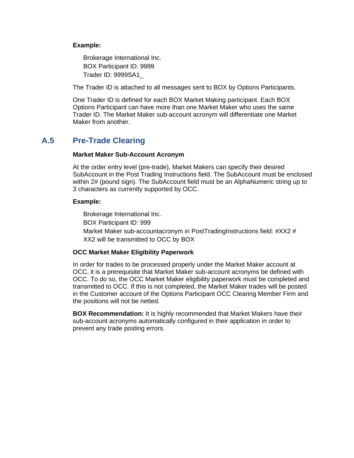#### **Example:**

Brokerage International Inc. BOX Participant ID: 9999 Trader ID: 9999SA1\_

The Trader ID is attached to all messages sent to BOX by Options Participants.

One Trader ID is defined for each BOX Market Making participant. Each BOX Options Participant can have more than one Market Maker who uses the same Trader ID. The Market Maker sub-account acronym will differentiate one Market Maker from another.

# **A.5 Pre-Trade Clearing**

#### **Market Maker Sub-Account Acronym**

At the order entry level (pre-trade), Market Makers can specify their desired SubAccount in the Post Trading Instructions field. The SubAccount must be enclosed within 2# (pound sign). The SubAccount field must be an AlphaNumeric string up to 3 characters as currently supported by OCC.

#### **Example:**

Brokerage International Inc. BOX Participant ID: 999 Market Maker sub-accountacronym in PostTradingInstructions field: #XX2 # XX2 will be transmitted to OCC by BOX

### **OCC Market Maker Eligibility Paperwork**

In order for trades to be processed properly under the Market Maker account at OCC, it is a prerequisite that Market Maker sub-account acronyms be defined with OCC. To do so, the OCC Market Maker eligibility paperwork must be completed and transmitted to OCC. If this is not completed, the Market Maker trades will be posted in the Customer account of the Options Participant OCC Clearing Member Firm and the positions will not be netted.

**BOX Recommendation:** It is highly recommended that Market Makers have their sub-account acronyms automatically configured in their application in order to prevent any trade posting errors.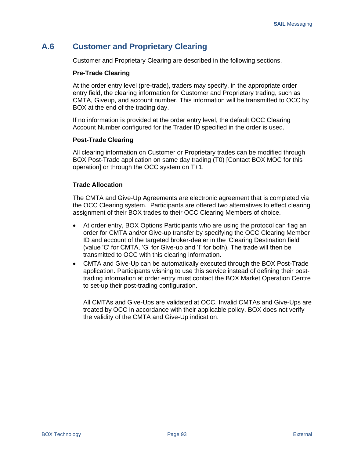# **A.6 Customer and Proprietary Clearing**

Customer and Proprietary Clearing are described in the following sections.

#### **Pre-Trade Clearing**

At the order entry level (pre-trade), traders may specify, in the appropriate order entry field, the clearing information for Customer and Proprietary trading, such as CMTA, Giveup, and account number. This information will be transmitted to OCC by BOX at the end of the trading day.

If no information is provided at the order entry level, the default OCC Clearing Account Number configured for the Trader ID specified in the order is used.

#### **Post-Trade Clearing**

All clearing information on Customer or Proprietary trades can be modified through BOX Post-Trade application on same day trading (T0) [Contact BOX MOC for this operation] or through the OCC system on T+1.

#### **Trade Allocation**

The CMTA and Give-Up Agreements are electronic agreement that is completed via the OCC Clearing system. Participants are offered two alternatives to effect clearing assignment of their BOX trades to their OCC Clearing Members of choice.

- At order entry, BOX Options Participants who are using the protocol can flag an order for CMTA and/or Give-up transfer by specifying the OCC Clearing Member ID and account of the targeted broker-dealer in the 'Clearing Destination field' (value 'C' for CMTA, 'G' for Give-up and 'I' for both). The trade will then be transmitted to OCC with this clearing information.
- CMTA and Give-Up can be automatically executed through the BOX Post-Trade application. Participants wishing to use this service instead of defining their posttrading information at order entry must contact the BOX Market Operation Centre to set-up their post-trading configuration.

All CMTAs and Give-Ups are validated at OCC. Invalid CMTAs and Give-Ups are treated by OCC in accordance with their applicable policy. BOX does not verify the validity of the CMTA and Give-Up indication.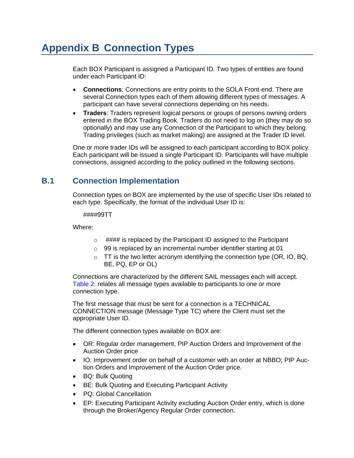# **Appendix B Connection Types**

Each BOX Participant is assigned a Participant ID. Two types of entities are found under each Participant ID:

- **Connections**: Connections are entry points to the SOLA Front-end. There are several Connection types each of them allowing different types of messages. A participant can have several connections depending on his needs.
- **Traders**: Traders represent logical persons or groups of persons owning orders entered in the BOX Trading Book. Traders do not need to log on (they may do so optionally) and may use any Connection of the Participant to which they belong. Trading privileges (such as market making) are assigned at the Trader ID level.

One or more trader IDs will be assigned to each participant according to BOX policy. Each participant will be issued a single Participant ID. Participants will have multiple connections, assigned according to the policy outlined in the following sections.

# **B.1 Connection Implementation**

Connection types on BOX are implemented by the use of specific User IDs related to each type. Specifically, the format of the individual User ID is:

####99TT

Where:

- $\circ$  #### is replaced by the Participant ID assigned to the Participant
- o 99 is replaced by an incremental number identifier starting at 01
- $\circ$  TT is the two letter acronym identifying the connection type (OR, IO, BQ, BE, PQ, EP or OL)

Connections are characterized by the different SAIL messages each will accept. [Table 2: r](#page-102-0)elates all message types available to participants to one or more connection type.

The first message that must be sent for a connection is a TECHNICAL CONNECTION message (Message Type TC) where the Client must set the appropriate User ID.

The different connection types available on BOX are:

- OR: Regular order management, PIP Auction Orders and Improvement of the Auction Order price
- IO: Improvement order on behalf of a customer with an order at NBBO; PIP Auction Orders and Improvement of the Auction Order price.
- BQ: Bulk Quoting
- BE: Bulk Quoting and Executing Participant Activity
- PQ: Global Cancellation
- EP: Executing Participant Activity excluding Auction Order entry, which is done through the Broker/Agency Regular Order connection.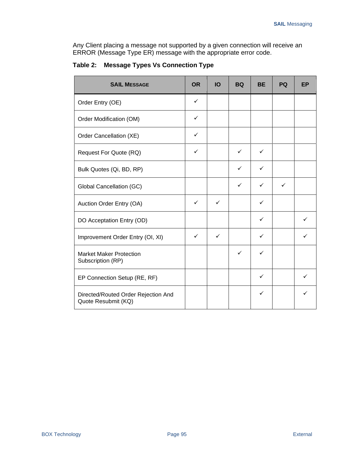Any Client placing a message not supported by a given connection will receive an ERROR (Message Type ER) message with the appropriate error code.

| <b>SAIL MESSAGE</b>                                        | <b>OR</b>    | <b>IO</b>    | <b>BQ</b>    | <b>BE</b> | PQ | <b>EP</b> |
|------------------------------------------------------------|--------------|--------------|--------------|-----------|----|-----------|
| Order Entry (OE)                                           | $\checkmark$ |              |              |           |    |           |
| Order Modification (OM)                                    | ✓            |              |              |           |    |           |
| Order Cancellation (XE)                                    | ✓            |              |              |           |    |           |
| Request For Quote (RQ)                                     | ✓            |              | ✓            | ✓         |    |           |
| Bulk Quotes (Qi, BD, RP)                                   |              |              | ✓            | ✓         |    |           |
| Global Cancellation (GC)                                   |              |              | ✓            | ✓         | ✓  |           |
| Auction Order Entry (OA)                                   | ✓            | $\checkmark$ |              | ✓         |    |           |
| DO Acceptation Entry (OD)                                  |              |              |              | ✓         |    |           |
| Improvement Order Entry (OI, XI)                           | ✓            | $\checkmark$ |              | ✓         |    | ✓         |
| <b>Market Maker Protection</b><br>Subscription (RP)        |              |              | $\checkmark$ | ✓         |    |           |
| EP Connection Setup (RE, RF)                               |              |              |              | ✓         |    |           |
| Directed/Routed Order Rejection And<br>Quote Resubmit (KQ) |              |              |              | ✓         |    |           |

<span id="page-102-0"></span>**Table 2: Message Types Vs Connection Type**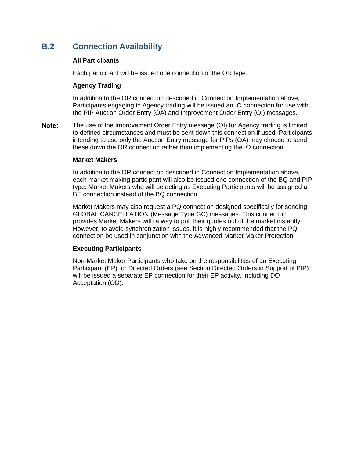# **B.2 Connection Availability**

#### **All Participants**

Each participant will be issued one connection of the OR type.

#### **Agency Trading**

In addition to the OR connection described in Connection Implementation above, Participants engaging in Agency trading will be issued an IO connection for use with the PIP Auction Order Entry (OA) and Improvement Order Entry (OI) messages.

Note: The use of the Improvement Order Entry message (OI) for Agency trading is limited to defined circumstances and must be sent down this connection if used. Participants intending to use only the Auction Entry message for PIPs (OA) may choose to send these down the OR connection rather than implementing the IO connection.

#### **Market Makers**

In addition to the OR connection described in Connection Implementation above, each market making participant will also be issued one connection of the BQ and PIP type. Market Makers who will be acting as Executing Participants will be assigned a BE connection instead of the BQ connection.

Market Makers may also request a PQ connection designed specifically for sending GLOBAL CANCELLATION (Message Type GC) messages. This connection provides Market Makers with a way to pull their quotes out of the market instantly. However, to avoid synchronization issues, it is highly recommended that the PQ connection be used in conjunction with the Advanced Market Maker Protection.

### **Executing Participants**

Non-Market Maker Participants who take on the responsibilities of an Executing Participant (EP) for Directed Orders (see Section Directed Orders in Support of PIP) will be issued a separate EP connection for their EP activity, including DO Acceptation (OD).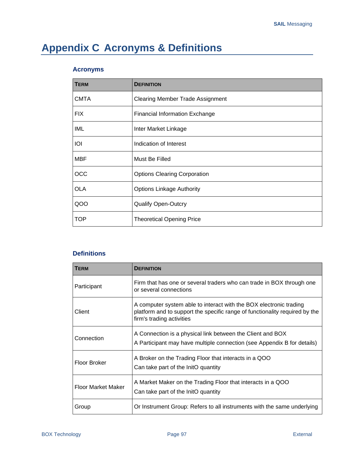# **Appendix C Acronyms & Definitions**

### **Acronyms**

| <b>TERM</b> | <b>DEFINITION</b>                       |
|-------------|-----------------------------------------|
| <b>CMTA</b> | <b>Clearing Member Trade Assignment</b> |
| <b>FIX</b>  | <b>Financial Information Exchange</b>   |
| IML         | Inter Market Linkage                    |
| IOI         | Indication of Interest                  |
| <b>MBF</b>  | Must Be Filled                          |
| <b>OCC</b>  | <b>Options Clearing Corporation</b>     |
| <b>OLA</b>  | <b>Options Linkage Authority</b>        |
| QOO         | <b>Qualify Open-Outcry</b>              |
| <b>TOP</b>  | <b>Theoretical Opening Price</b>        |

### **Definitions**

| <b>TERM</b>        | <b>DEFINITION</b>                                                                                                                                                              |
|--------------------|--------------------------------------------------------------------------------------------------------------------------------------------------------------------------------|
| Participant        | Firm that has one or several traders who can trade in BOX through one<br>or several connections                                                                                |
| Client             | A computer system able to interact with the BOX electronic trading<br>platform and to support the specific range of functionality required by the<br>firm's trading activities |
| Connection         | A Connection is a physical link between the Client and BOX<br>A Participant may have multiple connection (see Appendix B for details)                                          |
| Floor Broker       | A Broker on the Trading Floor that interacts in a QOO<br>Can take part of the InitO quantity                                                                                   |
| Floor Market Maker | A Market Maker on the Trading Floor that interacts in a QOO<br>Can take part of the InitO quantity                                                                             |
| Group              | Or Instrument Group: Refers to all instruments with the same underlying                                                                                                        |